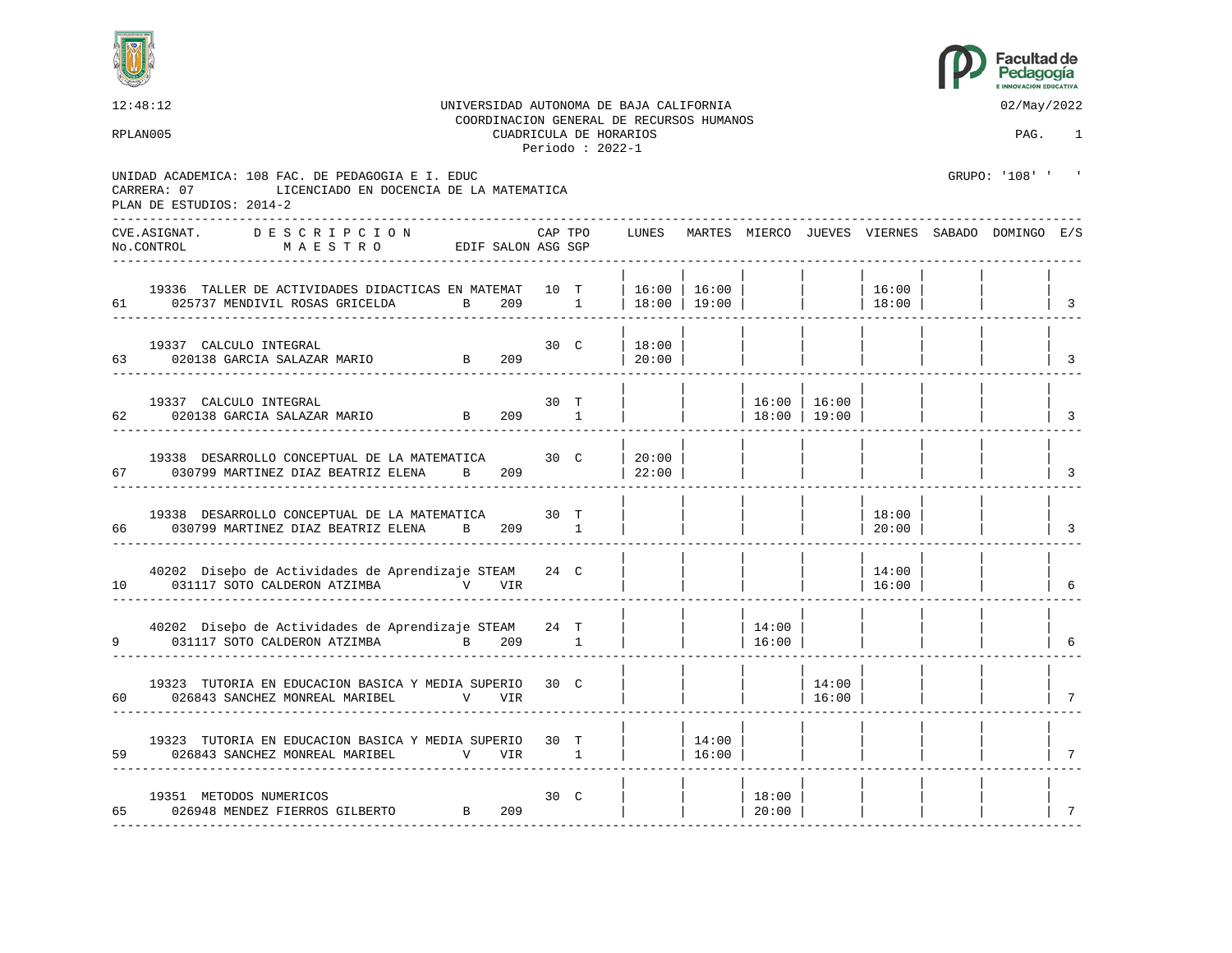



| 12:48:12<br>RPLAN005                                                                                                                    | UNIVERSIDAD AUTONOMA DE BAJA CALIFORNIA<br>COORDINACION GENERAL DE RECURSOS HUMANOS |         | CUADRICULA DE HORARIOS<br>Periodo: $2022-1$ |                |                                    |                           |                |                 | 02/May/2022<br>PAG.                                   | 1                                  |
|-----------------------------------------------------------------------------------------------------------------------------------------|-------------------------------------------------------------------------------------|---------|---------------------------------------------|----------------|------------------------------------|---------------------------|----------------|-----------------|-------------------------------------------------------|------------------------------------|
| UNIDAD ACADEMICA: 108 FAC. DE PEDAGOGIA E I. EDUC<br>LICENCIADO EN DOCENCIA DE LA MATEMATICA<br>CARRERA: 07<br>PLAN DE ESTUDIOS: 2014-2 |                                                                                     |         |                                             |                |                                    |                           |                |                 | GRUPO: '108' '                                        |                                    |
| CVE.ASIGNAT.<br>DESCRIPCION<br>No.CONTROL<br>MAESTRO                                                                                    | EDIF SALON ASG SGP                                                                  | CAP TPO |                                             |                |                                    |                           |                |                 | LUNES MARTES MIERCO JUEVES VIERNES SABADO DOMINGO E/S |                                    |
| 19336 TALLER DE ACTIVIDADES DIDACTICAS EN MATEMAT 10 T<br>61 025737 MENDIVIL ROSAS GRICELDA                                             | $\overline{B}$                                                                      | 209 1   |                                             |                | 16:00   16:00  <br>  18:00   19:00 |                           |                | 16:00<br> 18:00 |                                                       | $\vert$ 3                          |
| 19337 CALCULO INTEGRAL<br>63 020138 GARCIA SALAZAR MARIO                                                                                | $30\quad C$<br>$30 \text{ C}$<br>B $209$                                            |         |                                             | 18:00<br>20:00 |                                    |                           |                |                 |                                                       | $\overline{\mathbf{3}}$            |
| 19337 CALCULO INTEGRAL<br>020138 GARCIA SALAZAR MARIO B 209 1<br>62                                                                     |                                                                                     | 30 T    |                                             |                |                                    | $16:00$  <br> 18:00 19:00 | 16:00          |                 |                                                       | $\overline{3}$                     |
| 19338 DESARROLLO CONCEPTUAL DE LA MATEMATICA<br>030799 MARTINEZ DIAZ BEATRIZ ELENA       B     209<br>67                                |                                                                                     | 30 C    |                                             | 20:00<br>22:00 |                                    |                           |                |                 |                                                       | 3                                  |
| 19338 DESARROLLO CONCEPTUAL DE LA MATEMATICA<br>030799 MARTINEZ DIAZ BEATRIZ ELENA       B       209           1<br>66                  |                                                                                     | 30 T    |                                             |                |                                    |                           |                | 18:00<br>20:00  |                                                       | $\overline{\phantom{a}}$           |
| 40202 Disepo de Actividades de Aprendizaje STEAM<br>031117 SOTO CALDERON ATZIMBA V VIR<br>10                                            |                                                                                     | 24 C    |                                             |                |                                    |                           |                | 14:00<br> 16:00 |                                                       | $\begin{array}{ccc} \end{array}$ 6 |
| 40202 Disebo de Actividades de Aprendizaje STEAM 24 T<br>9<br>031117 SOTO CALDERON ATZIMBA B 209 1                                      |                                                                                     |         |                                             |                |                                    | 14:00<br>16:00            |                |                 |                                                       | 6                                  |
| 19323 TUTORIA EN EDUCACION BASICA Y MEDIA SUPERIO<br>60                                                                                 |                                                                                     | 30 C    |                                             |                |                                    |                           | 14:00<br>16:00 |                 |                                                       | 7                                  |
| 19323 TUTORIA EN EDUCACION BASICA Y MEDIA SUPERIO 30 T<br>59 026843 SANCHEZ MONREAL MARIBEL                                             | V VIR 1                                                                             |         |                                             |                | 14:00<br>16:00                     |                           |                |                 |                                                       |                                    |
| 19351 METODOS NUMERICOS<br>65 026948 MENDEZ FIERROS GILBERTO B 209<br>__________________________________                                | $30\degree C$                                                                       |         |                                             |                |                                    | 18:00<br> 20:00           |                |                 |                                                       | 7                                  |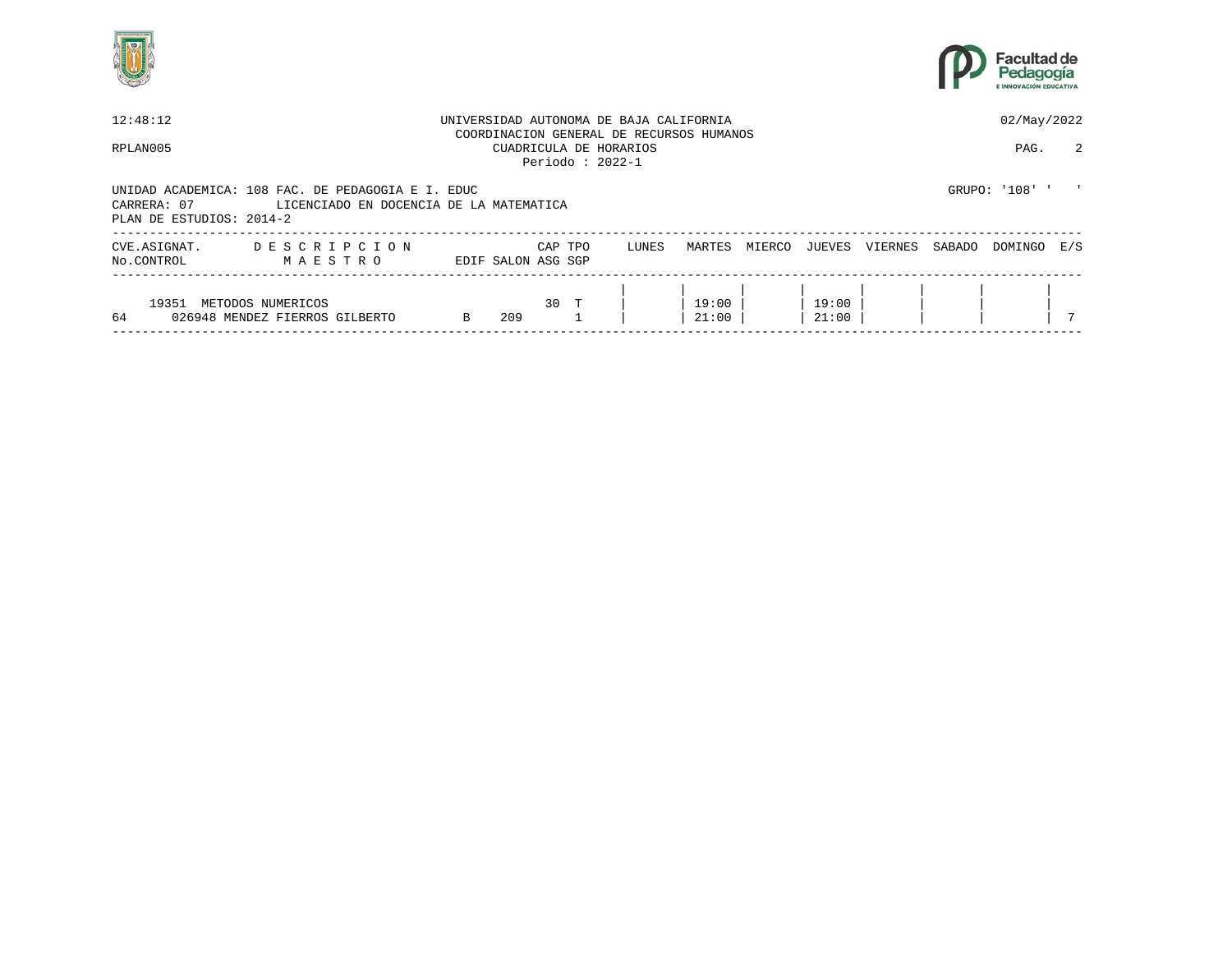



| 12:48:12                                |                                                                                              |   |                    |         | UNIVERSIDAD AUTONOMA DE BAJA CALIFORNIA                                                  |                |        |                |         |        | 02/May/2022  |     |
|-----------------------------------------|----------------------------------------------------------------------------------------------|---|--------------------|---------|------------------------------------------------------------------------------------------|----------------|--------|----------------|---------|--------|--------------|-----|
| RPLAN005                                |                                                                                              |   |                    |         | COORDINACION GENERAL DE RECURSOS HUMANOS<br>CUADRICULA DE HORARIOS<br>Periodo : $2022-1$ |                |        |                |         |        | PAG.         | 2   |
| CARRERA: 07<br>PLAN DE ESTUDIOS: 2014-2 | UNIDAD ACADEMICA: 108 FAC. DE PEDAGOGIA E I. EDUC<br>LICENCIADO EN DOCENCIA DE LA MATEMATICA |   |                    |         |                                                                                          |                |        |                |         |        | GRUPO: '108' |     |
| CVE.ASIGNAT.<br>No.CONTROL              | DESCRIPCION<br>MAESTRO                                                                       |   | EDIF SALON ASG SGP | CAP TPO | LUNES                                                                                    | MARTES         | MIERCO | JUEVES         | VIERNES | SABADO | DOMINGO      | E/S |
| 19351<br>64                             | METODOS NUMERICOS<br>026948 MENDEZ FIERROS GILBERTO                                          | B | 209                | $30$ T  |                                                                                          | 19:00<br>21:00 |        | 19:00<br>21:00 |         |        |              |     |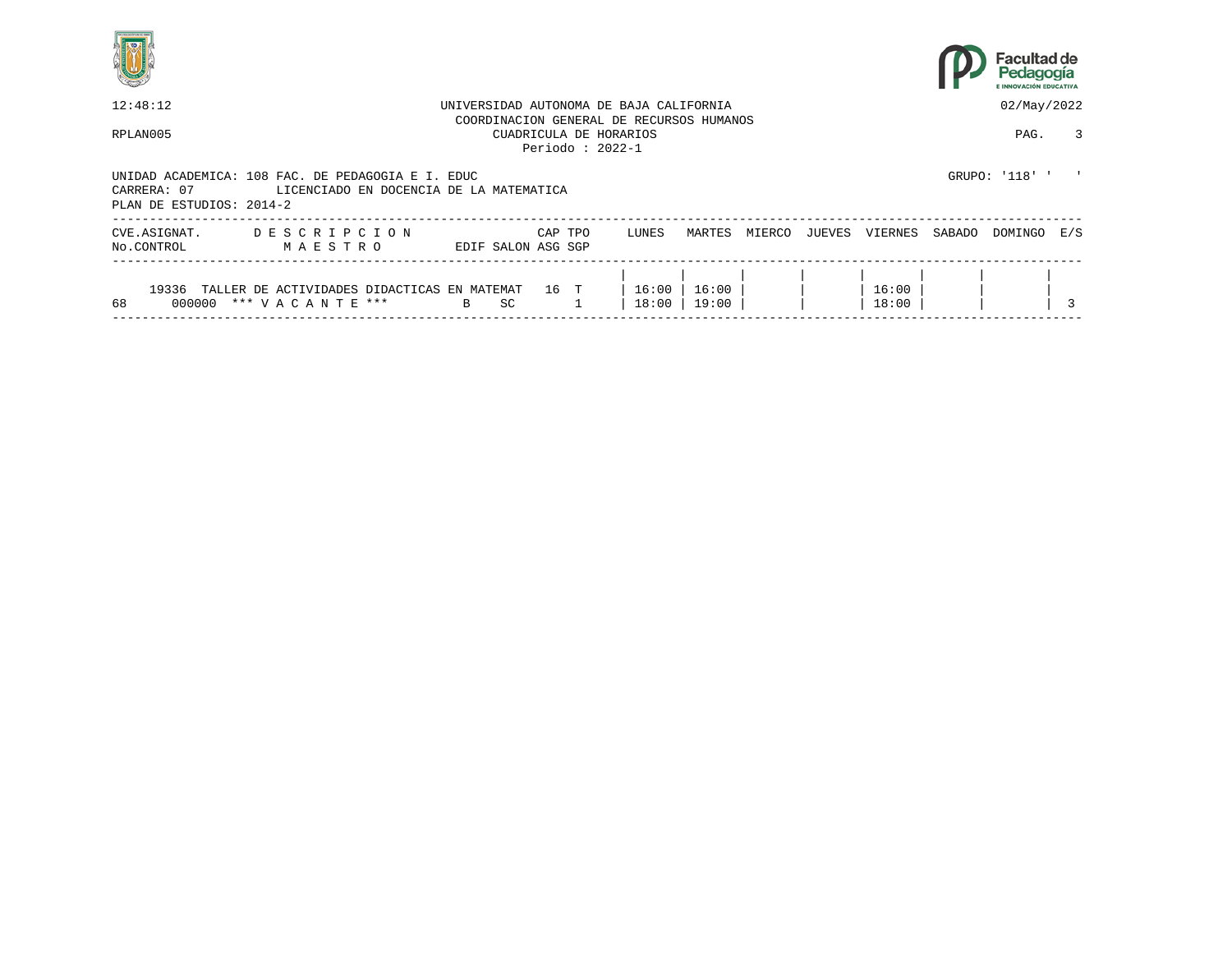



| 12:48:12                                                                                     |                                                                      |                                         |                    |           |         |                   | UNIVERSIDAD AUTONOMA DE BAJA CALIFORNIA                            |                |        |        |                |        | 02/May/2022  |   |
|----------------------------------------------------------------------------------------------|----------------------------------------------------------------------|-----------------------------------------|--------------------|-----------|---------|-------------------|--------------------------------------------------------------------|----------------|--------|--------|----------------|--------|--------------|---|
| RPLAN005                                                                                     |                                                                      |                                         |                    |           |         | Periodo: $2022-1$ | COORDINACION GENERAL DE RECURSOS HUMANOS<br>CUADRICULA DE HORARIOS |                |        |        |                |        | PAG.         | 3 |
| UNIDAD ACADEMICA: 108 FAC. DE PEDAGOGIA E I. EDUC<br>CARRERA: 07<br>PLAN DE ESTUDIOS: 2014-2 |                                                                      | LICENCIADO EN DOCENCIA DE LA MATEMATICA |                    |           |         |                   |                                                                    |                |        |        |                |        | GRUPO: '118' |   |
| CVE.ASIGNAT.<br>No.CONTROL                                                                   | DESCRIPCION<br>MAESTRO                                               |                                         | EDIF SALON ASG SGP |           | CAP TPO |                   | LUNES                                                              | MARTES         | MIERCO | JUEVES | VIERNES        | SABADO | DOMINGO E/S  |   |
| 19336<br>68<br>000000                                                                        | TALLER DE ACTIVIDADES DIDACTICAS EN MATEMAT<br>*** V A C A N T E *** |                                         | $\mathbf{B}$       | <b>SC</b> | 16 T    |                   | 16:00<br>18:00                                                     | 16:00<br>19:00 |        |        | 16:00<br>18:00 |        |              |   |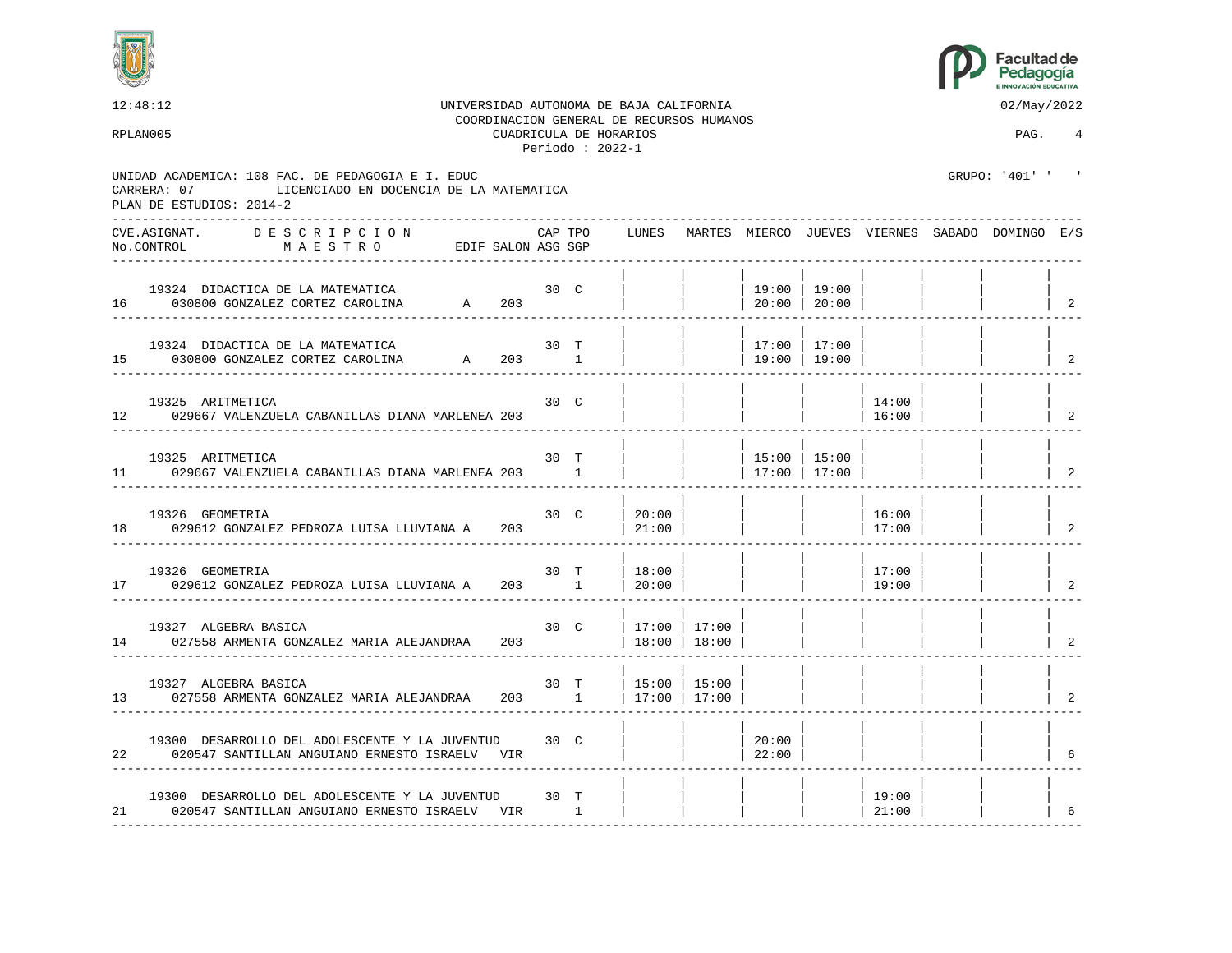



12:48:12 UNIVERSIDAD AUTONOMA DE BAJA CALIFORNIA 02/May/2022 COORDINACION GENERAL DE RECURSOS HUMANOS RPLAN005 CUADRICULA DE HORARIOS PAG. 4 Periodo : 2022-1 UNIDAD ACADEMICA: 108 FAC. DE PEDAGOGIA E I. EDUC GRUPO: '401' ' CARRERA: 07 LICENCIADO EN DOCENCIA DE LA MATEMATICA PLAN DE ESTUDIOS: 2014-2 ---------------------------------------------------------------------------------------------------------------------------------- CVE.ASIGNAT. D E S C R I P C I O N CAP TPO LUNES MARTES MIERCO JUEVES VIERNES SABADO DOMINGO E/S No.CONTROL M A E S T R O EDIF SALON ASG SGP ---------------------------------------------------------------------------------------------------------------------------------- | | | | | | | | 19324 DIDACTICA DE LA MATEMATICA 30 C | | | 19:00 | 19:00 | | | | 16 030800 GONZALEZ CORTEZ CAROLINA A 203 ---------------------------------------------------------------------------------------------------------------------------------- | | | | | | | | 19324 DIDACTICA DE LA MATEMATICA 30 T | | | 17:00 | 17:00 | | | | 15 030800 GONZALEZ CORTEZ CAROLINA A 203 1 | | | 19:00 | 19:00 | | | | | ---------------------------------------------------------------------------------------------------------------------------------- | | | | | | | | 19325 ARITMETICA 30 C | | | | | 14:00 | | | 12 029667 VALENZUELA CABANILLAS DIANA MARLENEA 203 | | | | | 16:00 | | | 2 ---------------------------------------------------------------------------------------------------------------------------------- | | | | | | | | 19325 ARITMETICA 30 T | | | 15:00 | 15:00 | | | | 11 029667 VALENZUELA CABANILLAS DIANA MARLENEA 203 1 | | | 17:00 | 17:00 | | | | | | | 2 ---------------------------------------------------------------------------------------------------------------------------------- | | | | | | | | 19326 GEOMETRIA 30 C | 20:00 | | | | 16:00 | | | 18 029612 GONZALEZ PEDROZA LUISA LLUVIANA A 203 | 21:00 | | | | | 17:00 | | | | ---------------------------------------------------------------------------------------------------------------------------------- | | | | | | | | 19326 GEOMETRIA 30 T | 18:00 | | | | 17:00 | | | 17 029612 GONZALEZ PEDROZA LUISA LLUVIANA A 203 1 | 20:00 | | | | 19:00 | | | 2 ---------------------------------------------------------------------------------------------------------------------------------- | | | | | | | | 19327 ALGEBRA BASICA 30 C | 17:00 | 17:00<br>027558 ARMENTA GONZALEZ MARIA ALEJANDRAA 203 | 18:00 | 18:00 | 18:00 14 027558 ARMENTA GONZALEZ MARIA ALEJANDRAA 203 | 18:00 | 18:00 | | | | | | | | | 2 ---------------------------------------------------------------------------------------------------------------------------------- | | | | | | | | 19327 ALGEBRA BASICA 30 T | 15:00 | 15:00 | | | | | | 13 027558 ARMENTA GONZALEZ MARIA ALEJANDRAA 203 1 | 17:00 | 17:00 | | | | | | 2 ---------------------------------------------------------------------------------------------------------------------------------- | | | | | | | | 19300 DESARROLLO DEL ADOLESCENTE Y LA JUVENTUD 30 C  $\begin{array}{|c|c|c|c|c|c|c|c|c|} \hline \rule{0pt}{1ex} & & \multicolumn{3}{|c|}{20:00} & & \multicolumn{3}{|c|}{20:00} & \multicolumn{3}{|c|}{22:00} & \multicolumn{3}{|c|}{22:00} & \multicolumn{3}{|c|}{22:00} & \multicolumn{3}{|c|}{22:00} & \multicolumn{3}{|c|}{22:00} & \multic$ 22 020547 SANTILLAN ANGUIANO ERNESTO ISRAELV VIR | | | 22:00 | | | | | 6 ---------------------------------------------------------------------------------------------------------------------------------- | | | | | | | | 19300 DESARROLLO DEL ADOLESCENTE Y LA JUVENTUD 30 T | | | | | 19:00 | | | 21 020547 SANTILLAN ANGUIANO ERNESTO ISRAELV VIR 1 | | | | | | | 21:00 | | | |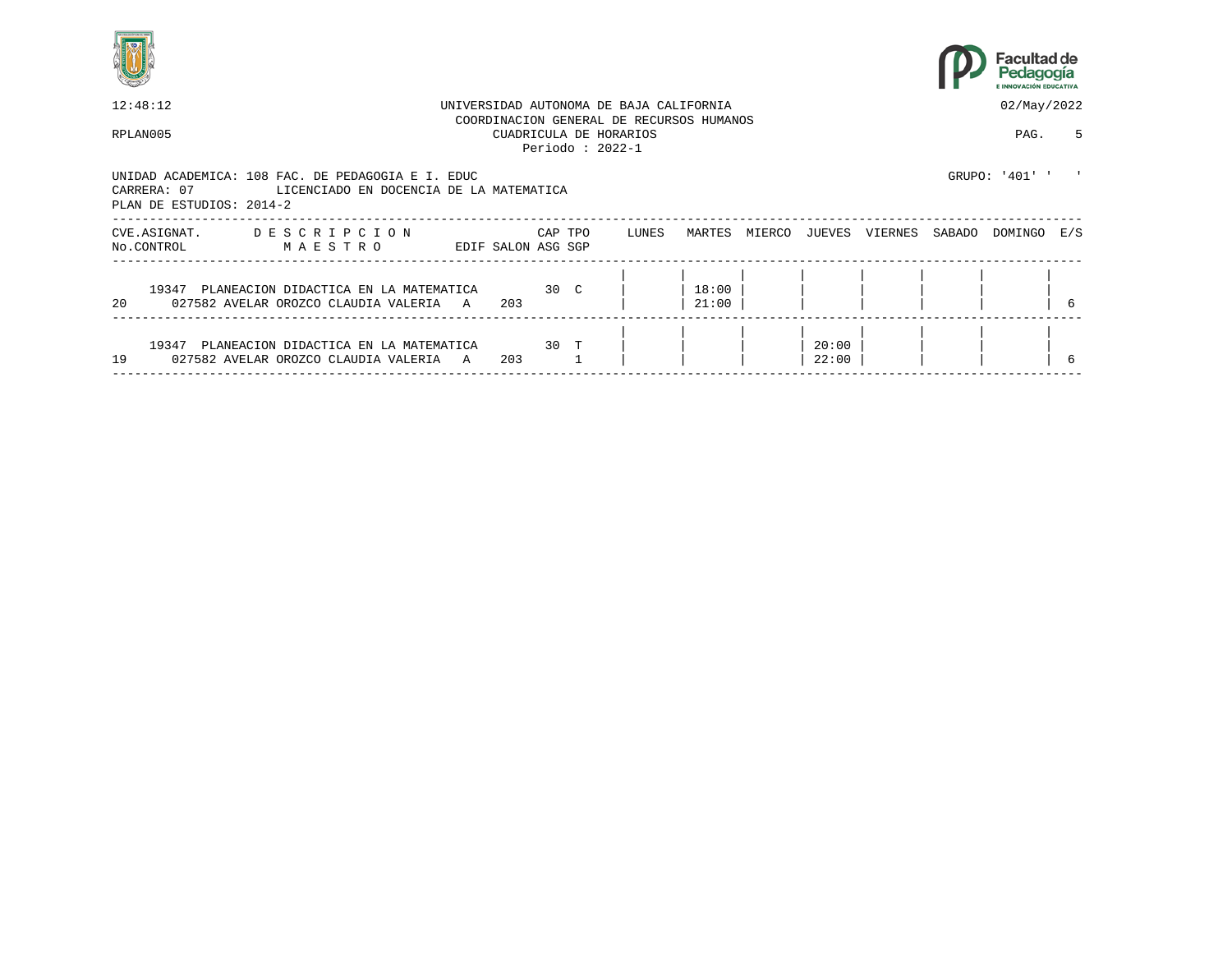



| 12:48:12                                                                                                                                |   |                    |         |                                              | UNIVERSIDAD AUTONOMA DE BAJA CALIFORNIA |                                          |        |                |         |        | 02/May/2022    |     |
|-----------------------------------------------------------------------------------------------------------------------------------------|---|--------------------|---------|----------------------------------------------|-----------------------------------------|------------------------------------------|--------|----------------|---------|--------|----------------|-----|
| RPLAN005                                                                                                                                |   |                    |         | CUADRICULA DE HORARIOS<br>Periodo : $2022-1$ |                                         | COORDINACION GENERAL DE RECURSOS HUMANOS |        |                |         |        | PAG.           | 5.  |
| UNIDAD ACADEMICA: 108 FAC. DE PEDAGOGIA E I. EDUC<br>CARRERA: 07<br>LICENCIADO EN DOCENCIA DE LA MATEMATICA<br>PLAN DE ESTUDIOS: 2014-2 |   |                    |         |                                              |                                         |                                          |        |                |         |        | GRUPO: '401' ' |     |
| CVE.ASIGNAT.<br>DESCRIPCION<br>No.CONTROL<br>MAESTRO                                                                                    |   | EDIF SALON ASG SGP | CAP TPO |                                              | LUNES                                   | MARTES                                   | MIERCO | JUEVES         | VIERNES | SABADO | DOMINGO        | E/S |
| 19347<br>PLANEACION DIDACTICA EN LA MATEMATICA<br>20<br>027582 AVELAR OROZCO CLAUDIA VALERIA                                            | A | 203                | 30 C    |                                              |                                         | 18:00<br>21:00                           |        |                |         |        |                |     |
| 19347<br>PLANEACION DIDACTICA EN LA MATEMATICA<br>19<br>027582 AVELAR OROZCO CLAUDIA VALERIA                                            | A | 203                | 30 T    |                                              |                                         |                                          |        | 20:00<br>22:00 |         |        |                |     |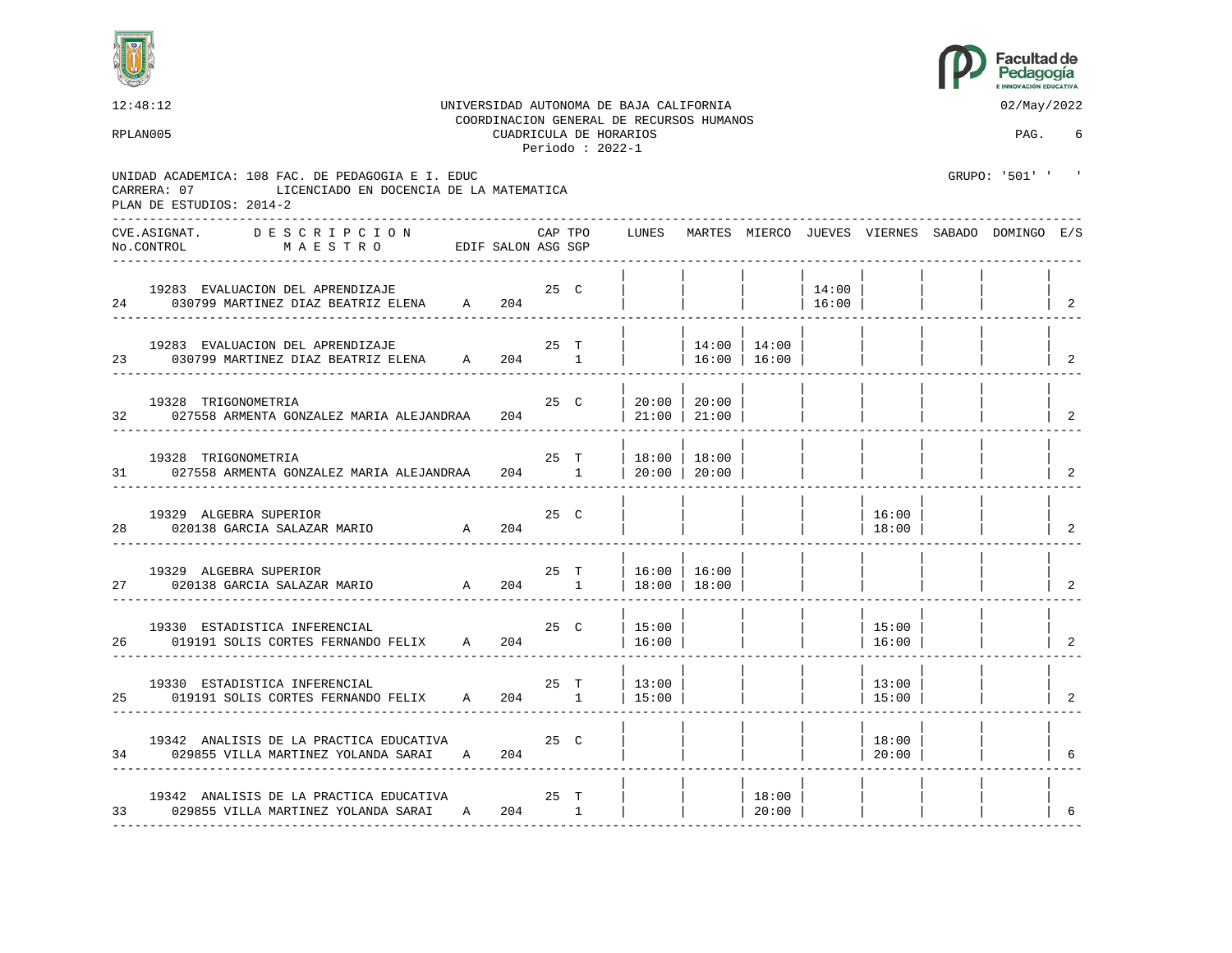



| 12:48:12                                                                                     |                                         |        |             |                                             | UNIVERSIDAD AUTONOMA DE BAJA CALIFORNIA<br>COORDINACION GENERAL DE RECURSOS HUMANOS |                                  |                    |                 |                    | 02/May/2022                                           |                                        |
|----------------------------------------------------------------------------------------------|-----------------------------------------|--------|-------------|---------------------------------------------|-------------------------------------------------------------------------------------|----------------------------------|--------------------|-----------------|--------------------|-------------------------------------------------------|----------------------------------------|
| RPLAN005                                                                                     |                                         |        |             | CUADRICULA DE HORARIOS<br>Periodo: $2022-1$ |                                                                                     |                                  |                    |                 |                    | PAG.                                                  | 6                                      |
| UNIDAD ACADEMICA: 108 FAC. DE PEDAGOGIA E I. EDUC<br>CARRERA: 07<br>PLAN DE ESTUDIOS: 2014-2 | LICENCIADO EN DOCENCIA DE LA MATEMATICA |        |             |                                             |                                                                                     |                                  |                    |                 |                    | GRUPO: '501' ' '                                      |                                        |
| CVE.ASIGNAT. DESCRIPCION<br>No.CONTROL<br>M A E S T R O                                      | EDIF SALON ASG SGP                      |        | CAP TPO     |                                             |                                                                                     |                                  |                    |                 |                    | LUNES MARTES MIERCO JUEVES VIERNES SABADO DOMINGO E/S |                                        |
| 19283 EVALUACION DEL APRENDIZAJE<br>24 030799 MARTINEZ DIAZ BEATRIZ ELENA A 204              | 25 C                                    |        |             |                                             |                                                                                     |                                  |                    | 14:00<br> 16:00 |                    |                                                       | $\overline{2}$                         |
| 19283 EVALUACION DEL APRENDIZAJE<br>23 030799 MARTINEZ DIAZ BEATRIZ ELENA A 204 1            |                                         |        | 25 T        |                                             |                                                                                     | $14:00$ 14:00<br>  16:00   16:00 |                    |                 |                    |                                                       | 2                                      |
| 19328 TRIGONOMETRIA<br>32 027558 ARMENTA GONZALEZ MARIA ALEJANDRAA                           |                                         |        | 25 C<br>204 |                                             | 20:00 20:00<br>  $21:00$   $21:00$                                                  |                                  |                    |                 |                    |                                                       | 2                                      |
| 19328 TRIGONOMETRIA<br>027558 ARMENTA GONZALEZ MARIA ALEJANDRAA<br>31                        |                                         | 204 1  | 25 T        |                                             | 18:00   18:00<br> 20:00 20:00                                                       |                                  |                    |                 |                    |                                                       | 2                                      |
| 19329 ALGEBRA SUPERIOR<br>28 020138 GARCIA SALAZAR MARIO                                     | $\overline{A}$                          | 204    | 25 C        |                                             |                                                                                     |                                  |                    |                 | 16:00<br> 18:00    |                                                       | $\overline{2}$                         |
| 19329 ALGEBRA SUPERIOR<br>27 020138 GARCIA SALAZAR MARIO                                     | A 204 1   18:00   18:00                 |        | 25 T        |                                             | $16:00$   $16:00$                                                                   |                                  |                    |                 |                    |                                                       | $\overline{2}$                         |
| 19330 ESTADISTICA INFERENCIAL<br>019191 SOLIS CORTES FERNANDO FELIX A 204<br>26              |                                         |        |             | 25 C                                        | 15:00<br>16:00                                                                      |                                  |                    |                 | 15:00<br>16:00     |                                                       | $\begin{array}{ccc} \ & 2 \end{array}$ |
| 19330 ESTADISTICA INFERENCIAL<br>25 019191 SOLIS CORTES FERNANDO FELIX A 204 1               |                                         |        | 25 T        |                                             | 13:00<br>15:00                                                                      |                                  |                    |                 | 13:00<br>15:00     |                                                       | 2                                      |
| 19342 ANALISIS DE LA PRACTICA EDUCATIVA<br>34 029855 VILLA MARTINEZ YOLANDA SARAI A 204      |                                         | $25$ C |             |                                             |                                                                                     |                                  |                    |                 | 18:00<br>  $20:00$ |                                                       | 6                                      |
| 19342 ANALISIS DE LA PRACTICA EDUCATIVA<br>33 029855 VILLA MARTINEZ YOLANDA SARAI A 204 1    |                                         | 25 T   |             |                                             |                                                                                     |                                  | 18:00<br>  $20:00$ |                 |                    |                                                       | 6                                      |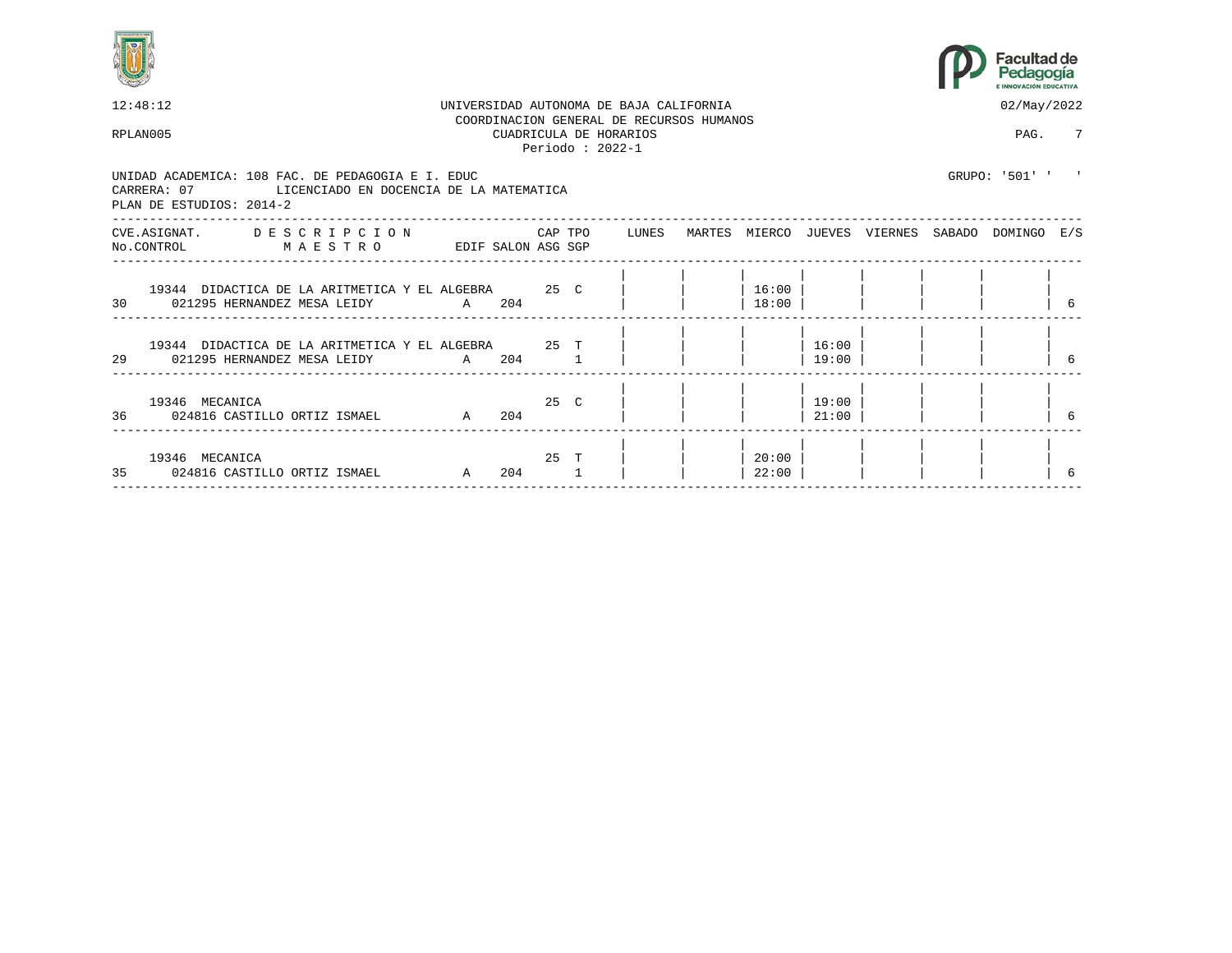



| 12:48:12 |                                                                                                                                      |                    |     |      | UNIVERSIDAD AUTONOMA DE BAJA CALIFORNIA<br>COORDINACION GENERAL DE RECURSOS HUMANOS |                |                |  | 02/May/2022                                     |   |
|----------|--------------------------------------------------------------------------------------------------------------------------------------|--------------------|-----|------|-------------------------------------------------------------------------------------|----------------|----------------|--|-------------------------------------------------|---|
| RPLAN005 |                                                                                                                                      |                    |     |      | CUADRICULA DE HORARIOS<br>Periodo: $2022-1$                                         |                |                |  | PAG.                                            | 7 |
|          | UNIDAD ACADEMICA: 108 FAC. DE PEDAGOGIA E I. EDUC<br>CARRERA: 07 LICENCIADO EN DOCENCIA DE LA MATEMATICA<br>PLAN DE ESTUDIOS: 2014-2 |                    |     |      |                                                                                     |                |                |  | GRUPO: '501' '                                  |   |
|          | CVE.ASIGNAT. DESCRIPCION CAPTPO LUNES<br>NO.CONTROL MAESTRO                                                                          | EDIF SALON ASG SGP |     |      |                                                                                     |                |                |  | MARTES MIERCO JUEVES VIERNES SABADO DOMINGO E/S |   |
|          | 19344 DIDACTICA DE LA ARITMETICA Y EL ALGEBRA 25 C<br>30 021295 HERNANDEZ MESA LEIDY                                                 | A 204              |     |      |                                                                                     | 16:00<br>18:00 |                |  |                                                 | 6 |
| 29       | 19344 DIDACTICA DE LA ARITMETICA Y EL ALGEBRA 25 T                                                                                   |                    |     |      |                                                                                     |                | 16:00<br>19:00 |  |                                                 |   |
|          | 19346 MECANICA<br>36 024816 CASTILLO ORTIZ ISMAEL                                                                                    | A 204              |     | 25 C |                                                                                     |                | 19:00<br>21:00 |  |                                                 |   |
|          | 19346 MECANICA<br>35 024816 CASTILLO ORTIZ ISMAEL                                                                                    | A <sub>a</sub>     | 204 | 25 T |                                                                                     | 20:00<br>22:00 |                |  |                                                 |   |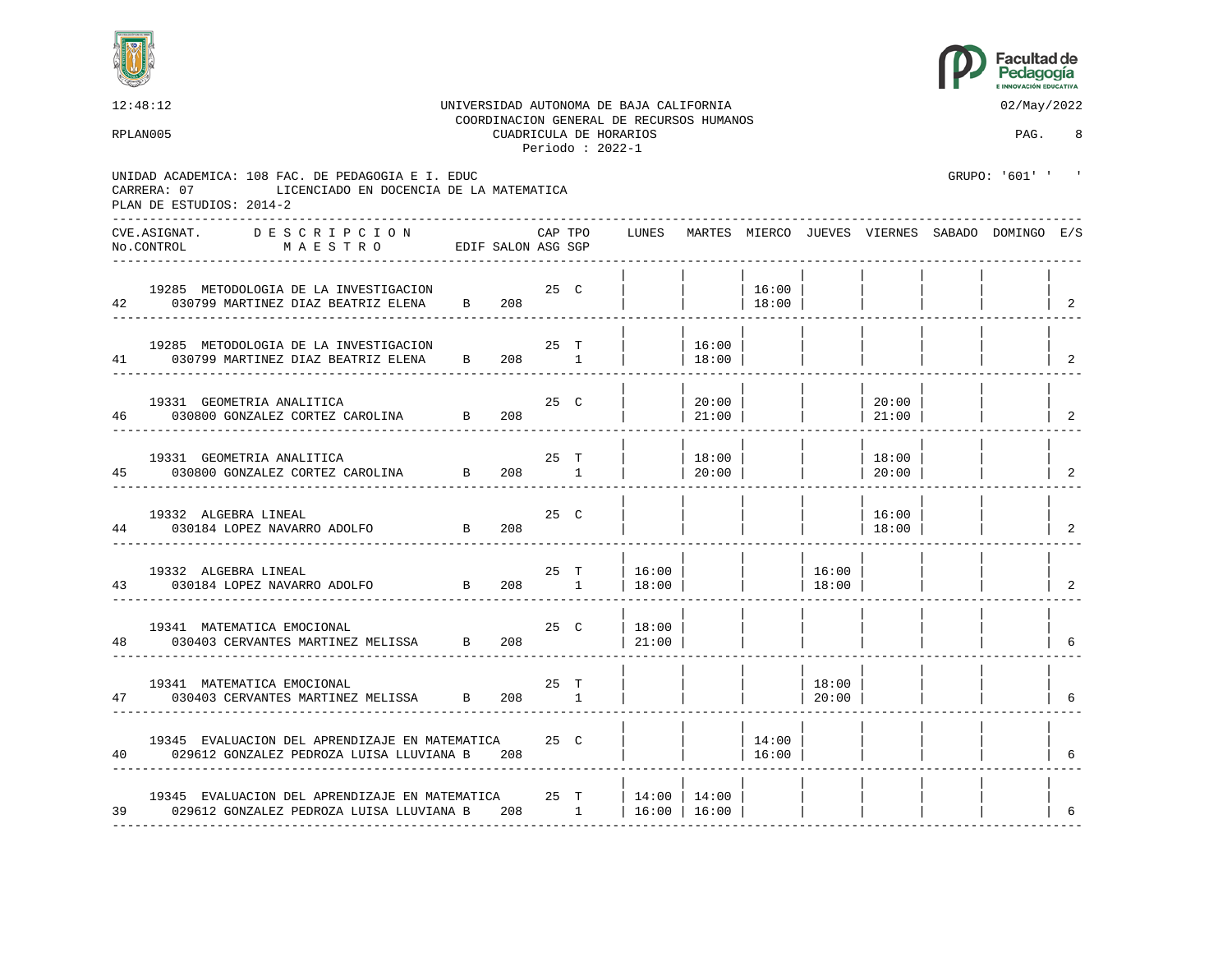



12:48:12 UNIVERSIDAD AUTONOMA DE BAJA CALIFORNIA 02/May/2022 COORDINACION GENERAL DE RECURSOS HUMANOS RPLAN005 CUADRICULA DE HORARIOS PAG. 8 Periodo : 2022-1 UNIDAD ACADEMICA: 108 FAC. DE PEDAGOGIA E I. EDUC GRUPO: '601' ' CARRERA: 07 LICENCIADO EN DOCENCIA DE LA MATEMATICA PLAN DE ESTUDIOS: 2014-2 ---------------------------------------------------------------------------------------------------------------------------------- CVE.ASIGNAT. D E S C R I P C I O N CAP TPO LUNES MARTES MIERCO JUEVES VIERNES SABADO DOMINGO E/S No.CONTROL M A E S T R O EDIF SALON ASG SGP ---------------------------------------------------------------------------------------------------------------------------------- | | | | | | | | 19285 METODOLOGIA DE LA INVESTIGACION 25 C | | | 16:00 | | | | | 42 030799 MARTINEZ DIAZ BEATRIZ ELENA B 208 ---------------------------------------------------------------------------------------------------------------------------------- | | | | | | | | 19285 METODOLOGIA DE LA INVESTIGACION 25 T | | 16:00 | | | | | | 41 030799 MARTINEZ DIAZ BEATRIZ ELENA B 208 1 | | 18:00 | | | | | | 2 ---------------------------------------------------------------------------------------------------------------------------------- | | | | | | | | 19331 GEOMETRIA ANALITICA 25 C | | 20:00 | | | 20:00 | | | 46 030800 GONZALEZ CORTEZ CAROLINA B 208 | 21:00 | | | 21:00 | ---------------------------------------------------------------------------------------------------------------------------------- | | | | | | | | 19331 GEOMETRIA ANALITICA 25 T | | 18:00 | | | 18:00 | | | 45 030800 GONZALEZ CORTEZ CAROLINA B 208 1 | | 20:00 | | | 20:00 | | | 2 ---------------------------------------------------------------------------------------------------------------------------------- | | | | | | | | 19332 ALGEBRA LINEAL 25 C | | | | | 16:00 | | | 44 030184 LOPEZ NAVARRO ADOLFO B 208 | | | | | 18:00 | | | 2 ---------------------------------------------------------------------------------------------------------------------------------- | | | | | | | | 19332 ALGEBRA LINEAL 25 T | 16:00 | | | 16:00 | | | | 43 030184 LOPEZ NAVARRO ADOLFO B 208 1 | 18:00 | | | 18:00 | | | | 2 ---------------------------------------------------------------------------------------------------------------------------------- | | | | | | | | 19341 MATEMATICA EMOCIONAL 25 C | 18:00 48 030403 CERVANTES MARTINEZ MELISSA B 208 | 21:00 | | | | | | | 6 ---------------------------------------------------------------------------------------------------------------------------------- | | | | | | | | 19341 MATEMATICA EMOCIONAL 25 T | | | | 18:00 | | | | 47 030403 CERVANTES MARTINEZ MELISSA B 208 1 | | | | 20:00 | | | | 6 ---------------------------------------------------------------------------------------------------------------------------------- | | | | | | | | 19345 EVALUACION DEL APRENDIZAJE EN MATEMATICA  $25$  C | | | | 14:00 | 029612 GONZALEZ PEDROZA LUISA LLUVIANA B 208 40 029612 GONZALEZ PEDROZA LUISA LLUVIANA B 208 | | | 16:00 | | | | | 6 ---------------------------------------------------------------------------------------------------------------------------------- | | | | | | | | 19345 EVALUACION DEL APRENDIZAJE EN MATEMATICA  $25$  T  $14:00$  | 14:00 | 39 029612 GONZALEZ PEDROZA LUISA LLUVIANA B 208 1 | 16:00 | 16:00 | | | | | | 6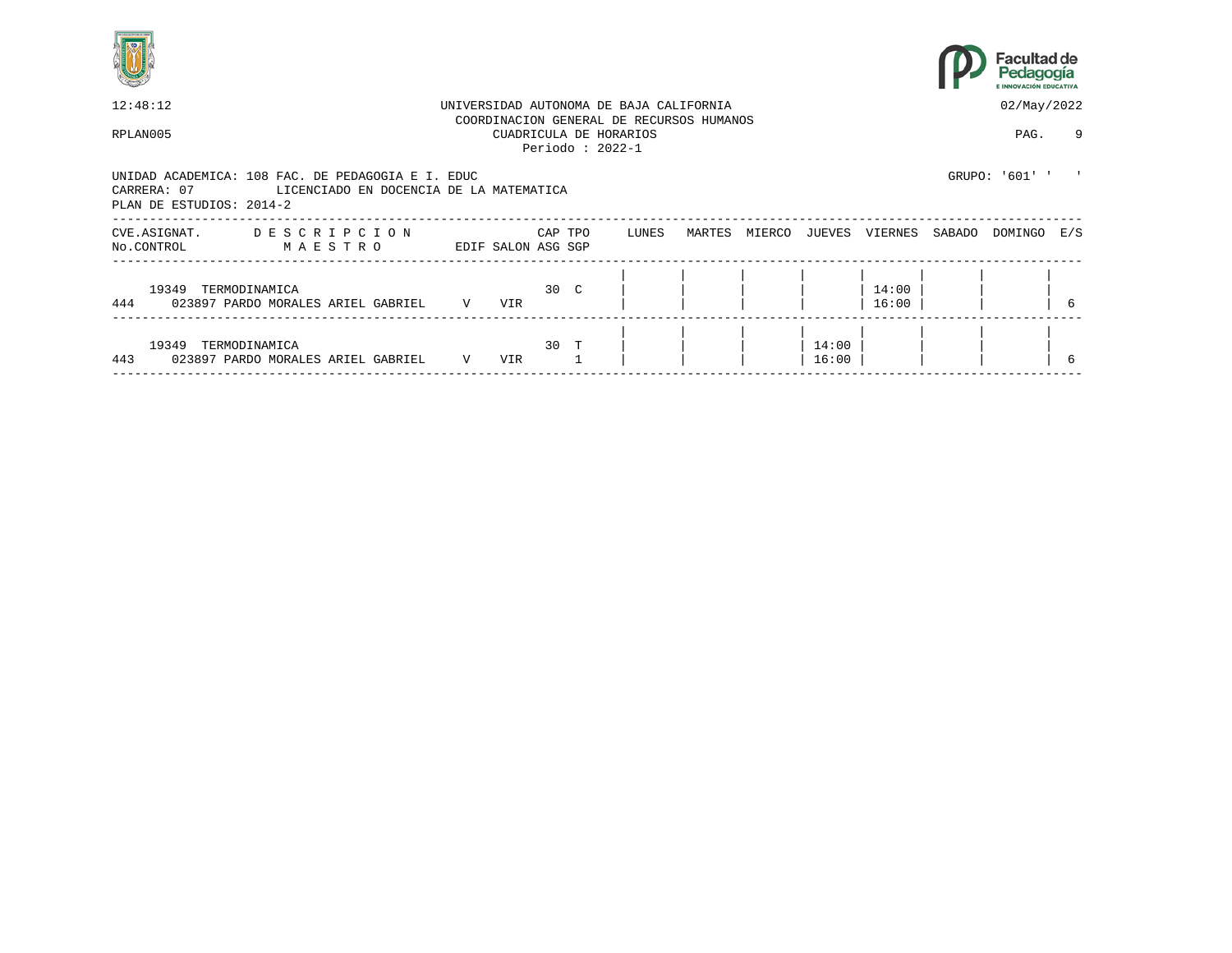



| 12:48:12                                                                                                                                |             |                    |              | UNIVERSIDAD AUTONOMA DE BAJA CALIFORNIA     |       |                                          |        |                |                |        | 02/May/2022    |     |
|-----------------------------------------------------------------------------------------------------------------------------------------|-------------|--------------------|--------------|---------------------------------------------|-------|------------------------------------------|--------|----------------|----------------|--------|----------------|-----|
| RPLAN005                                                                                                                                |             |                    |              | CUADRICULA DE HORARIOS<br>Periodo: $2022-1$ |       | COORDINACION GENERAL DE RECURSOS HUMANOS |        |                |                |        | PAG.           | 9   |
| UNIDAD ACADEMICA: 108 FAC. DE PEDAGOGIA E I. EDUC<br>CARRERA: 07<br>LICENCIADO EN DOCENCIA DE LA MATEMATICA<br>PLAN DE ESTUDIOS: 2014-2 |             |                    |              |                                             |       |                                          |        |                |                |        | GRUPO: '601' ' |     |
| DESCRIPCION<br>CVE.ASIGNAT.<br>MAESTRO<br>No.CONTROL                                                                                    |             | EDIF SALON ASG SGP | CAP TPO      |                                             | LUNES | MARTES                                   | MIERCO | JUEVES         | VIERNES        | SABADO | DOMINGO        | E/S |
| 19349 TERMODINAMICA<br>444<br>023897 PARDO MORALES ARIEL GABRIEL                                                                        | V           | VIR                | $30 \quad C$ |                                             |       |                                          |        |                | 14:00<br>16:00 |        |                |     |
| 19349<br>TERMODINAMICA<br>443<br>023897 PARDO MORALES ARIEL GABRIEL                                                                     | $\mathbf V$ | VIR                | 30 T         |                                             |       |                                          |        | 14:00<br>16:00 |                |        |                |     |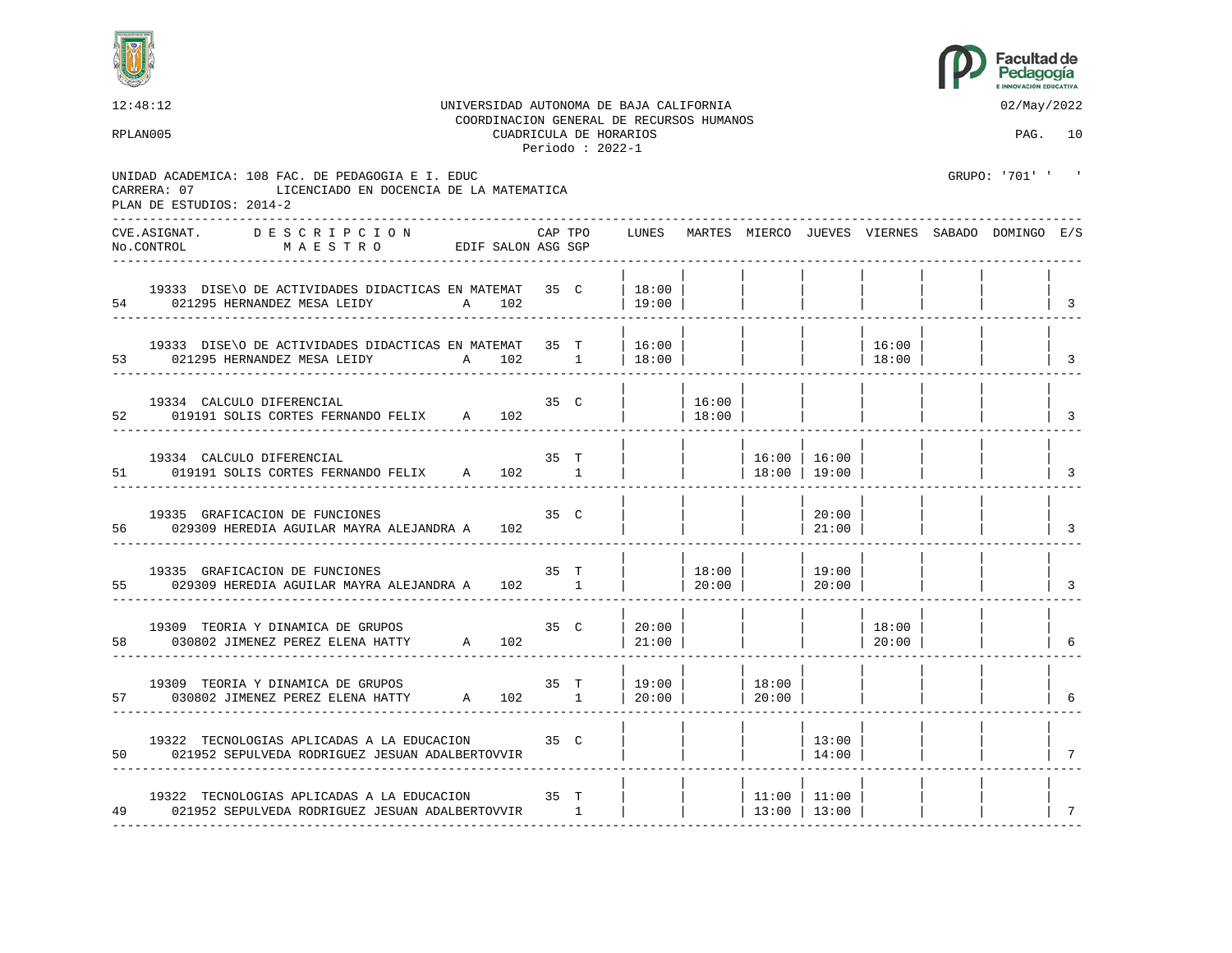



| 12:48:12<br>RPLAN005                                                                                                                    |                    |     |         | CUADRICULA DE HORARIOS<br>Periodo: $2022-1$ | UNIVERSIDAD AUTONOMA DE BAJA CALIFORNIA<br>COORDINACION GENERAL DE RECURSOS HUMANOS |                  |                                                         |                                                                 |                | 02/May/2022<br>PAG. 10                                |                            |
|-----------------------------------------------------------------------------------------------------------------------------------------|--------------------|-----|---------|---------------------------------------------|-------------------------------------------------------------------------------------|------------------|---------------------------------------------------------|-----------------------------------------------------------------|----------------|-------------------------------------------------------|----------------------------|
| UNIDAD ACADEMICA: 108 FAC. DE PEDAGOGIA E I. EDUC<br>CARRERA: 07<br>LICENCIADO EN DOCENCIA DE LA MATEMATICA<br>PLAN DE ESTUDIOS: 2014-2 |                    |     |         |                                             |                                                                                     |                  |                                                         |                                                                 |                | GRUPO: '701' '                                        |                            |
| CVE.ASIGNAT.<br>DESCRIPCION<br>No.CONTROL<br>MAESTRO<br>.                                                                               | EDIF SALON ASG SGP |     | CAP TPO |                                             |                                                                                     |                  |                                                         |                                                                 |                | LUNES MARTES MIERCO JUEVES VIERNES SABADO DOMINGO E/S |                            |
| 19333 DISE\O DE ACTIVIDADES DIDACTICAS EN MATEMAT 35 C<br>A 102<br>54 021295 HERNANDEZ MESA LEIDY                                       |                    |     |         |                                             | 18:00<br> 19:00                                                                     |                  |                                                         |                                                                 |                |                                                       | 3                          |
| 19333 DISE\O DE ACTIVIDADES DIDACTICAS EN MATEMAT 35 T<br>53 021295 HERNANDEZ MESA LEIDY                                                | A 102 1            |     |         |                                             | 16:00<br> 18:00                                                                     |                  |                                                         |                                                                 | 16:00<br>18:00 |                                                       | $\overline{3}$             |
| 19334 CALCULO DIFERENCIAL<br>52<br>019191 SOLIS CORTES FERNANDO FELIX A 102                                                             |                    |     | 35 C    |                                             |                                                                                     | 16:00<br>18:00   |                                                         |                                                                 |                |                                                       | $\overline{3}$             |
| 19334 CALCULO DIFERENCIAL<br>51<br>019191 SOLIS CORTES FERNANDO FELIX A 102 1                                                           |                    |     | 35 T    |                                             |                                                                                     |                  | 16:00   16:00<br>  $18:00$   $19:00$                    |                                                                 |                |                                                       | $\overline{3}$             |
| 19335 GRAFICACION DE FUNCIONES<br>56<br>029309 HEREDIA AGUILAR MAYRA ALEJANDRA A                                                        |                    | 102 | 35 C    |                                             |                                                                                     |                  |                                                         | 20:00<br> 21:00                                                 |                |                                                       | $\overline{\phantom{a}}$   |
| 19335 GRAFICACION DE FUNCIONES<br>55<br>029309 HEREDIA AGUILAR MAYRA ALEJANDRA A 102 1                                                  |                    |     | 35 T    |                                             |                                                                                     | 18:00 <br> 20:00 |                                                         | 19:00<br>$\begin{array}{c c} \hline \text{20:00} & \end{array}$ |                |                                                       | $\overline{\phantom{a}}$ 3 |
| 19309 TEORIA Y DINAMICA DE GRUPOS<br>030802 JIMENEZ PEREZ ELENA HATTY A 102<br>58                                                       |                    |     | 35 C    |                                             | 20:00<br> 21:00                                                                     |                  |                                                         |                                                                 | 18:00<br>20:00 |                                                       | 6                          |
| 19309 TEORIA Y DINAMICA DE GRUPOS<br>030802 JIMENEZ PEREZ ELENA HATTY A 102 1<br>57                                                     |                    |     |         | 35 T                                        | 19:00<br>  20:00                                                                    |                  | $\begin{array}{c c} \hline \end{array}$ 18:00<br> 20:00 |                                                                 |                |                                                       | 6                          |
| 19322 TECNOLOGIAS APLICADAS A LA EDUCACION 35 C<br>50 021952 SEPULVEDA RODRIGUEZ JESUAN ADALBERTOVVIR                                   |                    |     |         |                                             |                                                                                     |                  |                                                         | 13:00<br>14:00                                                  |                |                                                       |                            |
| 19322 TECNOLOGIAS APLICADAS A LA EDUCACION 35 T<br>49 021952 SEPULVEDA RODRIGUEZ JESUAN ADALBERTOVVIR 1                                 |                    |     |         |                                             |                                                                                     |                  | 13:00   13:00                                           | $11:00$   11:00                                                 |                |                                                       | 7                          |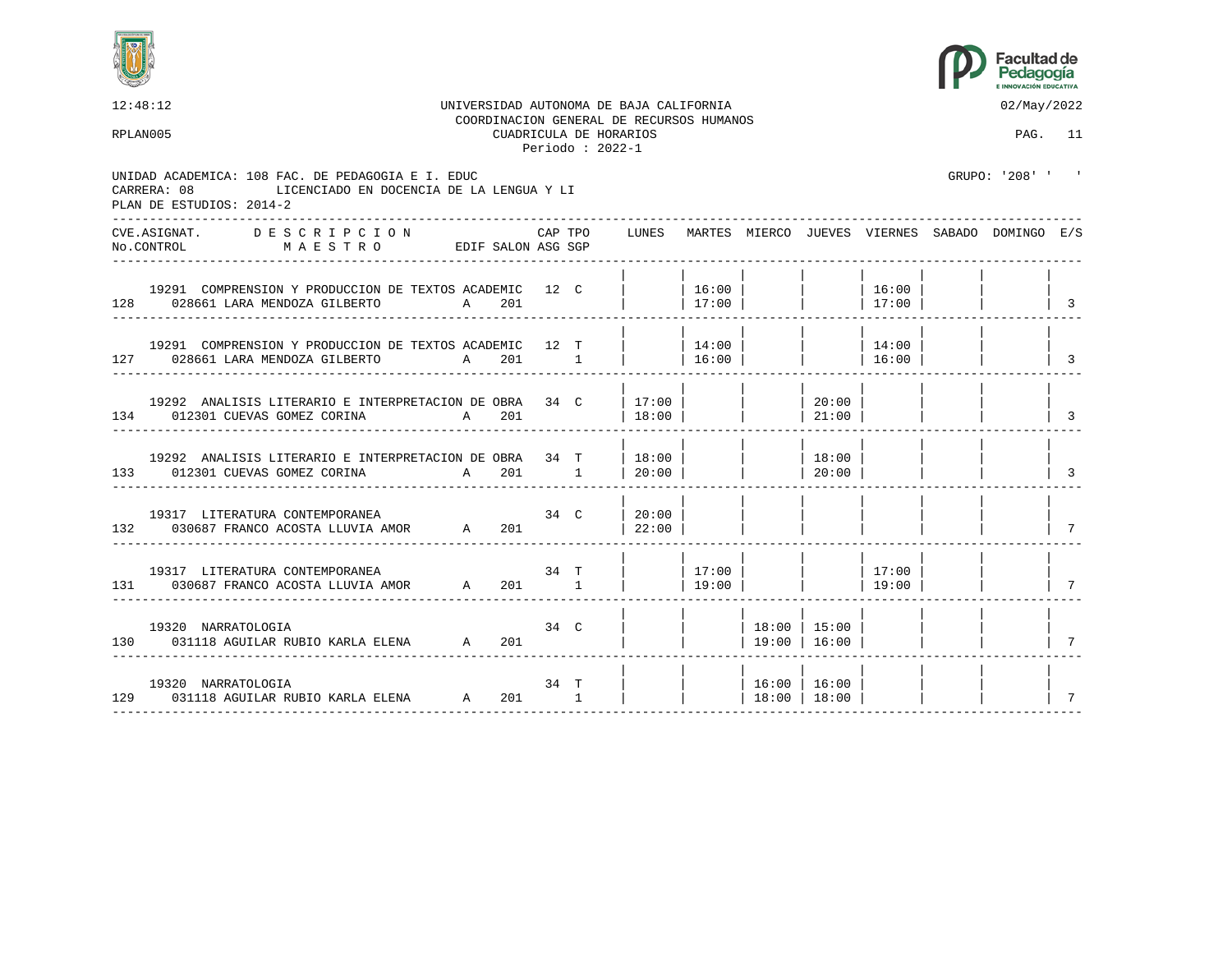



| 12:48:12                                                                                                                                 |     |         |                                             | UNIVERSIDAD AUTONOMA DE BAJA CALIFORNIA<br>COORDINACION GENERAL DE RECURSOS HUMANOS |                 |                                              |                                                                |                | 02/May/2022                                     |                                  |
|------------------------------------------------------------------------------------------------------------------------------------------|-----|---------|---------------------------------------------|-------------------------------------------------------------------------------------|-----------------|----------------------------------------------|----------------------------------------------------------------|----------------|-------------------------------------------------|----------------------------------|
| RPLAN005                                                                                                                                 |     |         | CUADRICULA DE HORARIOS<br>Periodo: $2022-1$ |                                                                                     |                 |                                              |                                                                |                | PAG. 11                                         |                                  |
| UNIDAD ACADEMICA: 108 FAC. DE PEDAGOGIA E I. EDUC<br>CARRERA: 08<br>LICENCIADO EN DOCENCIA DE LA LENGUA Y LI<br>PLAN DE ESTUDIOS: 2014-2 |     |         |                                             |                                                                                     |                 |                                              |                                                                |                | GRIJPO: '208' '                                 |                                  |
| ------------------<br>CVE.ASIGNAT. DESCRIPCION CAPTPO<br>No.CONTROL MAESTRO EDIFSALON ASG SGP                                            |     | CAP TPO |                                             | LUNES                                                                               |                 |                                              |                                                                |                | MARTES MIERCO JUEVES VIERNES SABADO DOMINGO E/S |                                  |
| 19291 COMPRENSION Y PRODUCCION DE TEXTOS ACADEMIC 12 C<br>128 028661 LARA MENDOZA GILBERTO<br>A 201                                      |     |         |                                             |                                                                                     | 16:00<br> 17:00 |                                              |                                                                | 16:00<br>17:00 |                                                 | $\vert$ 3                        |
| 19291 COMPRENSION Y PRODUCCION DE TEXTOS ACADEMIC 12 T<br>127 028661 LARA MENDOZA GILBERTO A 201 1                                       |     |         |                                             | $ $ 14:00                                                                           | 16:00           |                                              | $\vert$ $\vert$ 16:00                                          | 14:00          |                                                 | $\overline{\phantom{a}}$         |
| 19292 ANALISIS LITERARIO E INTERPRETACION DE OBRA 34 C<br>134 012301 CUEVAS GOMEZ CORINA A 201                                           |     |         |                                             | 17:00<br> 18:00                                                                     |                 |                                              | 20:00<br> 21:00                                                |                |                                                 | $\frac{1}{3}$                    |
| 19292 ANALISIS LITERARIO E INTERPRETACION DE OBRA 34 T   18:00<br>133 012301 CUEVAS GOMEZ CORINA A 201 1                                 |     |         |                                             | 20:00                                                                               |                 |                                              | 18:00<br> 20:00                                                |                |                                                 | $\begin{array}{ccc} \end{array}$ |
| 19317 LITERATURA CONTEMPORANEA<br>132 030687 FRANCO ACOSTA LLUVIA AMOR A                                                                 | 201 | 34 C    |                                             | 20:00<br> 22:00                                                                     |                 |                                              |                                                                |                |                                                 | $7\overline{ }$                  |
| 19317 LITERATURA CONTEMPORANEA<br><b>34 T</b><br>131 030687 FRANCO ACOSTA LLUVIA AMOR A 201 1                                            |     |         |                                             | $ $ 19:00                                                                           |                 |                                              | $\begin{array}{ccc} \vert & \vert & \vert & 17:00 \end{array}$ | 19:00          |                                                 | $\overline{7}$                   |
| 19320 NARRATOLOGIA<br>130 031118 AGUILAR RUBIO KARLA ELENA A                                                                             | 201 | 34 C    |                                             |                                                                                     |                 | 18:00 15:00<br>$ $ 19:00   16:00             |                                                                |                |                                                 | $\vert$ 7                        |
| 19320 NARRATOLOGIA<br>129 031118 AGUILAR RUBIO KARLA ELENA A 201 1                                                                       |     | 34 T    |                                             |                                                                                     |                 | 16:00   16:00<br>$\vert$ 18:00 $\vert$ 18:00 |                                                                |                |                                                 | $\overline{7}$                   |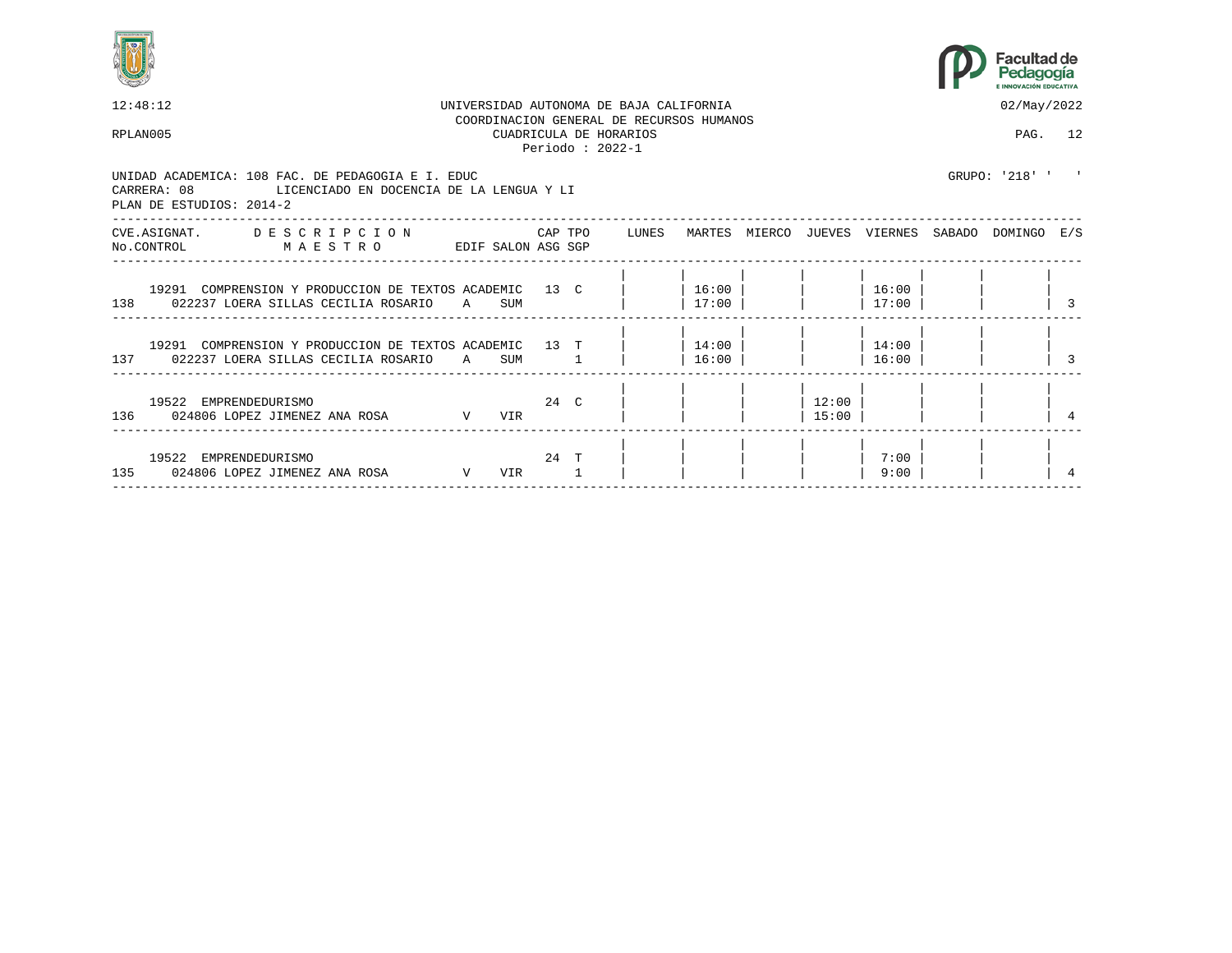



| 12:48:12 |                                                                                                                                       |              |     |      |         | UNIVERSIDAD AUTONOMA DE BAJA CALIFORNIA                                                  |                    |                |                | 02/May/2022                                     |  |
|----------|---------------------------------------------------------------------------------------------------------------------------------------|--------------|-----|------|---------|------------------------------------------------------------------------------------------|--------------------|----------------|----------------|-------------------------------------------------|--|
| RPLAN005 |                                                                                                                                       |              |     |      |         | COORDINACION GENERAL DE RECURSOS HUMANOS<br>CUADRICULA DE HORARIOS<br>Periodo : $2022-1$ |                    |                |                | PAG. 12                                         |  |
|          | UNIDAD ACADEMICA: 108 FAC. DE PEDAGOGIA E I. EDUC<br>CARRERA: 08 LICENCIADO EN DOCENCIA DE LA LENGUA Y LI<br>PLAN DE ESTUDIOS: 2014-2 |              |     |      |         |                                                                                          |                    |                |                | GRUPO: '218' ' '                                |  |
|          | CVE.ASIGNAT. DESCRIPCION<br>No.CONTROL MAESTRO<br>EDIF SALON ASG SGP                                                                  |              |     |      | CAP TPO | LUNES                                                                                    |                    |                |                | MARTES MIERCO JUEVES VIERNES SABADO DOMINGO E/S |  |
|          | 19291 COMPRENSION Y PRODUCCION DE TEXTOS ACADEMIC 13 C<br>138 022237 LOERA SILLAS CECILIA ROSARIO                                     | $\mathsf{A}$ | SUM |      |         |                                                                                          | $16:00$  <br>17:00 |                | 16:00<br>17:00 |                                                 |  |
|          | 19291 COMPRENSION Y PRODUCCION DE TEXTOS ACADEMIC 13 T<br>137 022237 LOERA SILLAS CECILIA ROSARIO A SUM                               |              |     |      |         |                                                                                          | 14:00  <br>16:00   |                | 14:00<br>16:00 |                                                 |  |
|          | 19522 EMPRENDEDURISMO<br>$\mathbf V$<br>136 024806 LOPEZ JIMENEZ ANA ROSA                                                             |              | VIR | 24 C |         |                                                                                          |                    | 12:00<br>15:00 |                |                                                 |  |
|          | 19522 EMPRENDEDURISMO<br>135 024806 LOPEZ JIMENEZ ANA ROSA<br>V <sub>V</sub>                                                          |              | VIR |      | 24 T    |                                                                                          |                    |                | 7:00<br>9:00   |                                                 |  |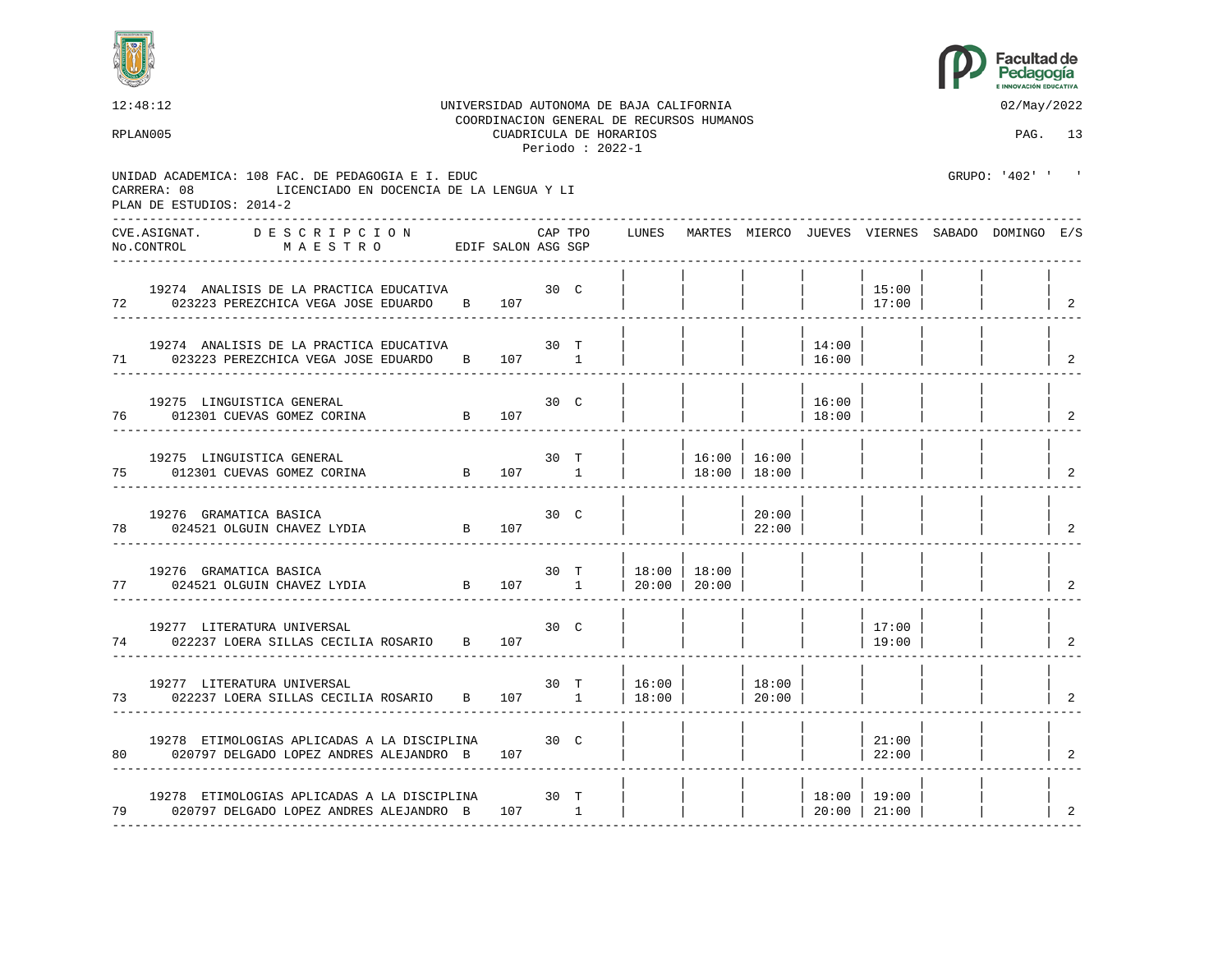



|    | 12:48:12<br>RPLAN005                                                                                                                     |              |         | CUADRICULA DE HORARIOS<br>Periodo : $2022-1$ | UNIVERSIDAD AUTONOMA DE BAJA CALIFORNIA<br>COORDINACION GENERAL DE RECURSOS HUMANOS |                                |                 |                 |                 | 02/May/2022<br>PAG. 13                                |                            |
|----|------------------------------------------------------------------------------------------------------------------------------------------|--------------|---------|----------------------------------------------|-------------------------------------------------------------------------------------|--------------------------------|-----------------|-----------------|-----------------|-------------------------------------------------------|----------------------------|
|    | UNIDAD ACADEMICA: 108 FAC. DE PEDAGOGIA E I. EDUC<br>LICENCIADO EN DOCENCIA DE LA LENGUA Y LI<br>CARRERA: 08<br>PLAN DE ESTUDIOS: 2014-2 |              |         |                                              |                                                                                     |                                |                 |                 |                 | GRUPO: '402' ' '                                      |                            |
|    | DESCRIPCION<br>CVE.ASIGNAT.<br>MAESTRO EDIF SALON ASG SGP<br>No.CONTROL                                                                  |              | CAP TPO |                                              |                                                                                     |                                |                 |                 |                 | LUNES MARTES MIERCO JUEVES VIERNES SABADO DOMINGO E/S |                            |
| 72 | 19274 ANALISIS DE LA PRACTICA EDUCATIVA 30 C<br>023223 PEREZCHICA VEGA JOSE EDUARDO B 107                                                |              |         |                                              |                                                                                     |                                |                 |                 | 15:00<br>17:00  |                                                       | $\overline{2}$             |
|    | 19274 ANALISIS DE LA PRACTICA EDUCATIVA<br>71 023223 PEREZCHICA VEGA JOSE EDUARDO B 107 1                                                | 30 T         |         |                                              |                                                                                     |                                |                 | 14:00<br> 16:00 |                 |                                                       | $\overline{\phantom{0}}^2$ |
|    | 19275 LINGUISTICA GENERAL<br>B 107<br>76 012301 CUEVAS GOMEZ CORINA                                                                      |              | 30 C    |                                              |                                                                                     |                                |                 | 16:00<br> 18:00 |                 |                                                       | 2                          |
| 75 | 19275 LINGUISTICA GENERAL<br>B 107 1<br>012301 CUEVAS GOMEZ CORINA                                                                       |              | 30 T    |                                              |                                                                                     | 16:00 16:00<br>  18:00   18:00 |                 |                 |                 |                                                       | 2                          |
| 78 | 19276 GRAMATICA BASICA<br>B 107<br>024521 OLGUIN CHAVEZ LYDIA                                                                            |              | 30 C    |                                              |                                                                                     |                                | 20:00<br> 22:00 |                 |                 |                                                       | 2                          |
|    | 19276 GRAMATICA BASICA<br>77 024521 OLGUIN CHAVEZ LYDIA B                                                                                |              |         | 30 T                                         | 18:00   18:00<br>$107$ 1 20:00 20:00                                                |                                |                 |                 |                 |                                                       | $\overline{2}$             |
| 74 | 19277 LITERATURA UNIVERSAL<br>022237 LOERA SILLAS CECILIA ROSARIO B 107                                                                  |              | 30 C    |                                              |                                                                                     |                                |                 |                 | 17:00<br>19:00  |                                                       | $\vert$ 2                  |
| 73 | 19277 LITERATURA UNIVERSAL<br>022237 LOERA SILLAS CECILIA ROSARIO B 107 1                                                                | 30 T         |         |                                              | 16:00 <br>  $18:00$                                                                 |                                | 18:00<br> 20:00 |                 |                 |                                                       | 2                          |
|    | 19278 ETIMOLOGIAS APLICADAS A LA DISCIPLINA<br>80 020797 DELGADO LOPEZ ANDRES ALEJANDRO B                                                | $30-$<br>107 |         |                                              |                                                                                     |                                |                 |                 | 21:00<br>22:00  |                                                       | $\overline{2}$             |
|    | 19278 ETIMOLOGIAS APLICADAS A LA DISCIPLINA<br>79 020797 DELGADO LOPEZ ANDRES ALEJANDRO B 107 1                                          | 30 T         |         |                                              |                                                                                     |                                |                 | 20:00   21:00   | $18:00$   19:00 |                                                       | 2                          |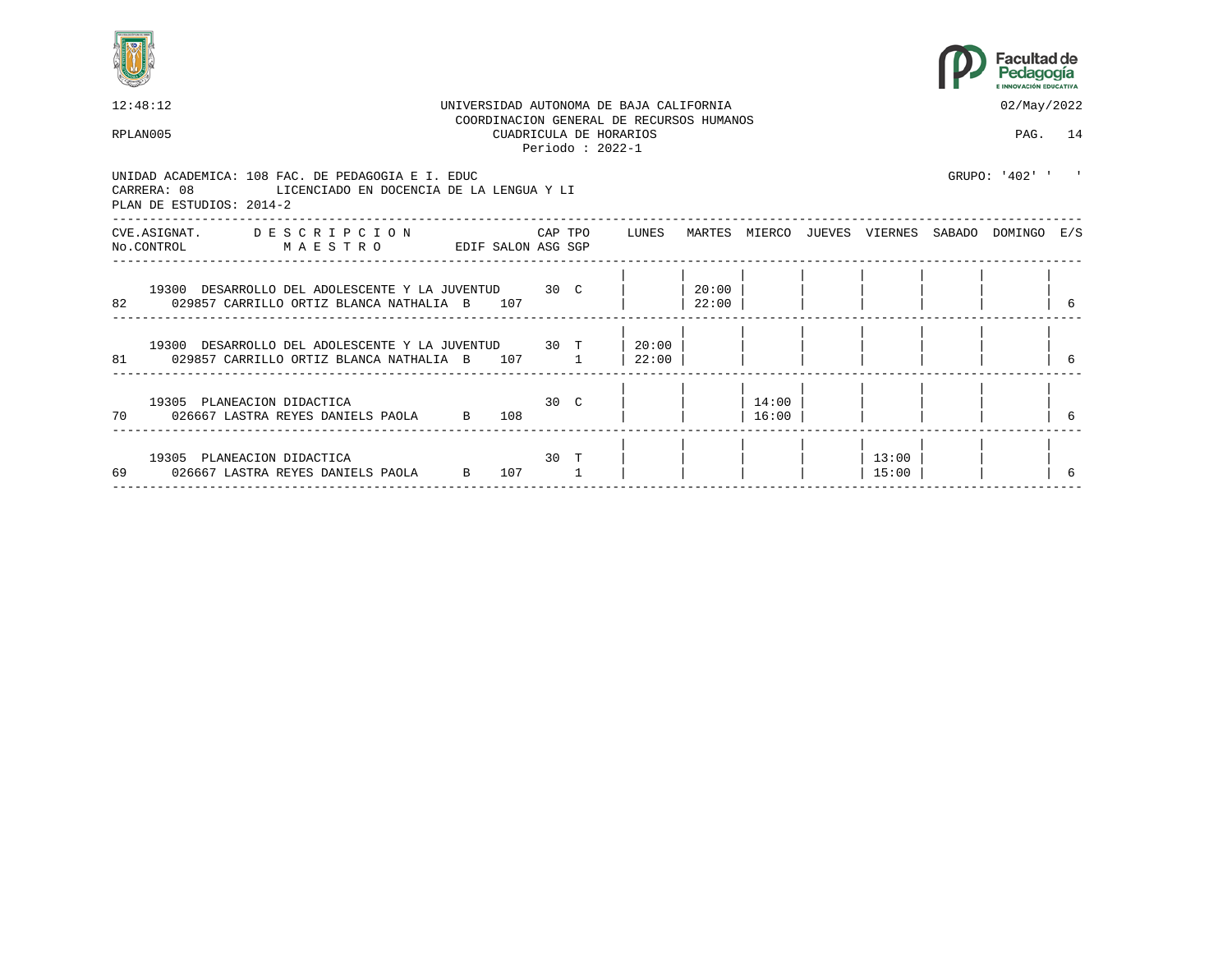



| 12:48:12                                                                                                                              |                    |     |      |                                             | UNIVERSIDAD AUTONOMA DE BAJA CALIFORNIA  |                    |                |                | 02/May/2022                                     |   |
|---------------------------------------------------------------------------------------------------------------------------------------|--------------------|-----|------|---------------------------------------------|------------------------------------------|--------------------|----------------|----------------|-------------------------------------------------|---|
| RPLAN005                                                                                                                              |                    |     |      | CUADRICULA DE HORARIOS<br>Periodo: $2022-1$ | COORDINACION GENERAL DE RECURSOS HUMANOS |                    |                |                | PAG. 14                                         |   |
| UNIDAD ACADEMICA: 108 FAC. DE PEDAGOGIA E I. EDUC<br>CARRERA: 08 LICENCIADO EN DOCENCIA DE LA LENGUA Y LI<br>PLAN DE ESTUDIOS: 2014-2 |                    |     |      |                                             |                                          |                    |                |                | GRUPO: '402' ' '                                |   |
| CVE.ASIGNAT. DESCRIPCION<br>No.CONTROL MAESTRO                                                                                        | EDIF SALON ASG SGP |     |      |                                             | CAP TPO LUNES                            |                    |                |                | MARTES MIERCO JUEVES VIERNES SABADO DOMINGO E/S |   |
| 19300 DESARROLLO DEL ADOLESCENTE Y LA JUVENTUD 30 C<br>82<br>029857 CARRILLO ORTIZ BLANCA NATHALIA B 107                              |                    |     |      |                                             |                                          | $20:00$  <br>22:00 |                |                |                                                 | 6 |
| 19300 DESARROLLO DEL ADOLESCENTE Y LA JUVENTUD 30 T<br>81 029857 CARRILLO ORTIZ BLANCA NATHALIA B 107 1                               |                    |     |      |                                             | $20:00$  <br>22:00                       |                    |                |                |                                                 |   |
| 19305 PLANEACION DIDACTICA<br>70 026667 LASTRA REYES DANIELS PAOLA B 108                                                              |                    |     | 30 C |                                             |                                          |                    | 14:00<br>16:00 |                |                                                 | 6 |
| 19305 PLANEACION DIDACTICA<br>69<br>026667 LASTRA REYES DANIELS PAOLA B                                                               |                    | 107 | 30 T |                                             |                                          |                    |                | 13:00<br>15:00 |                                                 |   |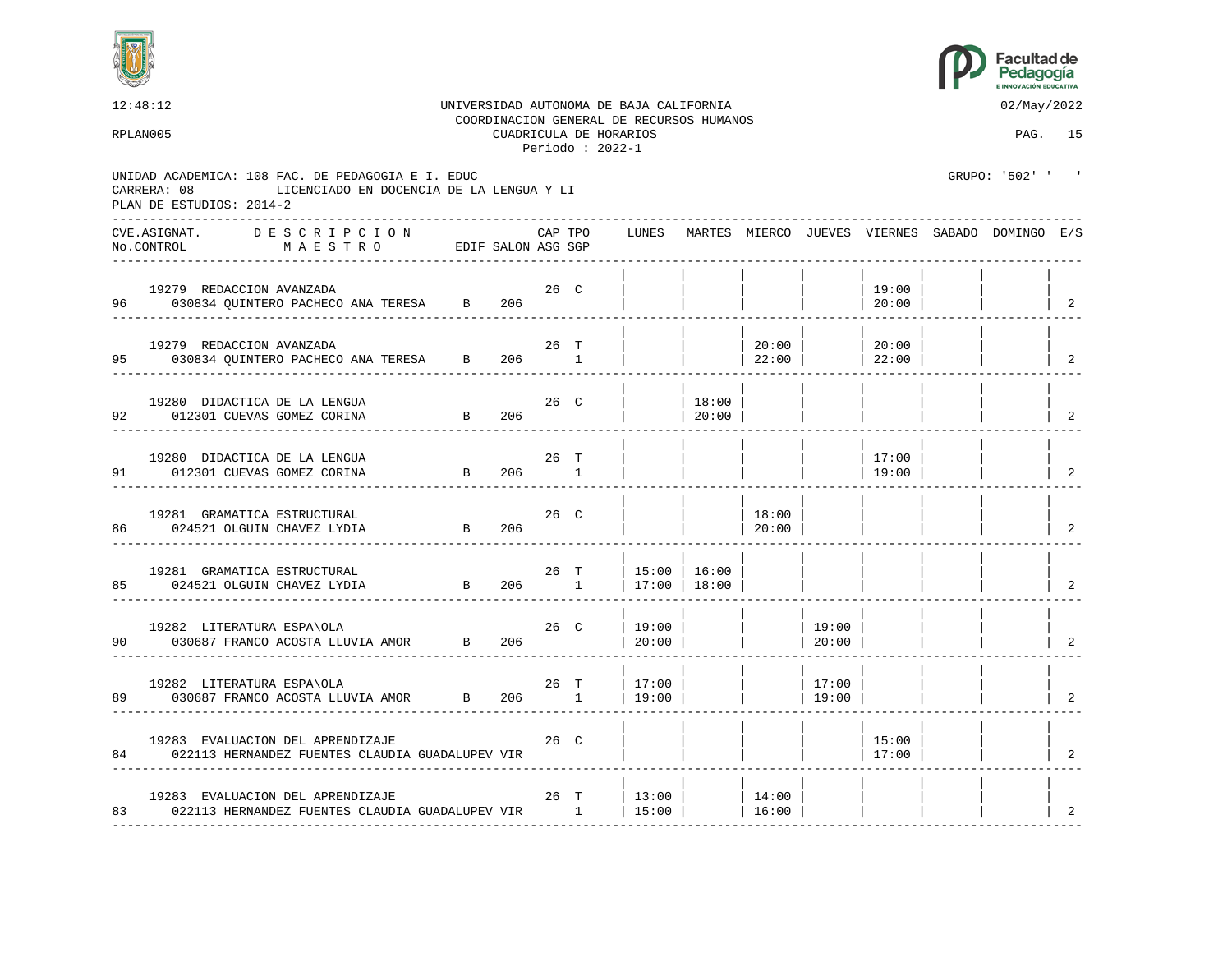



|    | 12:48:12                                                                                                                                 |                 |     |         |                                              | UNIVERSIDAD AUTONOMA DE BAJA CALIFORNIA<br>COORDINACION GENERAL DE RECURSOS HUMANOS |                 |                     |                 |                 | 02/May/2022                                           |                                          |
|----|------------------------------------------------------------------------------------------------------------------------------------------|-----------------|-----|---------|----------------------------------------------|-------------------------------------------------------------------------------------|-----------------|---------------------|-----------------|-----------------|-------------------------------------------------------|------------------------------------------|
|    | RPLAN005                                                                                                                                 |                 |     |         | CUADRICULA DE HORARIOS<br>Periodo : $2022-1$ |                                                                                     |                 |                     |                 |                 | PAG. 15                                               |                                          |
|    | UNIDAD ACADEMICA: 108 FAC. DE PEDAGOGIA E I. EDUC<br>LICENCIADO EN DOCENCIA DE LA LENGUA Y LI<br>CARRERA: 08<br>PLAN DE ESTUDIOS: 2014-2 |                 |     |         |                                              |                                                                                     |                 |                     |                 |                 | GRUPO: '502' ' '                                      |                                          |
|    | CVE.ASIGNAT. DESCRIPCION<br>No.CONTROL<br>MAESTRO EDIF SALON ASG SGP                                                                     |                 |     | CAP TPO |                                              |                                                                                     |                 |                     |                 |                 | LUNES MARTES MIERCO JUEVES VIERNES SABADO DOMINGO E/S |                                          |
|    | 19279 REDACCION AVANZADA<br>96 030834 QUINTERO PACHECO ANA TERESA B 206                                                                  |                 |     | 26 C    |                                              |                                                                                     |                 |                     |                 | 19:00<br> 20:00 |                                                       | $\begin{array}{cc} \text{2} \end{array}$ |
|    | 19279 REDACCION AVANZADA<br>95 030834 QUINTERO PACHECO ANA TERESA B 206 1                                                                |                 |     | 26 T    |                                              |                                                                                     |                 | $20:00$  <br> 22:00 |                 | 20:00<br> 22:00 |                                                       | $\overline{2}$                           |
|    | 19280 DIDACTICA DE LA LENGUA<br>B 206<br>92 012301 CUEVAS GOMEZ CORINA                                                                   |                 |     | 26 C    |                                              |                                                                                     | 18:00<br> 20:00 |                     |                 |                 |                                                       | 2                                        |
| 91 | 19280 DIDACTICA DE LA LENGUA<br>012301 CUEVAS GOMEZ CORINA                                                                               | B 206 1         |     | 26 T    |                                              |                                                                                     |                 |                     |                 | 17:00<br>19:00  |                                                       | 2                                        |
| 86 | 19281 GRAMATICA ESTRUCTURAL<br>024521 OLGUIN CHAVEZ LYDIA                                                                                | $\overline{B}$  | 206 | 26 C    |                                              |                                                                                     |                 | 18:00<br> 20:00     |                 |                 |                                                       | 2                                        |
|    | 19281 GRAMATICA ESTRUCTURAL<br>$\overline{B}$<br>85 024521 OLGUIN CHAVEZ LYDIA                                                           |                 |     | 26 T    | $206$ 1                                      | 15:00   16:00<br>  17:00   18:00                                                    |                 |                     |                 |                 |                                                       | $\overline{2}$                           |
|    | 19282 LITERATURA ESPA\OLA<br>90 030687 FRANCO ACOSTA LLUVIA AMOR B 206                                                                   |                 |     |         | 26 C                                         | 19:00 <br> 20:00                                                                    |                 |                     | 19:00<br> 20:00 |                 |                                                       | $\overline{\phantom{0}}^2$               |
|    | 19282 LITERATURA ESPA\OLA<br>89 030687 FRANCO ACOSTA LLUVIA AMOR B 206 1                                                                 |                 |     | 26 T    |                                              | 17:00<br>19:00                                                                      |                 |                     | 17:00<br>19:00  |                 |                                                       | 2                                        |
|    | 19283 EVALUACION DEL APRENDIZAJE<br>84 022113 HERNANDEZ FUENTES CLAUDIA GUADALUPEV VIR                                                   | 26 <sub>C</sub> |     |         |                                              |                                                                                     |                 |                     |                 | 15:00<br>17:00  |                                                       | $\mathfrak{D}$                           |
|    | 19283 EVALUACION DEL APRENDIZAJE<br>83 022113 HERNANDEZ FUENTES CLAUDIA GUADALUPEV VIR 1 15:00<br>----------------                       | 26 T            |     |         |                                              | $ 13:00 $ $ 14:00 $<br>. _ _ _ _ _ _ _ _ .                                          |                 | 16:00               |                 |                 |                                                       | 2                                        |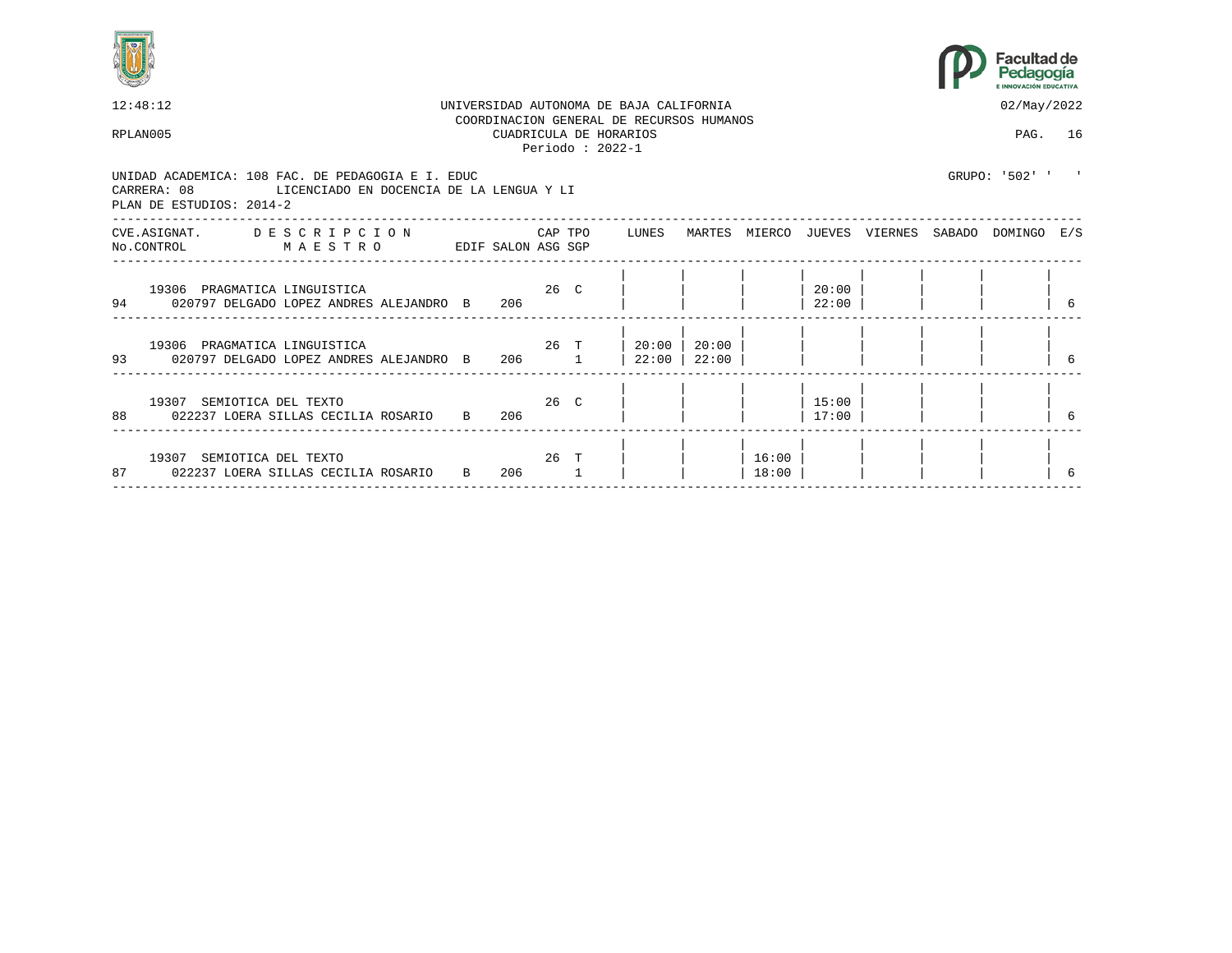



|    | 12:48:12                                                                                                                                 |              |                    |      |         | UNIVERSIDAD AUTONOMA DE BAJA CALIFORNIA                                                  |                |                |                |                                     | 02/May/2022    |   |
|----|------------------------------------------------------------------------------------------------------------------------------------------|--------------|--------------------|------|---------|------------------------------------------------------------------------------------------|----------------|----------------|----------------|-------------------------------------|----------------|---|
|    | RPLAN005                                                                                                                                 |              |                    |      |         | COORDINACION GENERAL DE RECURSOS HUMANOS<br>CUADRICULA DE HORARIOS<br>Periodo : $2022-1$ |                |                |                |                                     | PAG. 16        |   |
|    | UNIDAD ACADEMICA: 108 FAC. DE PEDAGOGIA E I. EDUC<br>LICENCIADO EN DOCENCIA DE LA LENGUA Y LI<br>CARRERA: 08<br>PLAN DE ESTUDIOS: 2014-2 |              |                    |      |         |                                                                                          |                |                |                |                                     | GRUPO: '502' ' |   |
|    | CVE.ASIGNAT. DESCRIPCION<br>MAESTRO<br>No.CONTROL                                                                                        |              | EDIF SALON ASG SGP |      | CAP TPO | LUNES                                                                                    |                |                |                | MARTES MIERCO JUEVES VIERNES SABADO | DOMINGO E/S    |   |
|    | 19306 PRAGMATICA LINGUISTICA<br>94 020797 DELGADO LOPEZ ANDRES ALEJANDRO B                                                               |              | $26°$ C<br>206     |      |         |                                                                                          |                |                | 20:00<br>22:00 |                                     |                | 6 |
| 93 | 19306 PRAGMATICA LINGUISTICA<br>020797 DELGADO LOPEZ ANDRES ALEJANDRO B 206 1                                                            |              | 26 T               |      |         | 20:00<br>22:00                                                                           | 20:00<br>22:00 |                |                |                                     |                |   |
| 88 | 19307 SEMIOTICA DEL TEXTO<br>022237 LOERA SILLAS CECILIA ROSARIO                                                                         | $\mathbf{B}$ | 206                | 26 C |         |                                                                                          |                |                | 15:00<br>17:00 |                                     |                |   |
|    | 19307 SEMIOTICA DEL TEXTO<br>87 022237 LOERA SILLAS CECILIA ROSARIO                                                                      | B            | 206                |      | 26 T    |                                                                                          |                | 16:00<br>18:00 |                |                                     |                |   |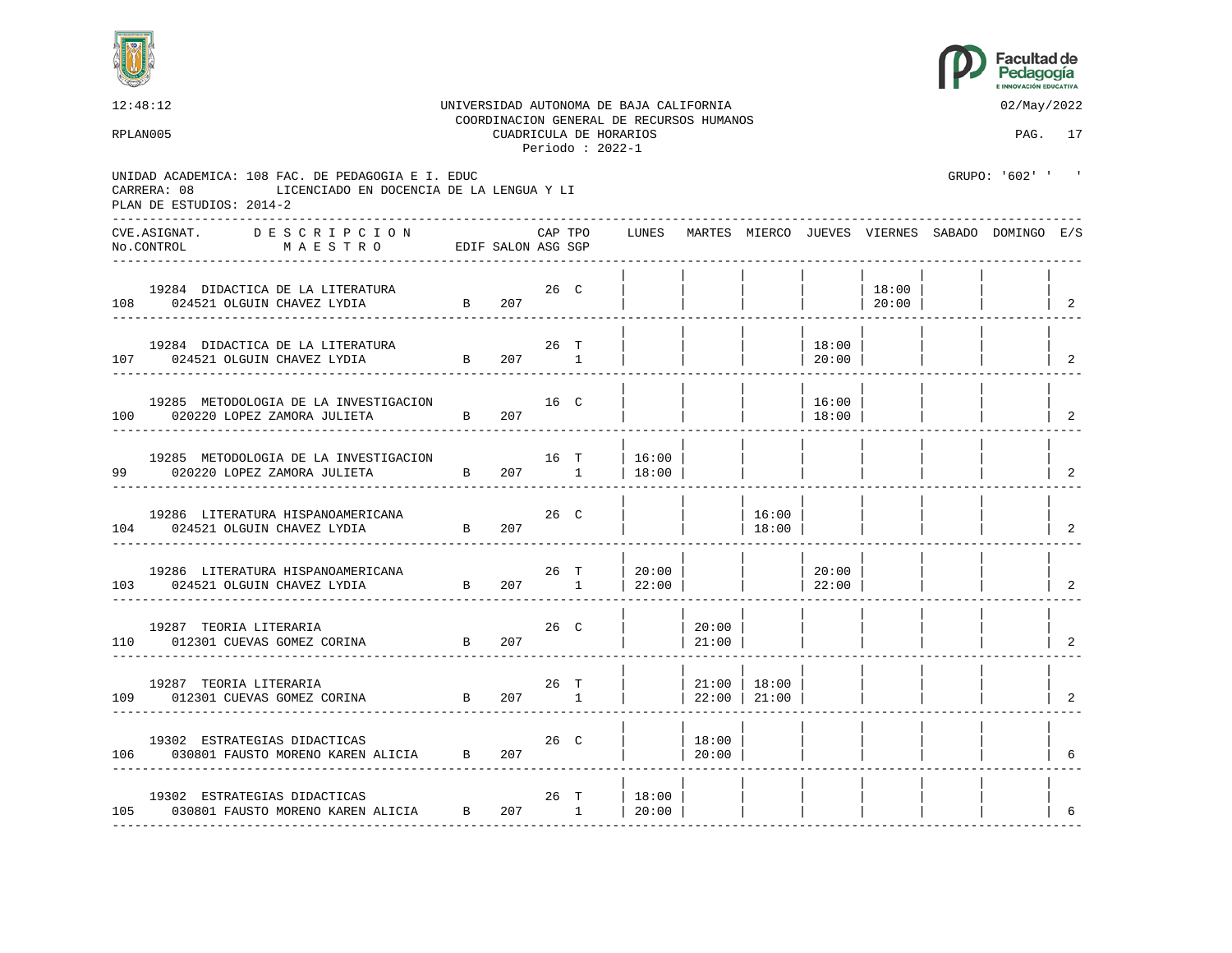



|    | 12:48:12<br>RPLAN005                                                                                                                     |                |             |         | CUADRICULA DE HORARIOS<br>Periodo : $2022-1$ | UNIVERSIDAD AUTONOMA DE BAJA CALIFORNIA<br>COORDINACION GENERAL DE RECURSOS HUMANOS |                                                                                   |                                                                                                                                                                                                                                                                                                                                                                                           |                  |                 | 02/May/2022<br>PAG. 17                                |                                 |
|----|------------------------------------------------------------------------------------------------------------------------------------------|----------------|-------------|---------|----------------------------------------------|-------------------------------------------------------------------------------------|-----------------------------------------------------------------------------------|-------------------------------------------------------------------------------------------------------------------------------------------------------------------------------------------------------------------------------------------------------------------------------------------------------------------------------------------------------------------------------------------|------------------|-----------------|-------------------------------------------------------|---------------------------------|
|    | UNIDAD ACADEMICA: 108 FAC. DE PEDAGOGIA E I. EDUC<br>LICENCIADO EN DOCENCIA DE LA LENGUA Y LI<br>CARRERA: 08<br>PLAN DE ESTUDIOS: 2014-2 |                |             |         |                                              |                                                                                     |                                                                                   |                                                                                                                                                                                                                                                                                                                                                                                           |                  |                 | GRUPO: '602' ' '                                      |                                 |
|    | CVE.ASIGNAT. DESCRIPCION<br>EDIF SALON ASG SGP<br>No.CONTROL<br>MAESTRO                                                                  |                |             | CAP TPO |                                              |                                                                                     |                                                                                   |                                                                                                                                                                                                                                                                                                                                                                                           |                  |                 | LUNES MARTES MIERCO JUEVES VIERNES SABADO DOMINGO E/S |                                 |
|    | JRA $26$ C<br>B $207$<br>19284 DIDACTICA DE LA LITERATURA<br>108 024521 OLGUIN CHAVEZ LYDIA                                              |                |             |         |                                              |                                                                                     |                                                                                   |                                                                                                                                                                                                                                                                                                                                                                                           |                  | 18:00<br> 20:00 |                                                       | $\begin{array}{cc} \end{array}$ |
|    | 19284 DIDACTICA DE LA LITERATURA $26$ T 024521 OLGUIN CHAVEZ LYDIA B 207 1<br>107 024521 OLGUIN CHAVEZ LYDIA                             |                |             |         |                                              |                                                                                     |                                                                                   |                                                                                                                                                                                                                                                                                                                                                                                           | 18:00<br>$20:00$ |                 |                                                       | $\overline{\phantom{0}}^2$      |
|    | 19285 METODOLOGIA DE LA INVESTIGACION<br>020220 LOPEZ ZAMORA JULIETA B 207<br>100 020220 LOPEZ ZAMORA JULIETA                            |                | $16°$ $16°$ |         |                                              |                                                                                     |                                                                                   |                                                                                                                                                                                                                                                                                                                                                                                           | 16:00<br>18:00   |                 |                                                       | $\overline{a}$                  |
| 99 | 19285 METODOLOGIA DE LA INVESTIGACION<br>B 207 1<br>020220 LOPEZ ZAMORA JULIETA                                                          |                |             | 16 T    |                                              | 16:00<br>18:00                                                                      |                                                                                   |                                                                                                                                                                                                                                                                                                                                                                                           |                  |                 |                                                       | 2                               |
|    | 19286 LITERATURA HISPANOAMERICANA<br>$\overline{B}$<br>104 024521 OLGUIN CHAVEZ LYDIA                                                    |                | 207         | 26 C    |                                              |                                                                                     |                                                                                   | 16:00<br> 18:00                                                                                                                                                                                                                                                                                                                                                                           |                  |                 |                                                       | 2                               |
|    | 19286 LITERATURA HISPANOAMERICANA<br>103 024521 OLGUIN CHAVEZ LYDIA B                                                                    |                | 207 1       | 26 T    |                                              | 20:00<br> 22:00                                                                     |                                                                                   | $\begin{array}{c c c c c} & \hspace{1.5cm} & \hspace{1.5cm} & \hspace{1.5cm} & \hspace{1.5cm} & \hspace{1.5cm} & \hspace{1.5cm} & \hspace{1.5cm} & \hspace{1.5cm} & \hspace{1.5cm} & \hspace{1.5cm} & \hspace{1.5cm} & \hspace{1.5cm} & \hspace{1.5cm} & \hspace{1.5cm} & \hspace{1.5cm} & \hspace{1.5cm} & \hspace{1.5cm} & \hspace{1.5cm} & \hspace{1.5cm} & \hspace{1.5cm} & \hspace{$ | 20:00            |                 |                                                       | $\overline{\phantom{a}}^2$      |
|    | 19287 TEORIA LITERARIA<br>110 012301 CUEVAS GOMEZ CORINA                                                                                 | $\overline{B}$ | 207         | 26 C    |                                              |                                                                                     | 20:00<br>$\begin{array}{c} \begin{array}{c} \text{21:00} \end{array} \end{array}$ |                                                                                                                                                                                                                                                                                                                                                                                           |                  |                 |                                                       | 2                               |
|    | 19287 TEORIA LITERARIA<br>109 012301 CUEVAS GOMEZ CORINA B 207 1                                                                         |                |             | 26 T    |                                              |                                                                                     |                                                                                   | 21:00 18:00 <br>  22:00   21:00                                                                                                                                                                                                                                                                                                                                                           |                  |                 |                                                       | 2                               |
|    | 19302 ESTRATEGIAS DIDACTICAS 106 030801 FAUSTO MORENO KAREN ALICIA B 207                                                                 |                |             |         |                                              |                                                                                     | 18:00<br> 20:00                                                                   |                                                                                                                                                                                                                                                                                                                                                                                           |                  |                 |                                                       | 6                               |
|    | 19302 ESTRATEGIAS DIDACTICAS<br>105 030801 FAUSTO MORENO KAREN ALICIA B 207 1 20:00                                                      |                | ----------  |         | .                                            | 18:00                                                                               |                                                                                   |                                                                                                                                                                                                                                                                                                                                                                                           |                  |                 |                                                       | 6                               |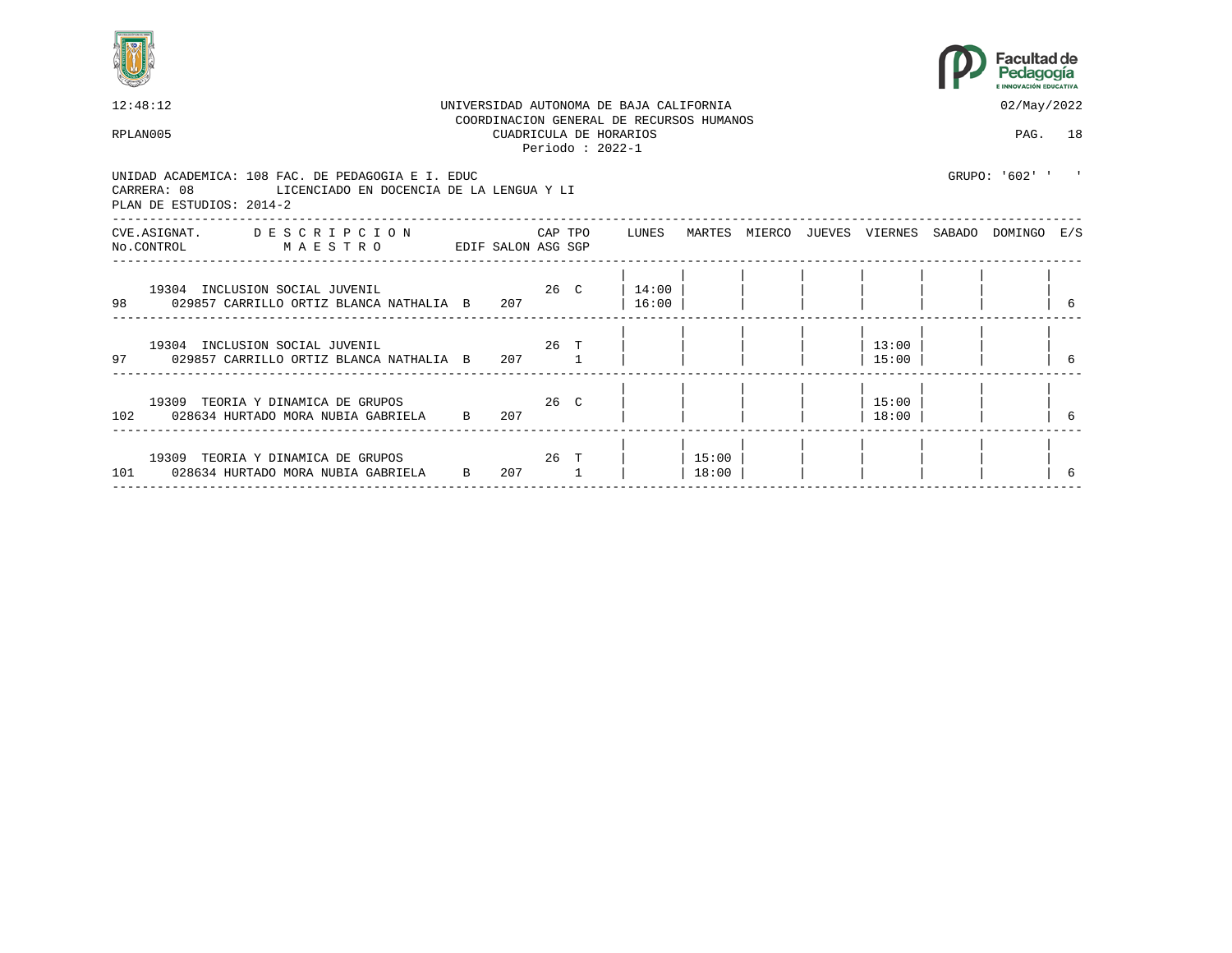



| 12:48:12                                                                                                                              |              |                                                                                                                        |                                             | UNIVERSIDAD AUTONOMA DE BAJA CALIFORNIA  |                  |  |                | 02/May/2022                                     |  |
|---------------------------------------------------------------------------------------------------------------------------------------|--------------|------------------------------------------------------------------------------------------------------------------------|---------------------------------------------|------------------------------------------|------------------|--|----------------|-------------------------------------------------|--|
| RPLAN005                                                                                                                              |              |                                                                                                                        | CUADRICULA DE HORARIOS<br>Periodo: $2022-1$ | COORDINACION GENERAL DE RECURSOS HUMANOS |                  |  |                | PAG. 18                                         |  |
| UNIDAD ACADEMICA: 108 FAC. DE PEDAGOGIA E I. EDUC<br>CARRERA: 08 LICENCIADO EN DOCENCIA DE LA LENGUA Y LI<br>PLAN DE ESTUDIOS: 2014-2 |              |                                                                                                                        |                                             |                                          |                  |  |                | GRUPO: '602' '                                  |  |
| CVE.ASIGNAT. DESCRIPCION CAPTPO LUNES<br>EDIF SALON ASG SGP<br>No.CONTROL MAESTRO                                                     |              |                                                                                                                        |                                             |                                          |                  |  |                | MARTES MIERCO JUEVES VIERNES SABADO DOMINGO E/S |  |
| 19304 INCLUSION SOCIAL JUVENIL<br>98 029857 CARRILLO ORTIZ BLANCA NATHALIA B                                                          |              | 207                                                                                                                    |                                             | 26 C 14:00<br>16:00                      |                  |  |                |                                                 |  |
| 19304 INCLUSION SOCIAL JUVENIL<br>97 029857 CARRILLO ORTIZ BLANCA NATHALIA B 207 1                                                    |              | $26$ T                                                                                                                 |                                             |                                          |                  |  | 13:00<br>15:00 |                                                 |  |
| 102 028634 HURTADO MORA NUBIA GABRIELA B                                                                                              |              | 207                                                                                                                    |                                             |                                          |                  |  | 15:00<br>18:00 |                                                 |  |
| 19309 TEORIA Y DINAMICA DE GRUPOS<br>101 028634 HURTADO MORA NUBIA GABRIELA                                                           | $\mathbf{B}$ | при 26 три 26 три 26 три 26 три 26 три 26 три 26 три 26 три 26 три 26 три 26 три 26 три 26 три 26 три 26 три 26<br>207 |                                             |                                          | 15:00  <br>18:00 |  |                |                                                 |  |
|                                                                                                                                       |              |                                                                                                                        |                                             |                                          |                  |  |                |                                                 |  |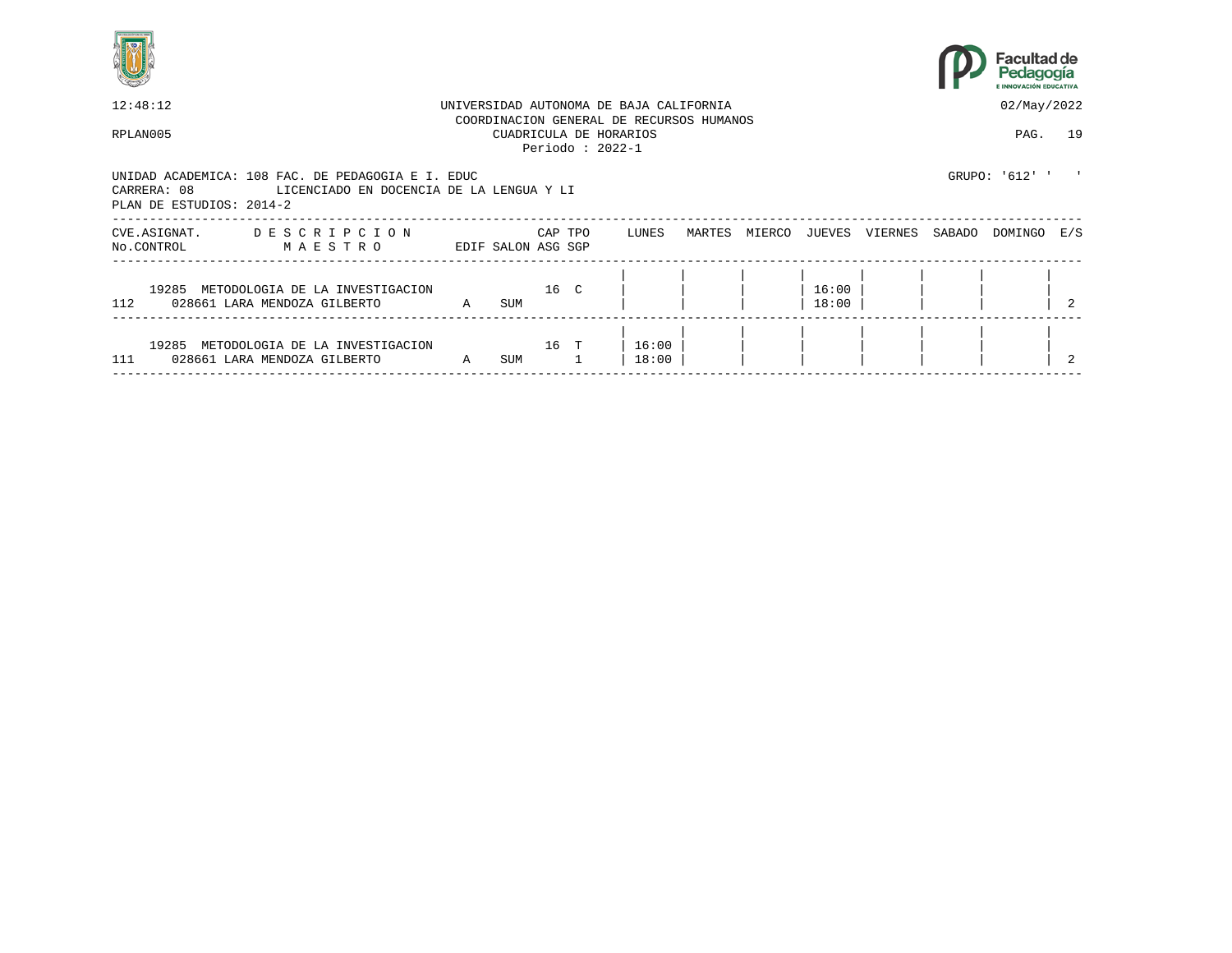



| 12:48:12                                                                                                                                 |                |                          |         | UNIVERSIDAD AUTONOMA DE BAJA CALIFORNIA                                                 |        |        |                |         |        | 02/May/2022    |     |
|------------------------------------------------------------------------------------------------------------------------------------------|----------------|--------------------------|---------|-----------------------------------------------------------------------------------------|--------|--------|----------------|---------|--------|----------------|-----|
| RPLAN005                                                                                                                                 |                |                          |         | COORDINACION GENERAL DE RECURSOS HUMANOS<br>CUADRICULA DE HORARIOS<br>Periodo: $2022-1$ |        |        |                |         |        | PAG. 19        |     |
| UNIDAD ACADEMICA: 108 FAC. DE PEDAGOGIA E I. EDUC<br>CARRERA: 08<br>LICENCIADO EN DOCENCIA DE LA LENGUA Y LI<br>PLAN DE ESTUDIOS: 2014-2 |                |                          |         |                                                                                         |        |        |                |         |        | GRUPO: '612' ' |     |
| DESCRIPCION<br>CVE.ASIGNAT.<br>No.CONTROL<br>MAESTRO                                                                                     |                | EDIF SALON ASG SGP       | CAP TPO | LUNES                                                                                   | MARTES | MIERCO | JUEVES         | VIERNES | SABADO | DOMINGO        | E/S |
| 19285 METODOLOGIA DE LA INVESTIGACION<br>112<br>028661 LARA MENDOZA GILBERTO                                                             | $\mathbb A$    | $16°$ $16°$ $16°$<br>SUM |         |                                                                                         |        |        | 16:00<br>18:00 |         |        |                |     |
| 19285<br>METODOLOGIA DE LA INVESTIGACION<br>111<br>028661 LARA MENDOZA GILBERTO                                                          | $\overline{A}$ | SUM                      | 16 T    | 16:00<br>18:00                                                                          |        |        |                |         |        |                |     |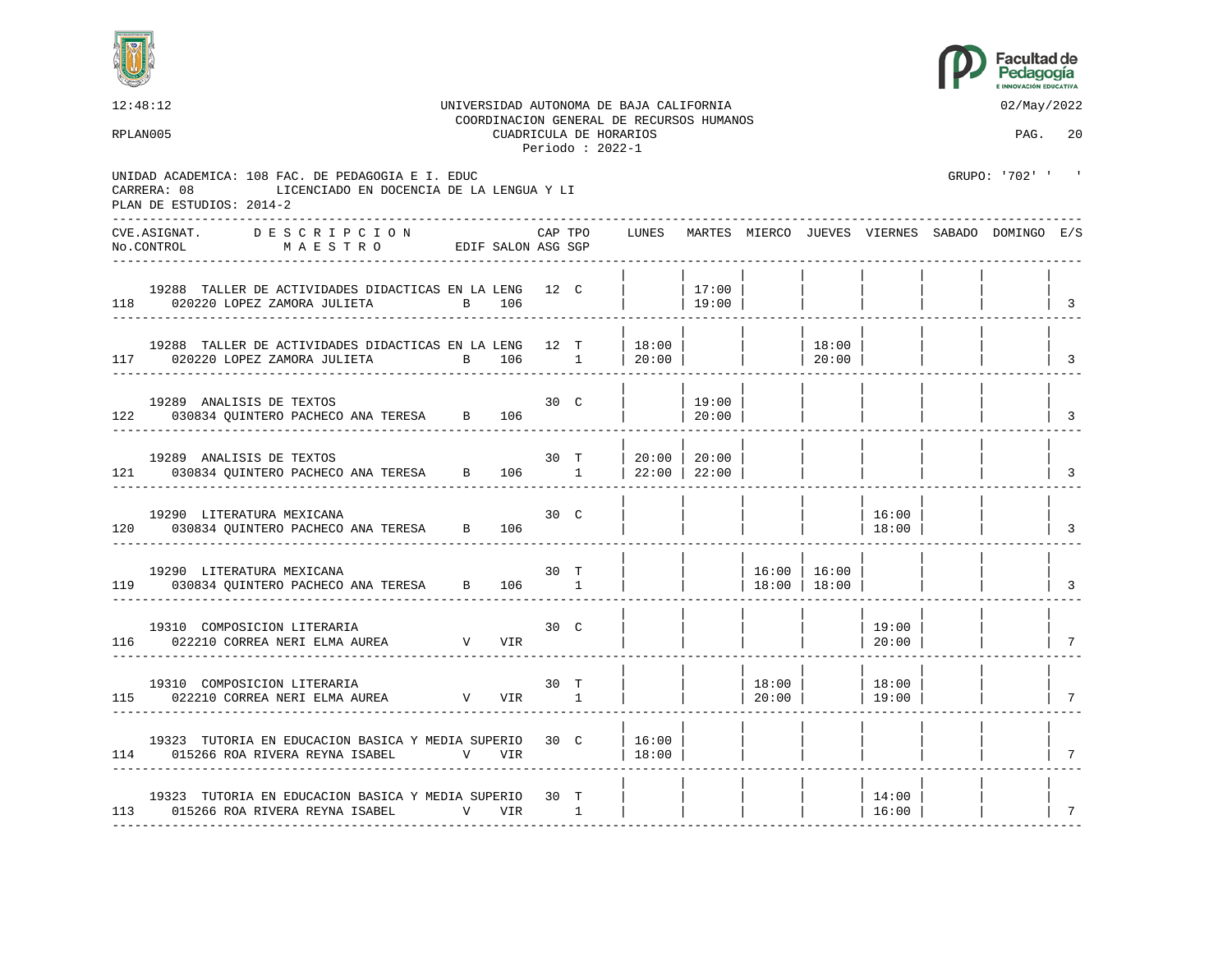



| 12:48:12<br>RPLAN005 |                                         |                                                                                                                                                                                                                                                                                                                                                                                                                                                                                        |       |       |              | CUADRICULA DE HORARIOS<br>Periodo: $2022-1$ | UNIVERSIDAD AUTONOMA DE BAJA CALIFORNIA<br>COORDINACION GENERAL DE RECURSOS HUMANOS |                 |                                      |                    |                                                               | 02/May/2022<br>PAG. 20                                |                          |
|----------------------|-----------------------------------------|----------------------------------------------------------------------------------------------------------------------------------------------------------------------------------------------------------------------------------------------------------------------------------------------------------------------------------------------------------------------------------------------------------------------------------------------------------------------------------------|-------|-------|--------------|---------------------------------------------|-------------------------------------------------------------------------------------|-----------------|--------------------------------------|--------------------|---------------------------------------------------------------|-------------------------------------------------------|--------------------------|
|                      | CARRERA: 08<br>PLAN DE ESTUDIOS: 2014-2 | UNIDAD ACADEMICA: 108 FAC. DE PEDAGOGIA E I. EDUC<br>LICENCIADO EN DOCENCIA DE LA LENGUA Y LI                                                                                                                                                                                                                                                                                                                                                                                          |       |       |              |                                             |                                                                                     |                 |                                      |                    |                                                               | GRUPO: '702' ' '                                      |                          |
|                      | CVE.ASIGNAT.                            | D E S C R I P C I O N<br>$\verb No.CONTROL  \qquad \verb M A E S T R 0 \qquad \verb EDIF SALON ASG SGP  \qquad \verb SALON ASG SGP  \qquad \verb SALON ASG SGP  \qquad \verb SALON ASG SGP  \qquad \verb SALON ASG SGP  \qquad \verb SALON ASG SGP  \qquad \verb SALON ASG SGP  \qquad \verb SALON ASG SGP  \qquad \verb SALON ASG SGP  \qquad \verb SALON ASG SGP  \qquad \verb SALON ASG SGP  \qquad \verb SALON ASG SGP  \qquad \verb SALON ASG SGP  \qquad \verb SALON ASG SGP  \$ |       |       | CAP TPO      |                                             |                                                                                     |                 |                                      |                    |                                                               | LUNES MARTES MIERCO JUEVES VIERNES SABADO DOMINGO E/S |                          |
|                      |                                         | 19288 TALLER DE ACTIVIDADES DIDACTICAS EN LA LENG 12 C<br>118 020220 LOPEZ ZAMORA JULIETA                                                                                                                                                                                                                                                                                                                                                                                              | В 106 |       |              |                                             |                                                                                     | 17:00<br>19:00  |                                      |                    |                                                               |                                                       | $\overline{\phantom{a}}$ |
|                      |                                         | 19288 TALLER DE ACTIVIDADES DIDACTICAS EN LA LENG 12 T<br>117 020220 LOPEZ ZAMORA JULIETA                                                                                                                                                                                                                                                                                                                                                                                              |       |       |              |                                             | 18:00 <br>B 106 1   20:00                                                           |                 |                                      | 18:00<br>  $20:00$ |                                                               |                                                       | $\overline{\mathbf{3}}$  |
|                      | 19289 ANALISIS DE TEXTOS                | 122 030834 OUINTERO PACHECO ANA TERESA B 106                                                                                                                                                                                                                                                                                                                                                                                                                                           |       |       | 30 C         |                                             |                                                                                     | 19:00<br> 20:00 |                                      |                    |                                                               |                                                       | $\overline{3}$           |
|                      | 19289 ANALISIS DE TEXTOS                | 121 030834 QUINTERO PACHECO ANA TERESA B 106 1                                                                                                                                                                                                                                                                                                                                                                                                                                         |       |       |              | 30 T                                        | 20:00 20:00<br>  $22:00$   $22:00$                                                  |                 |                                      |                    |                                                               |                                                       | $\overline{3}$           |
|                      |                                         | 19290 LITERATURA MEXICANA<br>120 030834 QUINTERO PACHECO ANA TERESA B 106                                                                                                                                                                                                                                                                                                                                                                                                              |       |       | $30 \quad C$ |                                             |                                                                                     |                 |                                      |                    | 16:00<br> 18:00                                               |                                                       | $\overline{\mathbf{3}}$  |
|                      |                                         | 19290 LITERATURA MEXICANA<br>119 030834 OUINTERO PACHECO ANA TERESA B                                                                                                                                                                                                                                                                                                                                                                                                                  |       | 106 1 | 30 T         |                                             |                                                                                     |                 | $16:00$   $16:00$<br>  18:00   18:00 |                    |                                                               |                                                       | $\vert$ 3                |
|                      |                                         | 19310 COMPOSICION LITERARIA<br>116 022210 CORREA NERI ELMA AUREA V VIR                                                                                                                                                                                                                                                                                                                                                                                                                 |       |       | 30 C         |                                             |                                                                                     |                 |                                      |                    | 19:00<br>$\begin{array}{c c} \hline \text{20:00} \end{array}$ |                                                       | $\overline{7}$           |
|                      |                                         | $\begin{tabular}{lllllllllll} 19310 & COMPOSITION & LITERARIA & & & & 30 & T \\ 115 & 022210 & CORREA NERI ELMA AUREA & & & & V & VIR & 1 \\ \end{tabular}$                                                                                                                                                                                                                                                                                                                            |       |       |              |                                             |                                                                                     |                 | $ 18:00 $ $ 18:00 $<br>  $20:00$     |                    | 19:00                                                         |                                                       | $\overline{7}$           |
|                      |                                         | 19323 TUTORIA EN EDUCACION BASICA Y MEDIA SUPERIO 30 C<br>114 015266 ROA RIVERA REYNA ISABEL V VIR                                                                                                                                                                                                                                                                                                                                                                                     |       |       |              |                                             | 16:00<br> 18:00                                                                     |                 |                                      |                    |                                                               |                                                       | 7                        |
|                      |                                         | 19323 TUTORIA EN EDUCACION BASICA Y MEDIA SUPERIO 30 T<br>113 015266 ROA RIVERA REYNA ISABEL                                                                                                                                                                                                                                                                                                                                                                                           | V VIR |       | $\sim$ 1     |                                             |                                                                                     |                 |                                      |                    | 14:00<br>16:00                                                |                                                       | 7                        |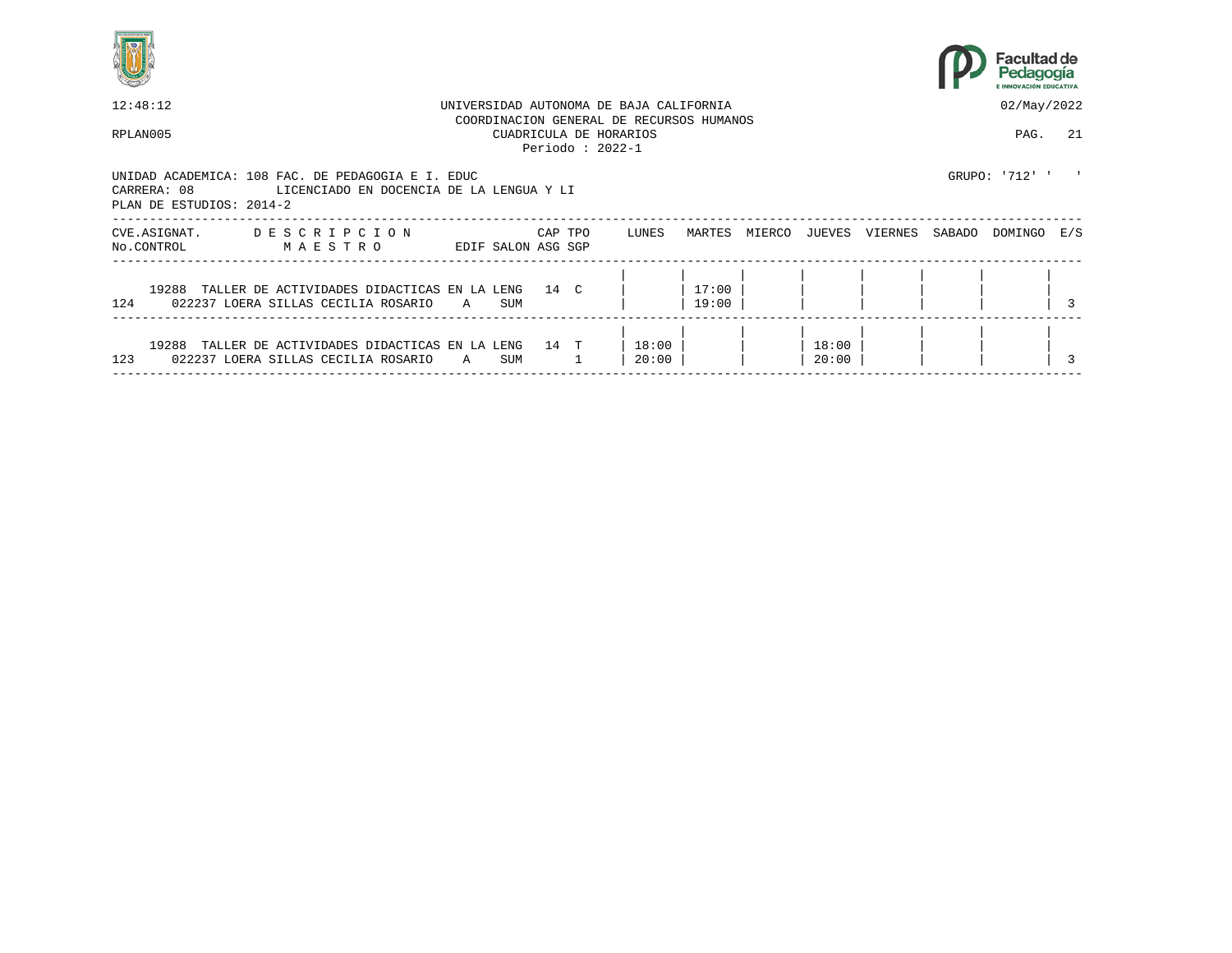



| 12:48:12                                                                                                                                 |             |                    |         |                    | UNIVERSIDAD AUTONOMA DE BAJA CALIFORNIA                            |                |        |                |         |        | 02/May/2022    |     |
|------------------------------------------------------------------------------------------------------------------------------------------|-------------|--------------------|---------|--------------------|--------------------------------------------------------------------|----------------|--------|----------------|---------|--------|----------------|-----|
| RPLAN005                                                                                                                                 |             |                    |         | Periodo : $2022-1$ | COORDINACION GENERAL DE RECURSOS HUMANOS<br>CUADRICULA DE HORARIOS |                |        |                |         |        | PAG.           | 2.1 |
| UNIDAD ACADEMICA: 108 FAC. DE PEDAGOGIA E I. EDUC<br>CARRERA: 08<br>LICENCIADO EN DOCENCIA DE LA LENGUA Y LI<br>PLAN DE ESTUDIOS: 2014-2 |             |                    |         |                    |                                                                    |                |        |                |         |        | GRUPO: '712' ' |     |
| DESCRIPCION<br>CVE.ASIGNAT.<br>No.CONTROL<br>MAESTRO                                                                                     |             | EDIF SALON ASG SGP | CAP TPO |                    | LUNES                                                              | MARTES         | MIERCO | JUEVES         | VIERNES | SABADO | DOMINGO        | E/S |
| 19288 TALLER DE ACTIVIDADES DIDACTICAS EN LA LENG 14 C<br>124<br>022237 LOERA SILLAS CECILIA ROSARIO                                     | $\mathbb A$ | SUM                |         |                    |                                                                    | 17:00<br>19:00 |        |                |         |        |                |     |
| 19288<br>TALLER DE ACTIVIDADES DIDACTICAS EN LA LENG<br>123<br>022237 LOERA SILLAS CECILIA ROSARIO                                       | A           | SUM                | 14 T    |                    | 18:00<br>20:00                                                     |                |        | 18:00<br>20:00 |         |        |                |     |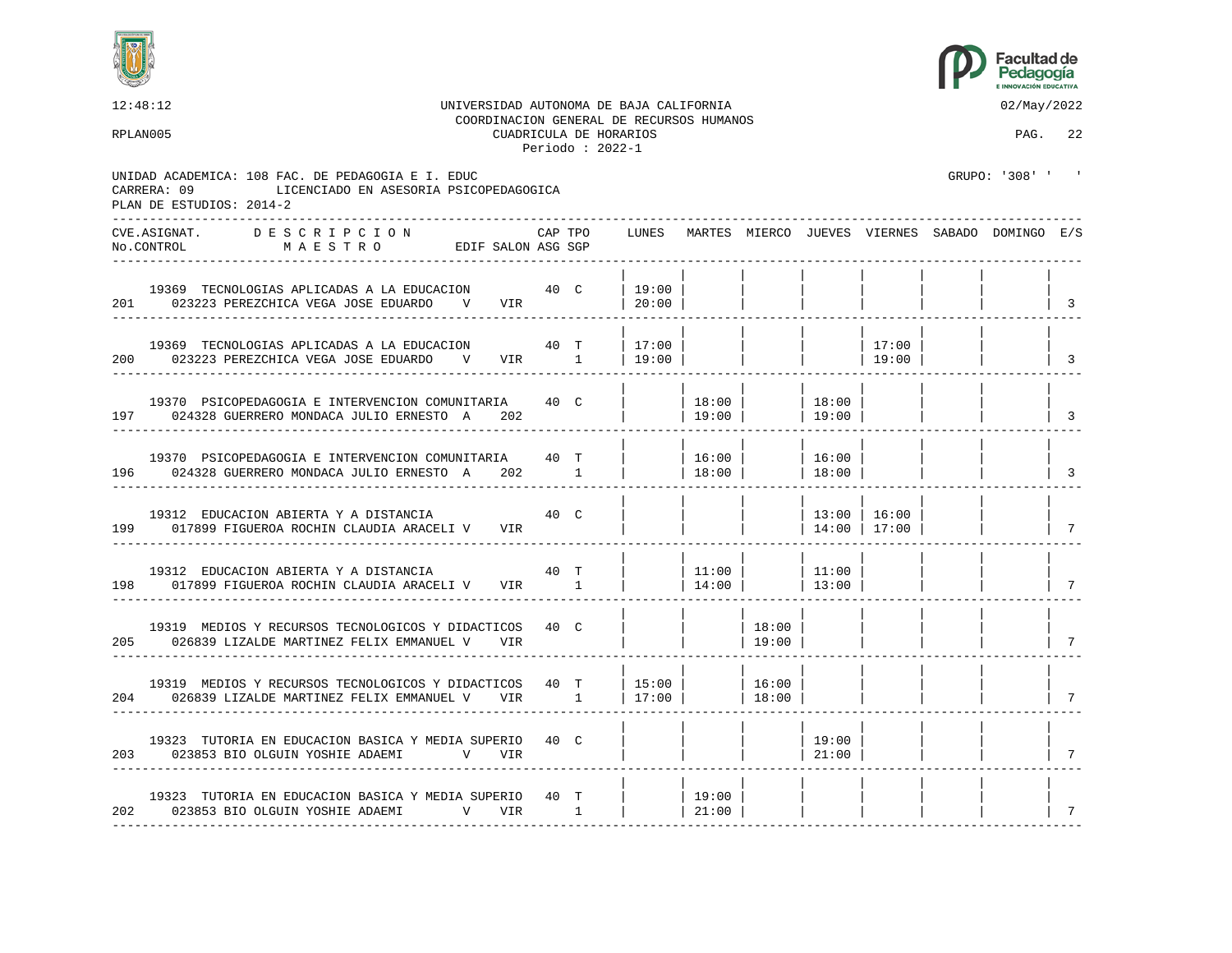



12:48:12 UNIVERSIDAD AUTONOMA DE BAJA CALIFORNIA 02/May/2022 COORDINACION GENERAL DE RECURSOS HUMANOS RPLAN005 CUADRICULA DE HORARIOS PAG. 22 Periodo : 2022-1 UNIDAD ACADEMICA: 108 FAC. DE PEDAGOGIA E I. EDUC GRUPO: '308' ' ' CARRERA: 09 LICENCIADO EN ASESORIA PSICOPEDAGOGICA PLAN DE ESTUDIOS: 2014-2 ---------------------------------------------------------------------------------------------------------------------------------- CVE.ASIGNAT. D E S C R I P C I O N CAP TPO LUNES MARTES MIERCO JUEVES VIERNES SABADO DOMINGO E/S No.CONTROL M A E S T R O EDIF SALON ASG SGP ---------------------------------------------------------------------------------------------------------------------------------- | | | | | | | | 19369 TECNOLOGIAS APLICADAS A LA EDUCACION 40 C | 19:00 | | | | | | | | | | | | | |<br>023223 PEREZCHICA VEGA JOSE EDUARDO V VIR | 20:00 | | | | | | | | | | | | | | 201 023223 PEREZCHICA VEGA JOSE EDUARDO V VIR ---------------------------------------------------------------------------------------------------------------------------------- | | | | | | | | 19369 TECNOLOGIAS APLICADAS A LA EDUCACION  $\begin{array}{c|c|c|c|c|c|c|c} 40 & T & | & 17:00 & | & & | & & | & 17:00 & | \end{array}$  | 19:00 | | | 19:00 | | | 19:00 | 200 023223 PEREZCHICA VEGA JOSE EDUARDO V VIR 1 | 19:00 | | | | 19:00 | | | 3 ---------------------------------------------------------------------------------------------------------------------------------- | | | | | | | | 19370 PSICOPEDAGOGIA E INTERVENCION COMUNITARIA  $40$  C | | 18:00 | | 18:00 | 18:00 | 19:00 | 19:00 | 197 024328 GUERRERO MONDACA JULIO ERNESTO A 202 | | 19:00 | | 19:00 | | | | | ---------------------------------------------------------------------------------------------------------------------------------- | | | | | | | | 19370 PSICOPEDAGOGIA E INTERVENCION COMUNITARIA 40 T | | | 16:00 | | | 16:00 | 196 024328 GUERRERO MONDACA JULIO ERNESTO A 202 1 | | 18:00 | | 18:00 | | | | | ---------------------------------------------------------------------------------------------------------------------------------- | | | | | | | | 19312 EDUCACION ABIERTA Y A DISTANCIA  $40$  C | | | | 13:00 | 16:00 | 199 017899 FIGUEROA ROCHIN CLAUDIA ARACELI V VIR | | | | | | | | | | 14:00 | 17:00 | | | | | 7 ---------------------------------------------------------------------------------------------------------------------------------- | | | | | | | | 19312 EDUCACION ABIERTA Y A DISTANCIA 40 T | | 11:00 | | 11:00 | | | | 198 017899 FIGUEROA ROCHIN CLAUDIA ARACELI V VIR 1 | | | | | 14:00 | | | 13:00 | ---------------------------------------------------------------------------------------------------------------------------------- | | | | | | | | 19319 MEDIOS Y RECURSOS TECNOLOGICOS Y DIDACTICOS 40 C | | | | 18:00 205 026839 LIZALDE MARTINEZ FELIX EMMANUEL V VIR | | | 19:00 | | | | | 7 ---------------------------------------------------------------------------------------------------------------------------------- | | | | | | | | 19319 MEDIOS Y RECURSOS TECNOLOGICOS Y DIDACTICOS 40 T | 15:00 | | | 16:00 |<br>| 026839 LIZALDE MARTINEZ FELIX EMMANUEL V VIR 1 | 17:00 | | | 18:00 | 204 026839 LIZALDE MARTINEZ FELIX EMMANUEL V VIR 1 | 17:00 | | 18:00 | | | | | | | | | 7 ---------------------------------------------------------------------------------------------------------------------------------- | | | | | | | | 19323 TUTORIA EN EDUCACION BASICA Y MEDIA SUPERIO 40 C | | | | | | | 19:00 |<br>| 023853 BIO OLGUIN YOSHIE ADAEMI V VIR | | | | | | | 21:00 | 203 023853 BIO OLGUIN YOSHIE ADAEMI V VIR | | | | 21:00 | | | | 7 ---------------------------------------------------------------------------------------------------------------------------------- | | | | | | | | 19323 TUTORIA EN EDUCACION BASICA Y MEDIA SUPERIO 40 T | | | 19:00 | 202 023853 BIO OLGUIN YOSHIE ADAEMI V VIR 1 | | 21:00 | | | | | | 7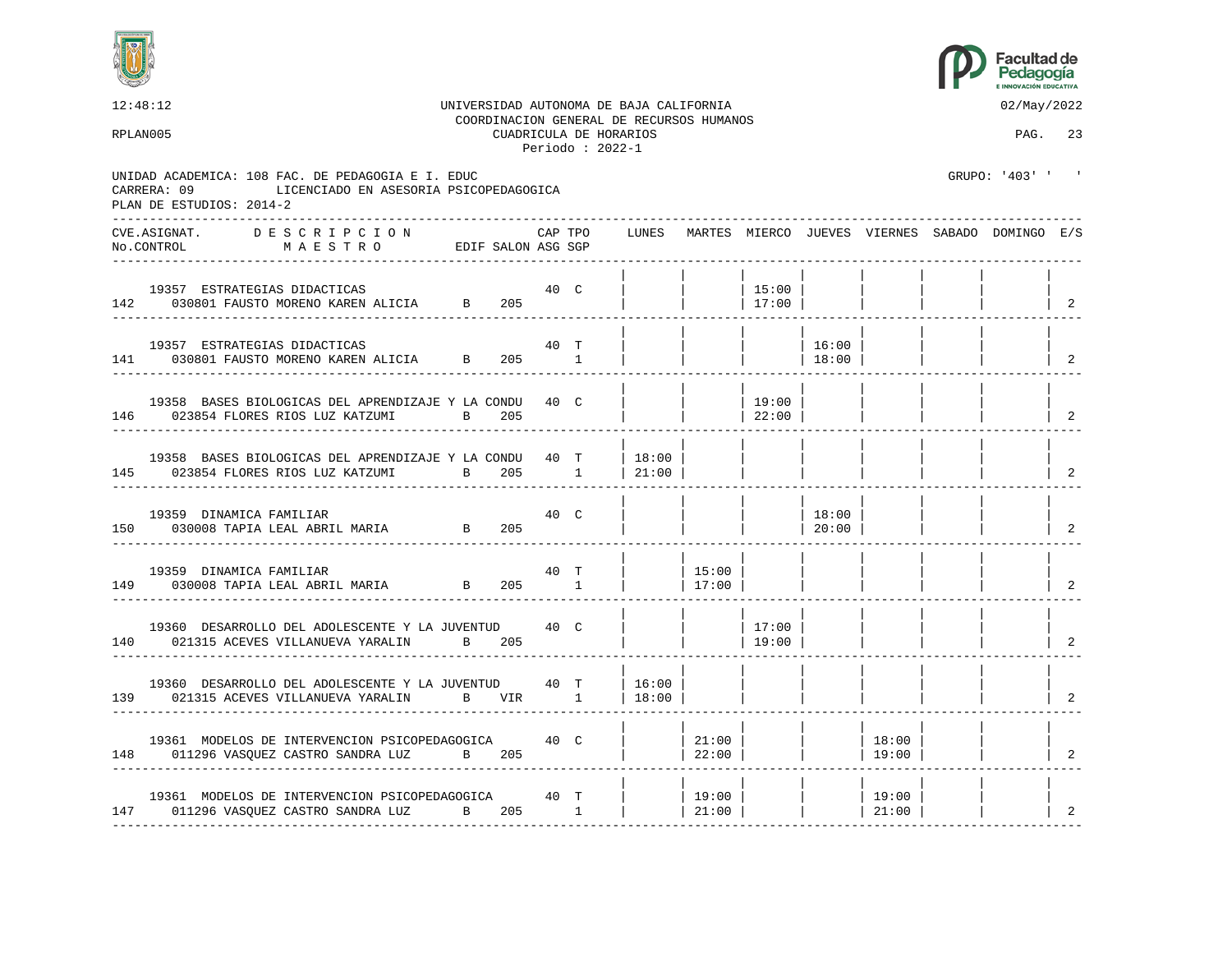



12:48:12 UNIVERSIDAD AUTONOMA DE BAJA CALIFORNIA 02/May/2022 COORDINACION GENERAL DE RECURSOS HUMANOS RPLAN005 CUADRICULA DE HORARIOS PAG. 23 Periodo : 2022-1 UNIDAD ACADEMICA: 108 FAC. DE PEDAGOGIA E I. EDUC GRUPO: '403' ' ' CARRERA: 09 LICENCIADO EN ASESORIA PSICOPEDAGOGICA PLAN DE ESTUDIOS: 2014-2 ---------------------------------------------------------------------------------------------------------------------------------- CVE.ASIGNAT. D E S C R I P C I O N CAP TPO LUNES MARTES MIERCO JUEVES VIERNES SABADO DOMINGO E/S No.CONTROL M A E S T R O EDIF SALON ASG SGP ---------------------------------------------------------------------------------------------------------------------------------- | | | | | | | | 19357 ESTRATEGIAS DIDACTICAS 40 C | | | 15:00 | | | | | 142 030801 FAUSTO MORENO KAREN ALICIA B 205 ---------------------------------------------------------------------------------------------------------------------------------- | | | | | | | | 19357 ESTRATEGIAS DIDACTICAS 40 T | | | | 16:00 | | | | 141 030801 FAUSTO MORENO KAREN ALICIA B 205 1 | | | | 18:00 | | | | 2 ---------------------------------------------------------------------------------------------------------------------------------- | | | | | | | | 19358 BASES BIOLOGICAS DEL APRENDIZAJE Y LA CONDU 40 C | | | | | 19:00 | | 023854 FLORES RIOS LUZ KATZUMI B 205 146 023854 FLORES RIOS LUZ KATZUMI B 205 | | | 22:00 | | | | | 2 ---------------------------------------------------------------------------------------------------------------------------------- | | | | | | | | 19358 BASES BIOLOGICAS DEL APRENDIZAJE Y LA CONDU 40 T | 18:00 145 023854 FLORES RIOS LUZ KATZUMI B 205 1 | 21:00 | | | | | | | 2 ---------------------------------------------------------------------------------------------------------------------------------- | | | | | | | | 19359 DINAMICA FAMILIAR 40 C | | | | 18:00 | | | | 150 030008 TAPIA LEAL ABRIL MARIA B 205 | | | | | 20:00 | | | | | ---------------------------------------------------------------------------------------------------------------------------------- | | | | | | | | 19359 DINAMICA FAMILIAR 40 T | | 15:00 | | | | | | 149 030008 TAPIA LEAL ABRIL MARIA B 205 1 | | 17:00 | | | | | | 2 ---------------------------------------------------------------------------------------------------------------------------------- | | | | | | | | 19360 DESARROLLO DEL ADOLESCENTE Y LA JUVENTUD 40 C | | | | 17:00<br>021315 ACEVES VILLANUEVA YARALIN B 205 | | | 19:00 140 021315 ACEVES VILLANUEVA YARALIN B 205 | | | 19:00 | | | | | 2 ---------------------------------------------------------------------------------------------------------------------------------- | | | | | | | | 19360 DESARROLLO DEL ADOLESCENTE Y LA JUVENTUD 40 T | 16:00 | 139 021315 ACEVES VILLANUEVA YARALIN B VIR 1 | 18:00 | | | | | | | 2 ---------------------------------------------------------------------------------------------------------------------------------- | | | | | | | | 19361 MODELOS DE INTERVENCION PSICOPEDAGOGICA 40 C | | 21:00 | | | 18:00 | | | 148 011296 VASQUEZ CASTRO SANDRA LUZ B 205 | | 22:00 | | | 19:00 | | | | ---------------------------------------------------------------------------------------------------------------------------------- | | | | | | | | 19361 MODELOS DE INTERVENCION PSICOPEDAGOGICA 40 T | | 19:00 | | | 19:00 | | | 147 011296 VASQUEZ CASTRO SANDRA LUZ B 205 1 | | 21:00 | | | 21:00 | | | | 2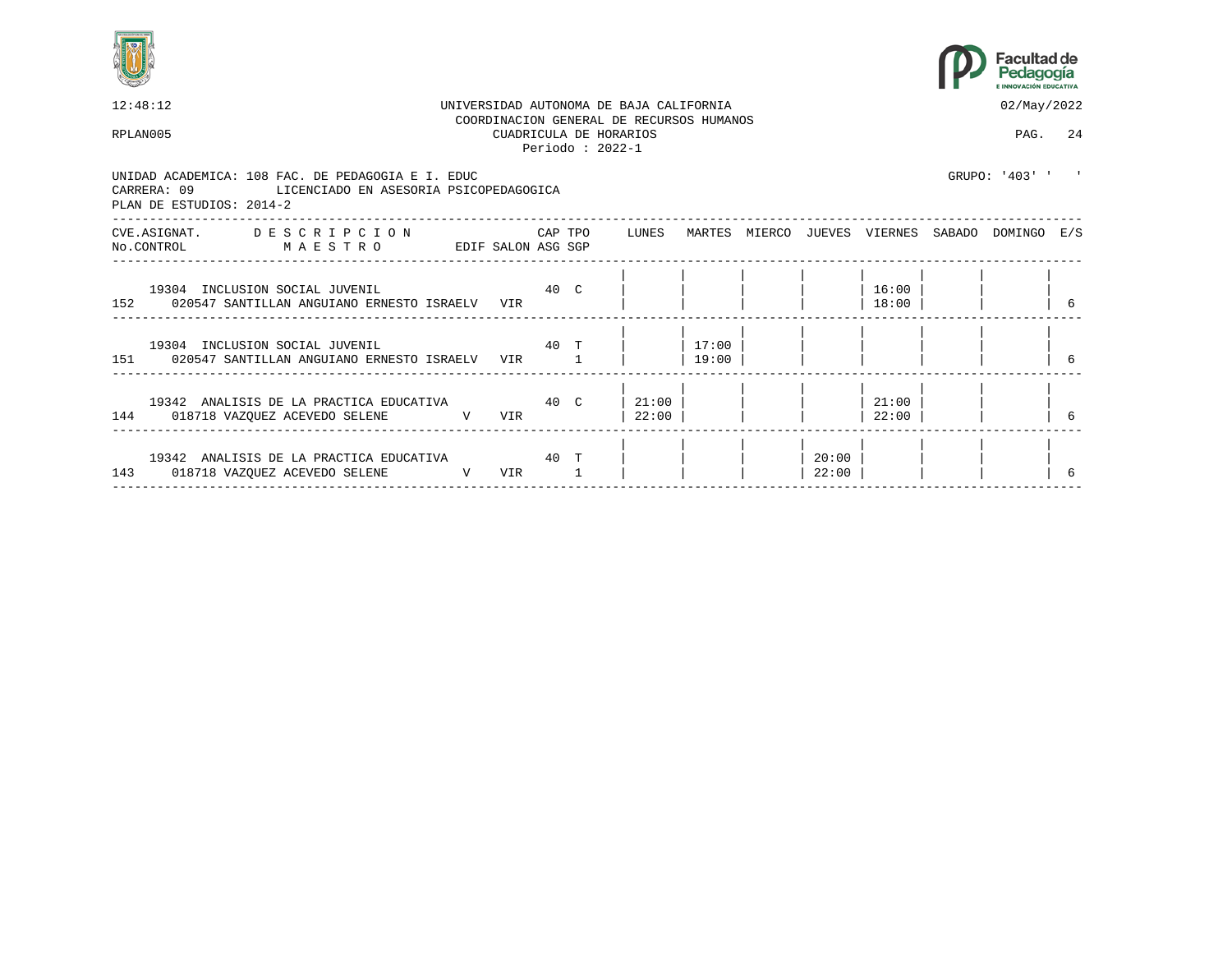



| 12:48:12                                                                                                                            |                                                                                                                                                                                                                                  |     |  | UNIVERSIDAD AUTONOMA DE BAJA CALIFORNIA                                                 |                    |                |                | 02/May/2022                                     |   |
|-------------------------------------------------------------------------------------------------------------------------------------|----------------------------------------------------------------------------------------------------------------------------------------------------------------------------------------------------------------------------------|-----|--|-----------------------------------------------------------------------------------------|--------------------|----------------|----------------|-------------------------------------------------|---|
| RPLAN005                                                                                                                            |                                                                                                                                                                                                                                  |     |  | COORDINACION GENERAL DE RECURSOS HUMANOS<br>CUADRICULA DE HORARIOS<br>Periodo: $2022-1$ |                    |                |                | PAG. 24                                         |   |
| UNIDAD ACADEMICA: 108 FAC. DE PEDAGOGIA E I. EDUC<br>CARRERA: 09 LICENCIADO EN ASESORIA PSICOPEDAGOGICA<br>PLAN DE ESTUDIOS: 2014-2 |                                                                                                                                                                                                                                  |     |  |                                                                                         |                    |                |                | GRIJPO: '403' '                                 |   |
| CVE.ASIGNAT. DESCRIPCION CAPTPO LUNES<br>NO.CONTROL MAESTRO                                                                         | EDIF SALON ASG SGP                                                                                                                                                                                                               |     |  |                                                                                         |                    |                |                | MARTES MIERCO JUEVES VIERNES SABADO DOMINGO E/S |   |
| 19304 INCLUSION SOCIAL JUVENIL<br>152 020547 SANTILLAN ANGUIANO ERNESTO ISRAELV                                                     | 40 C                                                                                                                                                                                                                             | VIR |  |                                                                                         |                    |                | 16:00<br>18:00 |                                                 | 6 |
| 19304 INCLUSION SOCIAL JUVENIL<br>151 020547 SANTILLAN ANGUIANO ERNESTO ISRAELV VIR 1                                               | проставление и производите на 1970 године и 1970 године и 1970 године и 1970 године и 1970 године и 1970 годин<br>В 1970 године и 1970 године и 1970 године и 1970 године и 1970 године и 1970 године и 1970 године и 1970 годин |     |  |                                                                                         | $17:00$  <br>19:00 |                |                |                                                 |   |
| 19342 ANALISIS DE LA PRACTICA EDUCATIVA 60 C<br>144 018718 VAZQUEZ ACEVEDO SELENE V VIR                                             |                                                                                                                                                                                                                                  |     |  | $21:00$  <br> 22:00                                                                     |                    |                | 21:00<br>22:00 |                                                 |   |
| 19342 ANALISIS DE LA PRACTICA EDUCATIVA 60 T<br>143 018718 VAZQUEZ ACEVEDO SELENE                                                   | $\mathbf V$                                                                                                                                                                                                                      | VIR |  |                                                                                         |                    | 20:00<br>22:00 |                |                                                 |   |
|                                                                                                                                     |                                                                                                                                                                                                                                  |     |  |                                                                                         |                    |                |                |                                                 |   |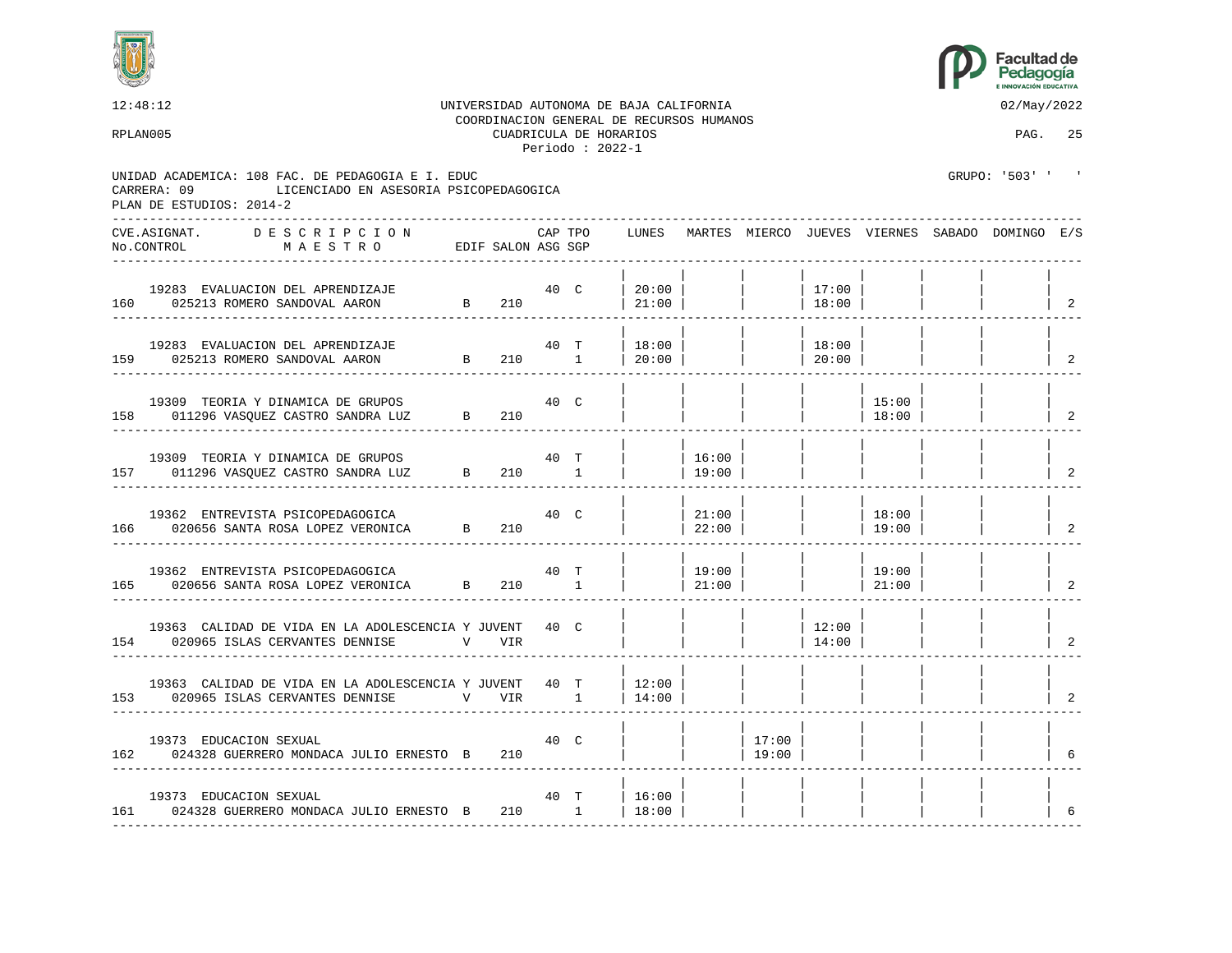



12:48:12 UNIVERSIDAD AUTONOMA DE BAJA CALIFORNIA 02/May/2022 COORDINACION GENERAL DE RECURSOS HUMANOS RPLAN005 CUADRICULA DE HORARIOS PAG. 25 Periodo : 2022-1 UNIDAD ACADEMICA: 108 FAC. DE PEDAGOGIA E I. EDUC GRUPO: '503' ' CARRERA: 09 LICENCIADO EN ASESORIA PSICOPEDAGOGICA PLAN DE ESTUDIOS: 2014-2 ---------------------------------------------------------------------------------------------------------------------------------- CVE.ASIGNAT. D E S C R I P C I O N CAP TPO LUNES MARTES MIERCO JUEVES VIERNES SABADO DOMINGO E/S No.CONTROL M A E S T R O EDIF SALON ASG SGP ---------------------------------------------------------------------------------------------------------------------------------- | | | | | | | | 19283 EVALUACION DEL APRENDIZAJE 40 C | 20:00 | | | 17:00 | | | | 160 025213 ROMERO SANDOVAL AARON B 210 | 21:00 | ---------------------------------------------------------------------------------------------------------------------------------- | | | | | | | | 19283 EVALUACION DEL APRENDIZAJE 40 T | 18:00 | | | 18:00 | | | | 159 025213 ROMERO SANDOVAL AARON B 210 1 | 20:00 | | | | | | | | | | | 2 ---------------------------------------------------------------------------------------------------------------------------------- | | | | | | | | 19309 TEORIA Y DINAMICA DE GRUPOS 40 C | | | | | | | 15:00 | | | |<br>011296 VASQUEZ CASTRO SANDRA LUZ B 210 | | | | | | | | | 18:00 | | | | | 158 011296 VASQUEZ CASTRO SANDRA LUZ B 210 | | | | | | 18:00 | ---------------------------------------------------------------------------------------------------------------------------------- | | | | | | | | 19309 TEORIA Y DINAMICA DE GRUPOS  $\begin{array}{c|c} 40 & T \\ \end{array}$  | | 16:00 157 011296 VASOUEZ CASTRO SANDRA LUZ B 210 1 | | 19:00 | | | | | | | | ---------------------------------------------------------------------------------------------------------------------------------- | | | | | | | | 19362 ENTREVISTA PSICOPEDAGOGICA 40 C | | 21:00 | | | 18:00 | | | 166 020656 SANTA ROSA LOPEZ VERONICA B 210 | | 22:00 | | | 19:00 | | | 2 ---------------------------------------------------------------------------------------------------------------------------------- | | | | | | | | 19362 ENTREVISTA PSICOPEDAGOGICA  $\begin{array}{c|c|c|c|c|c|c|c} \n 19362 & \text{ENTREVISTA } & \text{PSTCOPEDAGOGICA} \n\hline\n 020656 & \text{SANTA } & \text{ROSA } & \text{LOPEZ } & \text{VERONICA} \n\end{array}$   $\begin{array}{c|c|c|c|c} \n 1 & \text{I} & \text{I} & \text{I} & \text{I} & \text{I} & \text{I} & \text{I} & \text{I} & \text{I} & \text{I} & \text{$ 165 020656 SANTA ROSA LOPEZ VERONICA B 210 1 | | 21:00 | | | 21:00 | | | | 2 ---------------------------------------------------------------------------------------------------------------------------------- | | | | | | | | 19363 CALIDAD DE VIDA EN LA ADOLESCENCIA Y JUVENT  $\begin{array}{c|c|c|c|c|c|c|c} \hline \end{array}$   $\begin{array}{c|c|c|c} \hline \end{array}$   $\begin{array}{c|c|c} \hline \end{array}$   $\begin{array}{c|c} \hline \end{array}$   $\begin{array}{c} \hline \end{array}$   $\begin{array}{c} \hline \end{array}$   $\begin{array}{c} \hline \end{array}$   $\begin{array}{c} \hline \end{array}$   $\$ 154 020965 ISLAS CERVANTES DENNISE V VIR | | | | 14:00 | | | | 2 ---------------------------------------------------------------------------------------------------------------------------------- | | | | | | | | 19363 CALIDAD DE VIDA EN LA ADOLESCENCIA Y JUVENT 40 T | 12:00<br>020965 ISLAS CERVANTES DENNISE V VIR 1 | 14:00 153 020965 ISLAS CERVANTES DENNISE V VIR 1 | 14:00 | | | | | | | 2 ---------------------------------------------------------------------------------------------------------------------------------- | | | | | | | | 19373 EDUCACION SEXUAL 40 C | | | 17:00 | | | | | 162 024328 GUERRERO MONDACA JULIO ERNESTO B 210 | | | | 19:00 | | | | | | | | 6 ---------------------------------------------------------------------------------------------------------------------------------- | | | | | | | | 19373 EDUCACION SEXUAL 19373 EDUCACION SEXUAL 19373 EDUCACION SEXUAL 161 024328 GUERRERO MONDACA JULIO ERNESTO B 210 1 | 18:00 | | | | | | | 6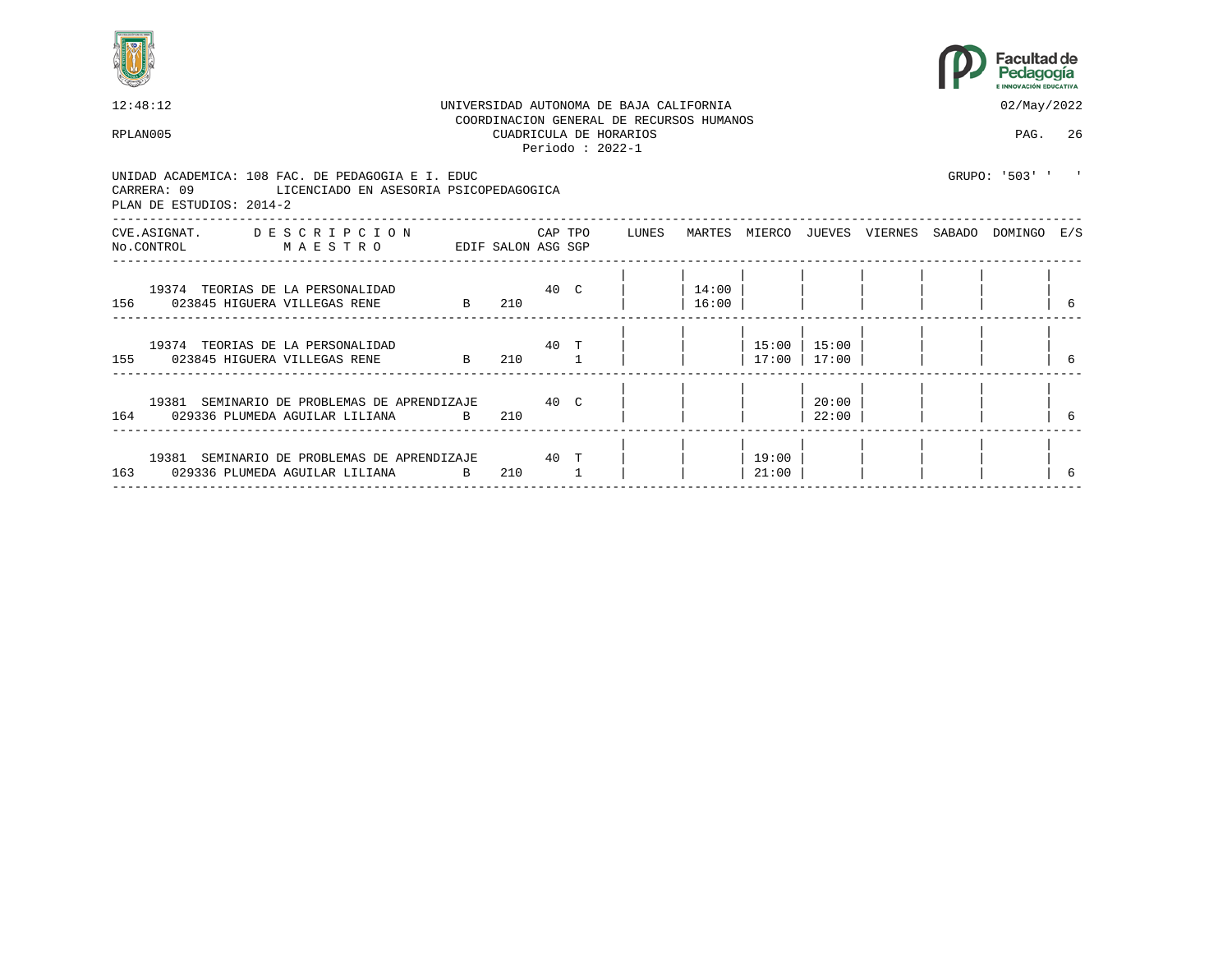



| 12:48:12                                                                                                                            |                    |             |    | UNIVERSIDAD AUTONOMA DE BAJA CALIFORNIA                                                 |                |                |                        |  | 02/May/2022                                     |   |
|-------------------------------------------------------------------------------------------------------------------------------------|--------------------|-------------|----|-----------------------------------------------------------------------------------------|----------------|----------------|------------------------|--|-------------------------------------------------|---|
| RPLAN005                                                                                                                            |                    |             |    | COORDINACION GENERAL DE RECURSOS HUMANOS<br>CUADRICULA DE HORARIOS<br>Periodo: $2022-1$ |                |                |                        |  | PAG. 26                                         |   |
| UNIDAD ACADEMICA: 108 FAC. DE PEDAGOGIA E I. EDUC<br>CARRERA: 09 LICENCIADO EN ASESORIA PSICOPEDAGOGICA<br>PLAN DE ESTUDIOS: 2014-2 |                    |             |    |                                                                                         |                |                |                        |  | GRUPO: '503' ' '                                |   |
| CVE.ASIGNAT. DESCRIPCION CAPTPO LUNES<br>No.CONTROL<br>MAESTRO                                                                      | EDIF SALON ASG SGP |             |    |                                                                                         |                |                |                        |  | MARTES MIERCO JUEVES VIERNES SABADO DOMINGO E/S |   |
| 19374 TEORIAS DE LA PERSONALIDAD<br>156 023845 HIGUERA VILLEGAS RENE B                                                              | 40 <sup>°</sup>    | 210         |    |                                                                                         | 14:00<br>16:00 |                |                        |  |                                                 | 6 |
| 19374 TEORIAS DE LA PERSONALIDAD<br>155 023845 HIGUERA VILLEGAS RENE B                                                              |                    | 40 T<br>210 |    |                                                                                         |                | 17:00          | 15:00   15:00<br>17:00 |  |                                                 |   |
| 19381 SEMINARIO DE PROBLEMAS DE APRENDIZAJE                                                                                         |                    | 40 C<br>210 |    |                                                                                         |                |                | 20:00<br>22:00         |  |                                                 |   |
| 19381 SEMINARIO DE PROBLEMAS DE APRENDIZAJE 60 T<br>163 029336 PLUMEDA AGUILAR LILIANA                                              | $\mathbf{B}$       | 210         | -1 |                                                                                         |                | 19:00<br>21:00 |                        |  |                                                 |   |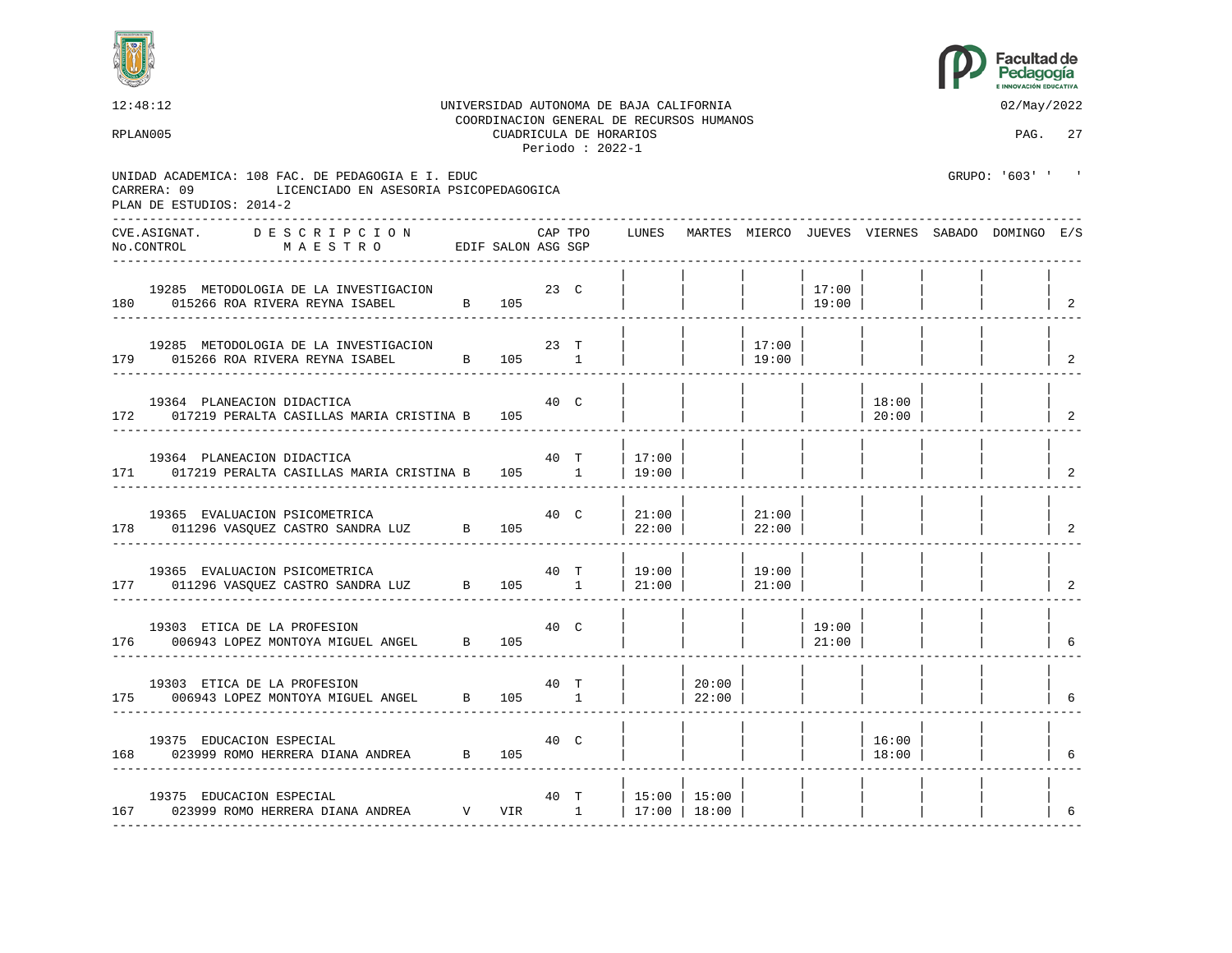



12:48:12 UNIVERSIDAD AUTONOMA DE BAJA CALIFORNIA 02/May/2022 COORDINACION GENERAL DE RECURSOS HUMANOS RPLAN005 CUADRICULA DE HORARIOS PAG. 27 Periodo : 2022-1 UNIDAD ACADEMICA: 108 FAC. DE PEDAGOGIA E I. EDUC GRUPO: '603' ' ' CARRERA: 09 LICENCIADO EN ASESORIA PSICOPEDAGOGICA PLAN DE ESTUDIOS: 2014-2 ---------------------------------------------------------------------------------------------------------------------------------- CVE.ASIGNAT. D E S C R I P C I O N CAP TPO LUNES MARTES MIERCO JUEVES VIERNES SABADO DOMINGO E/S No.CONTROL M A E S T R O EDIF SALON ASG SGP ---------------------------------------------------------------------------------------------------------------------------------- | | | | | | | | 19285 METODOLOGIA DE LA INVESTIGACION 23 C | | | | 17:00 | | | | |<br>015266 ROA RIVERA REYNA ISABEL B 105 | | | | 19:00 | | | | | 180 015266 ROA RIVERA REYNA ISABEL B 105 ---------------------------------------------------------------------------------------------------------------------------------- | | | | | | | | 19285 METODOLOGIA DE LA INVESTIGACION 23 T | | | 17:00 | | | | | 179 015266 ROA RIVERA REYNA ISABEL B 105 1 | | | 19:00 | | | | | 2 ---------------------------------------------------------------------------------------------------------------------------------- | | | | | | | | 19364 PLANEACION DIDACTICA 40 C | | | | | 18:00 | | | 172 017219 PERALTA CASILLAS MARIA CRISTINA B 105 | | | | | | 20:00 | ---------------------------------------------------------------------------------------------------------------------------------- | | | | | | | | 19364 PLANEACION DIDACTICA  $40$  T | 17:00 171 017219 PERALTA CASILLAS MARIA CRISTINA B 105 1 | 19:00 | | | | | | | 2 ---------------------------------------------------------------------------------------------------------------------------------- | | | | | | | | 19365 EVALUACION PSICOMETRICA 40 C |21:00 | |21:00 | | | | 178 011296 VASQUEZ CASTRO SANDRA LUZ B 105 | 22:00 | | 22:00 | | | | | 2 ---------------------------------------------------------------------------------------------------------------------------------- | | | | | | | | 19365 EVALUACION PSICOMETRICA 40 T | 19:00 | | 19:00 | | | | | 177 011296 VASQUEZ CASTRO SANDRA LUZ B 105 1 | 21:00 | ---------------------------------------------------------------------------------------------------------------------------------- | | | | | | | | 19303 ETICA DE LA PROFESION 40 C | | | | 19:00 | | | | 176 006943 LOPEZ MONTOYA MIGUEL ANGEL B 105 | | | | | | | | | | | | | | | | | | 6 ---------------------------------------------------------------------------------------------------------------------------------- | | | | | | | | 19303 ETICA DE LA PROFESION 40 T | | 20:00 | | | | | | 175 006943 LOPEZ MONTOYA MIGUEL ANGEL B 105 1 | | 22:00 | | | | | | 6 ---------------------------------------------------------------------------------------------------------------------------------- | | | | | | | | 19375 EDUCACION ESPECIAL 40 C | | | | | 16:00 | | | 168 023999 ROMO HERRERA DIANA ANDREA B 105 | | | | | 18:00 | | | 6 ---------------------------------------------------------------------------------------------------------------------------------- | | | | | | | | 19375 EDUCACION ESPECIAL 6 (1998) 19375 EDUCACION ESPECIAL 167 023999 ROMO HERRERA DIANA ANDREA V VIR 1 | 17:00 | 18:00 | | | | | | 6 ----------------------------------------------------------------------------------------------------------------------------------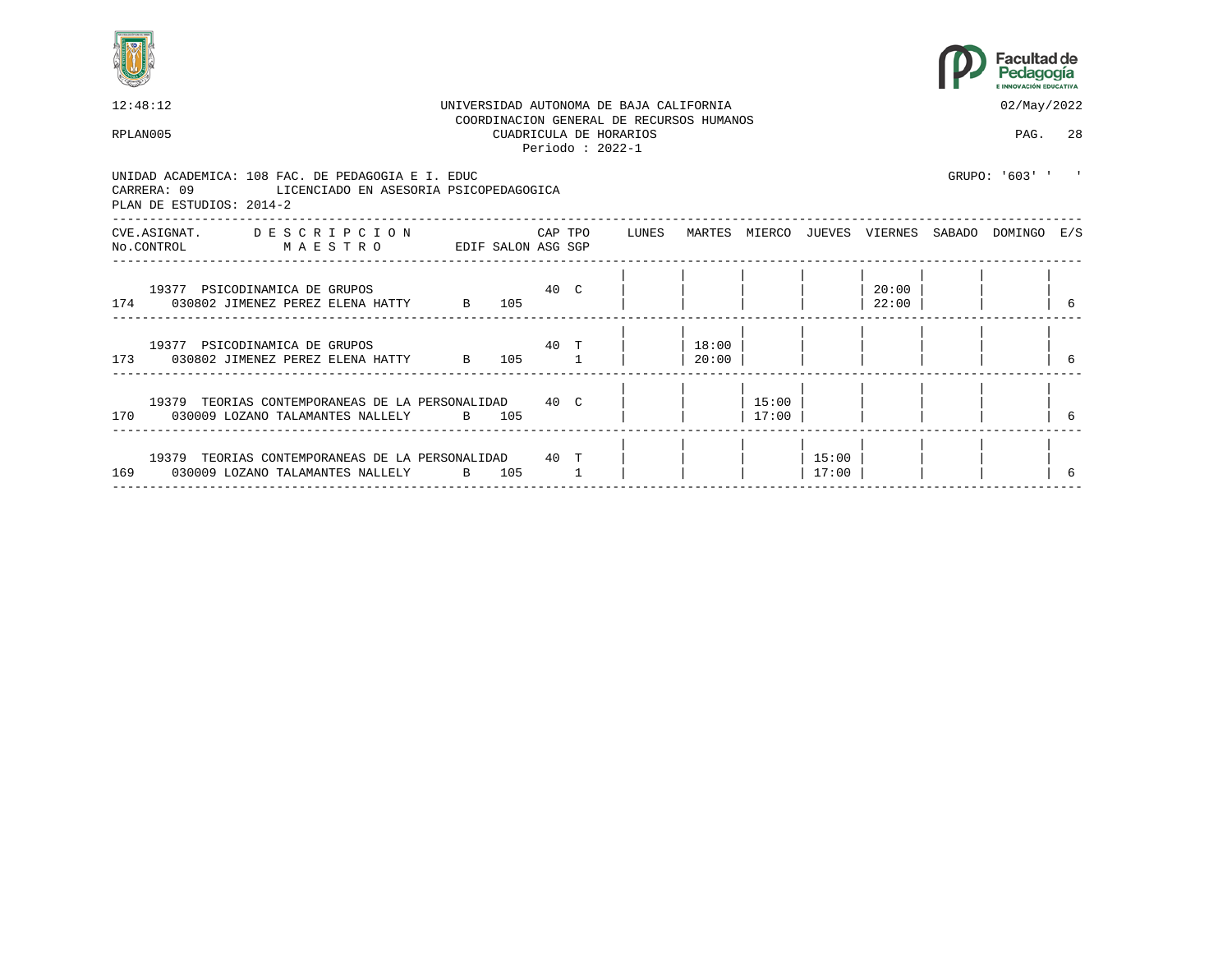



| 12:48:12<br>02/May/2022<br>UNIVERSIDAD AUTONOMA DE BAJA CALIFORNIA<br>COORDINACION GENERAL DE RECURSOS HUMANOS<br>CUADRICULA DE HORARIOS<br>PAG. 28<br>RPLAN005<br>Periodo: $2022-1$<br>GRIJPO: '603' '<br>UNIDAD ACADEMICA: 108 FAC. DE PEDAGOGIA E I. EDUC<br>CARRERA: 09 LICENCIADO EN ASESORIA PSICOPEDAGOGICA<br>PLAN DE ESTUDIOS: 2014-2<br>CVE.ASIGNAT. DESCRIPCION CAPTPO<br>LUNES<br>MARTES MIERCO JUEVES VIERNES SABADO DOMINGO E/S<br>MAESTRO<br>EDIF SALON ASG SGP<br>No.CONTROL<br>40 C<br>20:00<br>19377 PSICODINAMICA DE GRUPOS<br>174 030802 JIMENEZ PEREZ ELENA HATTY B 105<br>22:00<br>40 T<br>18:00<br>19377 PSICODINAMICA DE GRUPOS<br>173 030802 JIMENEZ PEREZ ELENA HATTY B<br>105 1<br>20:00<br>15:00<br>19379 TEORIAS CONTEMPORANEAS DE LA PERSONALIDAD 40 C<br>170 030009 LOZANO TALAMANTES NALLELY B 105<br>17:00<br>19379 TEORIAS CONTEMPORANEAS DE LA PERSONALIDAD 40 T<br>15:00<br>169 030009 LOZANO TALAMANTES NALLELY<br>B 105<br>17:00 |  |  |  |  |  |  |  |
|------------------------------------------------------------------------------------------------------------------------------------------------------------------------------------------------------------------------------------------------------------------------------------------------------------------------------------------------------------------------------------------------------------------------------------------------------------------------------------------------------------------------------------------------------------------------------------------------------------------------------------------------------------------------------------------------------------------------------------------------------------------------------------------------------------------------------------------------------------------------------------------------------------------------------------------------------------------------|--|--|--|--|--|--|--|
|                                                                                                                                                                                                                                                                                                                                                                                                                                                                                                                                                                                                                                                                                                                                                                                                                                                                                                                                                                        |  |  |  |  |  |  |  |
|                                                                                                                                                                                                                                                                                                                                                                                                                                                                                                                                                                                                                                                                                                                                                                                                                                                                                                                                                                        |  |  |  |  |  |  |  |
|                                                                                                                                                                                                                                                                                                                                                                                                                                                                                                                                                                                                                                                                                                                                                                                                                                                                                                                                                                        |  |  |  |  |  |  |  |
|                                                                                                                                                                                                                                                                                                                                                                                                                                                                                                                                                                                                                                                                                                                                                                                                                                                                                                                                                                        |  |  |  |  |  |  |  |
|                                                                                                                                                                                                                                                                                                                                                                                                                                                                                                                                                                                                                                                                                                                                                                                                                                                                                                                                                                        |  |  |  |  |  |  |  |
|                                                                                                                                                                                                                                                                                                                                                                                                                                                                                                                                                                                                                                                                                                                                                                                                                                                                                                                                                                        |  |  |  |  |  |  |  |
|                                                                                                                                                                                                                                                                                                                                                                                                                                                                                                                                                                                                                                                                                                                                                                                                                                                                                                                                                                        |  |  |  |  |  |  |  |
|                                                                                                                                                                                                                                                                                                                                                                                                                                                                                                                                                                                                                                                                                                                                                                                                                                                                                                                                                                        |  |  |  |  |  |  |  |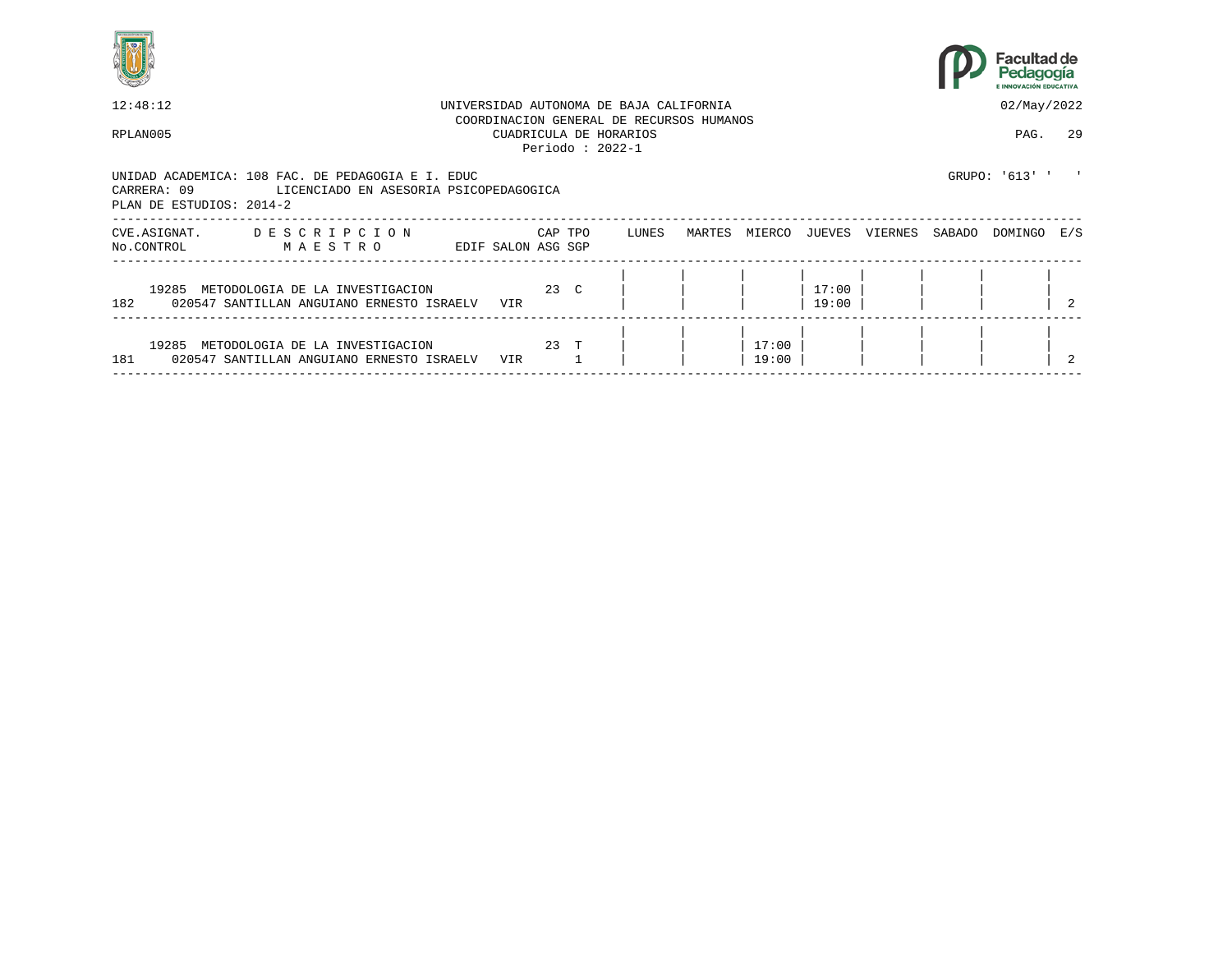



| 12:48:12                   |                                                                                                                                                                                                                       |  |                    |      | UNIVERSIDAD AUTONOMA DE BAJA CALIFORNIA |                                                                                         |  |                |                |  | 02/May/2022 |         |                |
|----------------------------|-----------------------------------------------------------------------------------------------------------------------------------------------------------------------------------------------------------------------|--|--------------------|------|-----------------------------------------|-----------------------------------------------------------------------------------------|--|----------------|----------------|--|-------------|---------|----------------|
| RPLAN005                   |                                                                                                                                                                                                                       |  |                    |      |                                         | COORDINACION GENERAL DE RECURSOS HUMANOS<br>CUADRICULA DE HORARIOS<br>Periodo: $2022-1$ |  |                |                |  |             | PAG.    | 29             |
| CARRERA: 09                | GRUPO: '613' '<br>UNIDAD ACADEMICA: 108 FAC. DE PEDAGOGIA E I. EDUC<br>LICENCIADO EN ASESORIA PSICOPEDAGOGICA<br>PLAN DE ESTUDIOS: 2014-2<br>DESCRIPCION<br>CAP TPO<br>LUNES<br>MARTES<br>MIERCO<br>VIERNES<br>JUEVES |  |                    |      |                                         |                                                                                         |  |                |                |  |             |         |                |
| CVE.ASIGNAT.<br>No.CONTROL | MAESTRO                                                                                                                                                                                                               |  | EDIF SALON ASG SGP |      |                                         |                                                                                         |  |                |                |  | SABADO      | DOMINGO | E/S            |
| 19285<br>182               | METODOLOGIA DE LA INVESTIGACION<br>020547 SANTILLAN ANGUIANO ERNESTO ISRAELV                                                                                                                                          |  | VIR                | 23 C |                                         |                                                                                         |  |                | 17:00<br>19:00 |  |             |         | $\mathfrak{D}$ |
| 19285<br>181               | METODOLOGIA DE LA INVESTIGACION<br>020547 SANTILLAN ANGUIANO ERNESTO ISRAELV                                                                                                                                          |  | VIR                | 23 T |                                         |                                                                                         |  | 17:00<br>19:00 |                |  |             |         |                |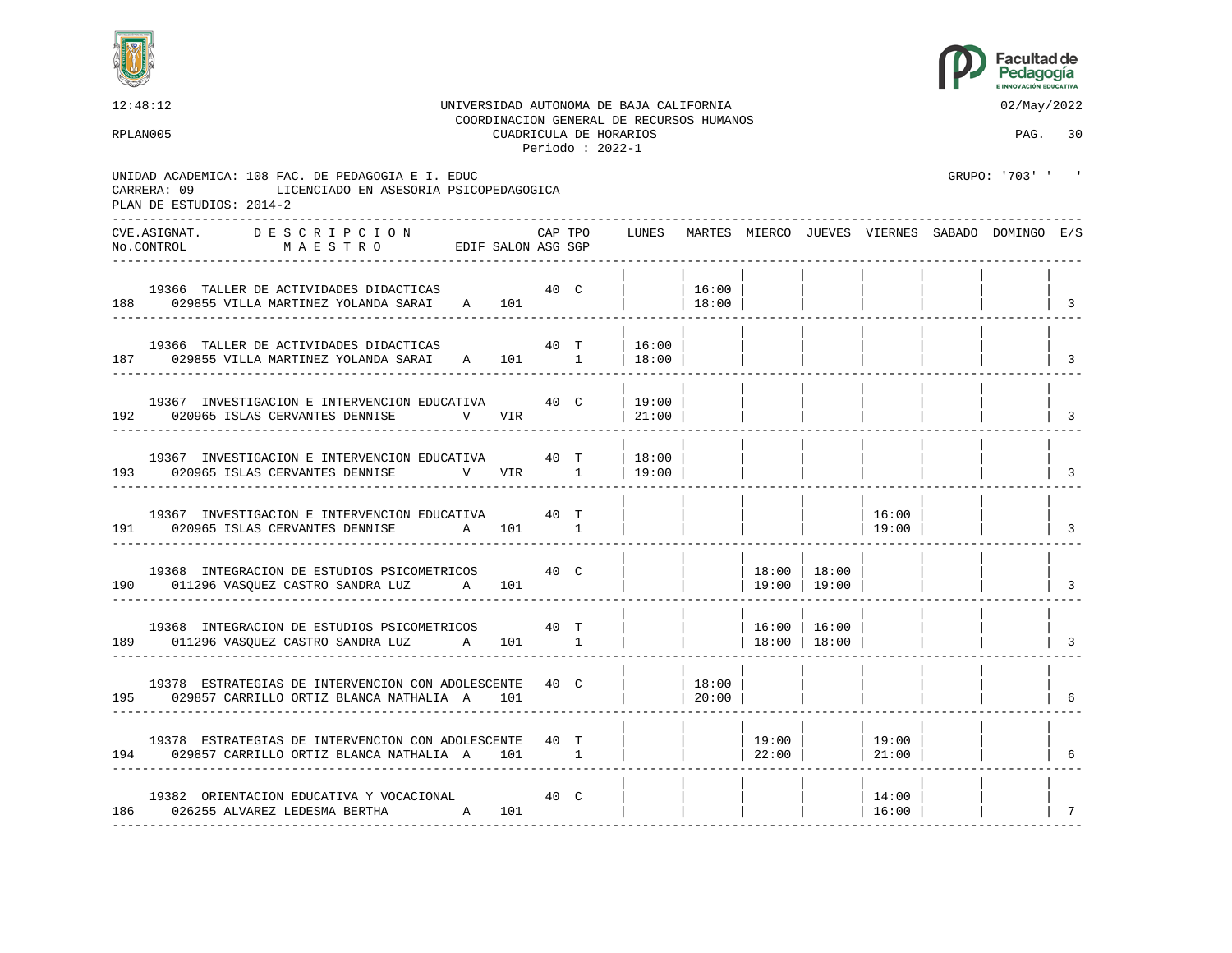



12:48:12 UNIVERSIDAD AUTONOMA DE BAJA CALIFORNIA 02/May/2022 COORDINACION GENERAL DE RECURSOS HUMANOS RPLAN005 CUADRICULA DE HORARIOS PAG. 30 Periodo : 2022-1 UNIDAD ACADEMICA: 108 FAC. DE PEDAGOGIA E I. EDUC GRUPO: '703' ' CARRERA: 09 LICENCIADO EN ASESORIA PSICOPEDAGOGICA PLAN DE ESTUDIOS: 2014-2 ---------------------------------------------------------------------------------------------------------------------------------- CVE.ASIGNAT. D E S C R I P C I O N CAP TPO LUNES MARTES MIERCO JUEVES VIERNES SABADO DOMINGO E/S No.CONTROL M A E S T R O EDIF SALON ASG SGP ---------------------------------------------------------------------------------------------------------------------------------- | | | | | | | | 19366 TALLER DE ACTIVIDADES DIDACTICAS 40 C | | 16:00 | | | | | | 188 029855 VILLA MARTINEZ YOLANDA SARAI A 101 | | ---------------------------------------------------------------------------------------------------------------------------------- | | | | | | | | 19366 TALLER DE ACTIVIDADES DIDACTICAS 40 T | 16:00 187 029855 VILLA MARTINEZ YOLANDA SARAI A 101 1 | 18:00 | | | | | | | 3 ---------------------------------------------------------------------------------------------------------------------------------- | | | | | | | | 19367 INVESTIGACION E INTERVENCION EDUCATIVA  $40\,$  C  $\,$  | 19:00 192 020965 ISLAS CERVANTES DENNISE V VIR | 21:00 | | | | | | | | | 3 ---------------------------------------------------------------------------------------------------------------------------------- | | | | | | | | 19367 INVESTIGACION E INTERVENCION EDUCATIVA  $40$  T | 18:00 193 020965 ISLAS CERVANTES DENNISE V VIR 1 | 19:00 | | | | | | | 3 ---------------------------------------------------------------------------------------------------------------------------------- | | | | | | | | 19367 INVESTIGACION E INTERVENCION EDUCATIVA  $40$  T | | | | | | | 16:00 | 191 020965 ISLAS CERVANTES DENNISE A 101 1 | | | | | 19:00 | | | 3 ---------------------------------------------------------------------------------------------------------------------------------- | | | | | | | | 19368 INTEGRACION DE ESTUDIOS PSICOMETRICOS  $\begin{array}{c|c|c|c|c} \text{18:00} & \text{18:00} & \text{18:00} \\ \text{011296 VASQUEZ CASTRO SANDRA LUZ} & \text{A} & \text{101} & & & & & 19:00 & 19:00 \\ \end{array}$ 190 011296 VASQUEZ CASTRO SANDRA LUZ A 101 | | | | 19:00 | 19:00 | | | | | | ---------------------------------------------------------------------------------------------------------------------------------- | | | | | | | | 19368 INTEGRACION DE ESTUDIOS PSICOMETRICOS 40 T | | | | 16:00 | 16:00 189 011296 VASQUEZ CASTRO SANDRA LUZ A 101 1 | | | 18:00 | 18:00 | | | | | ---------------------------------------------------------------------------------------------------------------------------------- | | | | | | | | 19378 ESTRATEGIAS DE INTERVENCION CON ADOLESCENTE 40 C | | | | 18:00 |<br>029857 CARRILLO ORTIZ BLANCA NATHALIA A 101 | | | 20:00 | 195 029857 CARRILLO ORTIZ BLANCA NATHALIA A 101 | | 20:00 | | | | | | 6 ---------------------------------------------------------------------------------------------------------------------------------- | | | | | | | | 19378 ESTRATEGIAS DE INTERVENCION CON ADOLESCENTE  $\begin{array}{c|c|c|c|c|c} 40 & T & & & 19:00 & 19:00 & 19:00 \ 029857 & \text{CARRLLO ORTIZ BLANCA NATHALIA} & A & 101 & & & 1 & & 22:00 & 22:00 & 21:00 \end{array}$ 194 029857 CARRILLO ORTIZ BLANCA NATHALIA A 101 1 | | | 22:00 | | 21:00 | | | 6 ---------------------------------------------------------------------------------------------------------------------------------- | | | | | | | | 19382 ORIENTACION EDUCATIVA Y VOCACIONAL 40 C | | | | | 14:00 | | | 186 026255 ALVAREZ LEDESMA BERTHA A 101 | | | | | | | | 16:00 |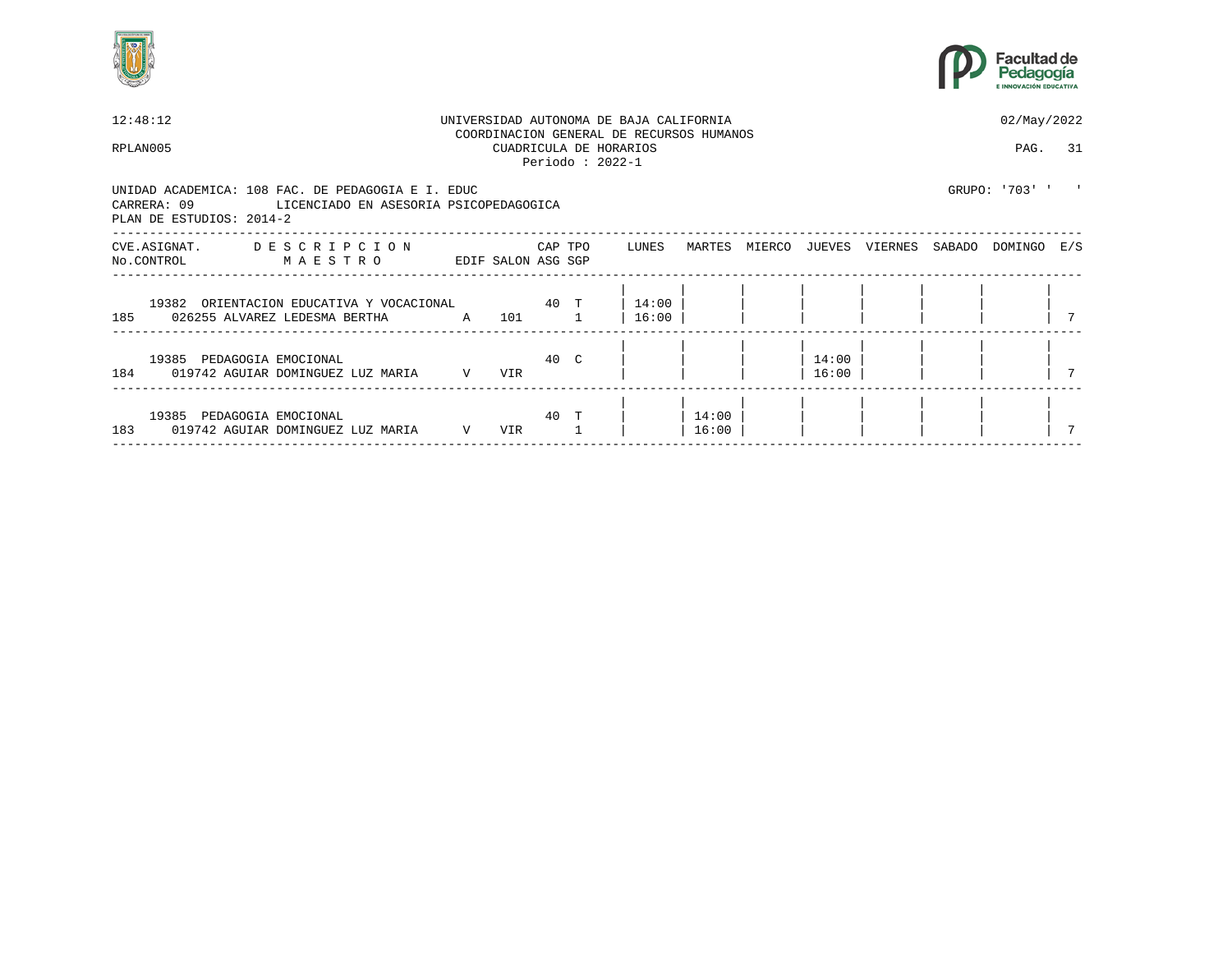



| 12:48:12                                                                                                                               |              |     |         |                                             | UNIVERSIDAD AUTONOMA DE BAJA CALIFORNIA<br>COORDINACION GENERAL DE RECURSOS HUMANOS |                |        |                |         |        | 02/May/2022    |  |
|----------------------------------------------------------------------------------------------------------------------------------------|--------------|-----|---------|---------------------------------------------|-------------------------------------------------------------------------------------|----------------|--------|----------------|---------|--------|----------------|--|
| RPLAN005                                                                                                                               |              |     |         | CUADRICULA DE HORARIOS<br>Periodo: $2022-1$ |                                                                                     |                |        |                |         |        | PAG. 31        |  |
| UNIDAD ACADEMICA: 108 FAC. DE PEDAGOGIA E I. EDUC<br>CARRERA: 09<br>LICENCIADO EN ASESORIA PSICOPEDAGOGICA<br>PLAN DE ESTUDIOS: 2014-2 |              |     |         |                                             |                                                                                     |                |        |                |         |        | GRUPO: '703' ' |  |
| CVE.ASIGNAT. DESCRIPCION<br>MAESTRO<br>EDIF SALON ASG SGP<br>No.CONTROL                                                                |              |     | CAP TPO |                                             | LUNES                                                                               | MARTES         | MIERCO | JUEVES         | VIERNES | SABADO | DOMINGO E/S    |  |
| 19382 ORIENTACION EDUCATIVA Y VOCACIONAL 60 T<br>185 026255 ALVAREZ LEDESMA BERTHA A 101                                               |              |     |         |                                             | $14:00$  <br>16:00                                                                  |                |        |                |         |        |                |  |
| 19385 PEDAGOGIA EMOCIONAL<br>184 019742 AGUIAR DOMINGUEZ LUZ MARIA                                                                     | $\mathbf{V}$ | VIR |         | 40 C                                        |                                                                                     |                |        | 14:00<br>16:00 |         |        |                |  |
| 19385 PEDAGOGIA EMOCIONAL<br>183<br>019742 AGUIAR DOMINGUEZ LUZ MARIA                                                                  | V            | VIR | 40 T    |                                             |                                                                                     | 14:00<br>16:00 |        |                |         |        |                |  |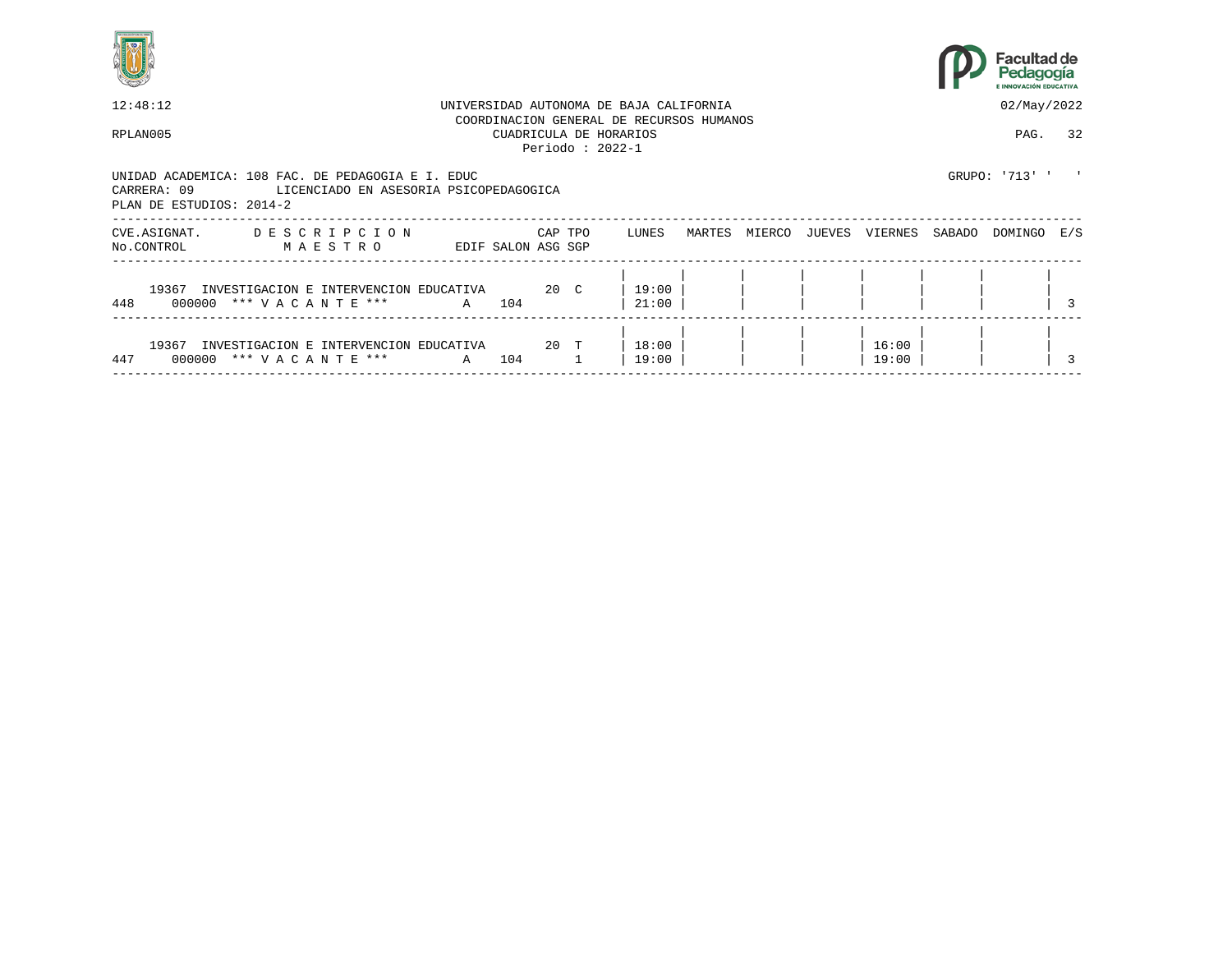



| 12:48:12                                                                                                                               |                             |                    |         |                   | UNIVERSIDAD AUTONOMA DE BAJA CALIFORNIA                            |        |        |        |                |        | 02/May/2022    |     |
|----------------------------------------------------------------------------------------------------------------------------------------|-----------------------------|--------------------|---------|-------------------|--------------------------------------------------------------------|--------|--------|--------|----------------|--------|----------------|-----|
| RPLAN005                                                                                                                               |                             |                    |         | Periodo: $2022-1$ | COORDINACION GENERAL DE RECURSOS HUMANOS<br>CUADRICULA DE HORARIOS |        |        |        |                |        | PAG.           | 32  |
| UNIDAD ACADEMICA: 108 FAC. DE PEDAGOGIA E I. EDUC<br>CARRERA: 09<br>LICENCIADO EN ASESORIA PSICOPEDAGOGICA<br>PLAN DE ESTUDIOS: 2014-2 |                             |                    |         |                   |                                                                    |        |        |        |                |        | GRUPO: '713' ' |     |
| DESCRIPCION<br>CVE.ASIGNAT.<br>No.CONTROL<br>MAESTRO                                                                                   |                             | EDIF SALON ASG SGP | CAP TPO |                   | LUNES                                                              | MARTES | MIERCO | JUEVES | VIERNES        | SABADO | DOMINGO        | E/S |
| 19367 INVESTIGACION E INTERVENCION EDUCATIVA<br>448<br>000000 *** VACANTE ***                                                          |                             | A 104              | 20 C    |                   | 19:00<br>21:00                                                     |        |        |        |                |        |                |     |
| 19367<br>INVESTIGACION E INTERVENCION<br>447<br>000000 *** VACANTE ***                                                                 | EDUCATIVA<br>$\overline{A}$ | 104                | $20$ T  |                   | 18:00<br>19:00                                                     |        |        |        | 16:00<br>19:00 |        |                |     |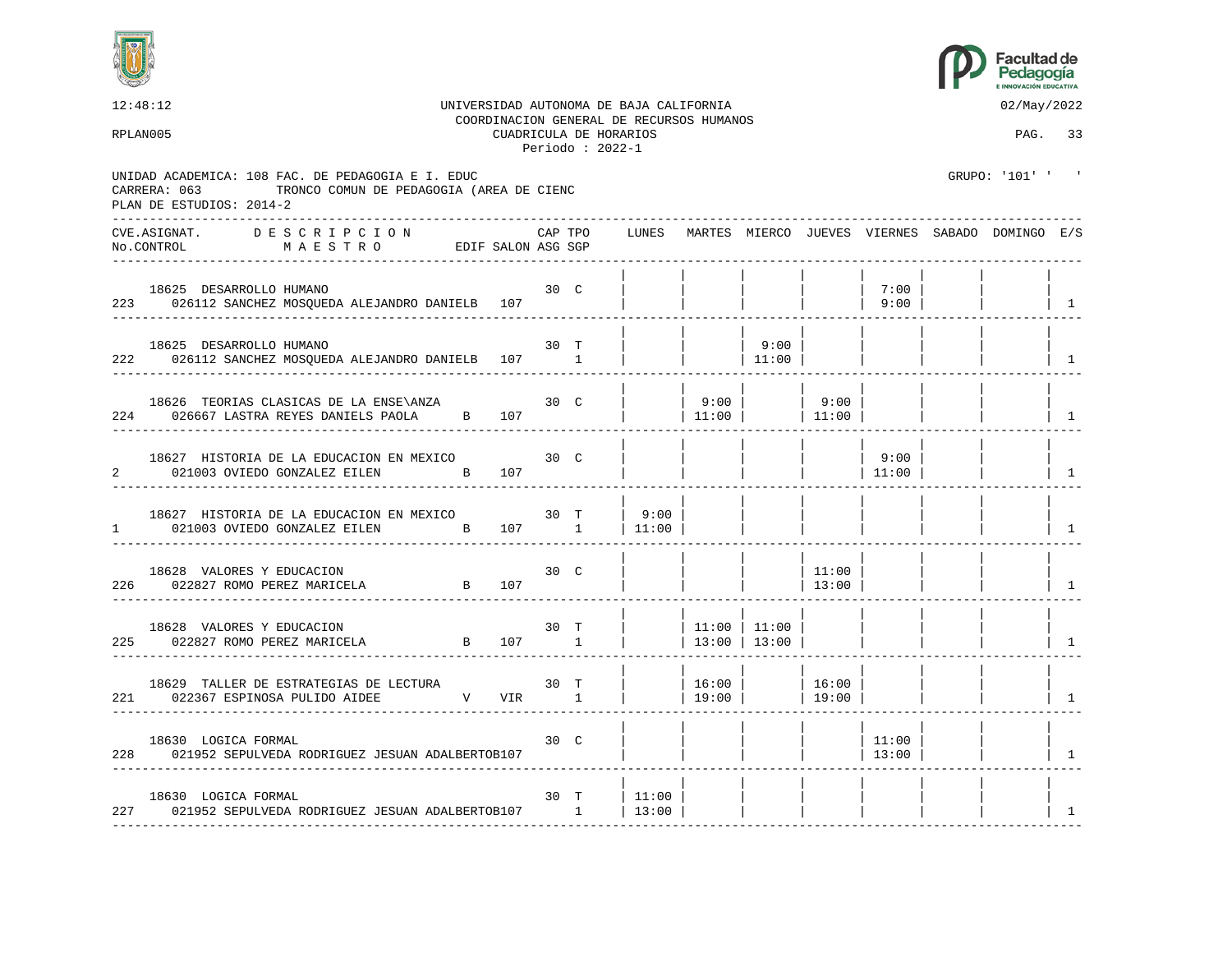



|                | 12:48:12<br>UNIVERSIDAD AUTONOMA DE BAJA CALIFORNIA<br>RPLAN005                                                                           | COORDINACION GENERAL DE RECURSOS HUMANOS |         |      | 02/May/2022<br>PAG. 33 |                                |                    |                |                 |                                                       |                |
|----------------|-------------------------------------------------------------------------------------------------------------------------------------------|------------------------------------------|---------|------|------------------------|--------------------------------|--------------------|----------------|-----------------|-------------------------------------------------------|----------------|
|                | UNIDAD ACADEMICA: 108 FAC. DE PEDAGOGIA E I. EDUC<br>TRONCO COMUN DE PEDAGOGIA (AREA DE CIENC<br>CARRERA: 063<br>PLAN DE ESTUDIOS: 2014-2 |                                          |         |      |                        |                                |                    |                |                 | GRUPO: '101' '                                        |                |
|                | <b>DESCRIPCION</b><br>CVE.ASIGNAT.<br>MAESTRO EDIF SALON ASG SGP<br>No.CONTROL                                                            |                                          | CAP TPO |      |                        |                                |                    |                |                 | LUNES MARTES MIERCO JUEVES VIERNES SABADO DOMINGO E/S |                |
|                | 18625 DESARROLLO HUMANO<br>223 026112 SANCHEZ MOSQUEDA ALEJANDRO DANIELB 107                                                              | $30\quad C$                              |         |      |                        |                                |                    |                | 7:00<br>9:00    |                                                       | $\overline{1}$ |
|                | 18625 DESARROLLO HUMANO<br>222 026112 SANCHEZ MOSQUEDA ALEJANDRO DANIELB 107 1                                                            |                                          | 30 T    |      |                        |                                | 9:00<br>11:00      |                |                 |                                                       | $\overline{1}$ |
|                | 18626 TEORIAS CLASICAS DE LA ENSE\ANZA<br>224 026667 LASTRA REYES DANIELS PAOLA B 107                                                     | $30\quad C$                              |         |      |                        | 9:00                           | $ 11:00 $ $ 11:00$ | 9:00           |                 |                                                       | $\overline{1}$ |
| $\overline{a}$ | 18627 HISTORIA DE LA EDUCACION EN MEXICO<br>$\overline{B}$ 107<br>021003 OVIEDO GONZALEZ EILEN                                            |                                          | 30 C    |      |                        |                                |                    |                | 9:00<br> 11:00  |                                                       | $\overline{1}$ |
| $\mathbf{1}$   | 18627 HISTORIA DE LA EDUCACION EN MEXICO<br>021003 OVIEDO GONZALEZ EILEN B 107 1                                                          |                                          |         | 30 T | 9:00<br> 11:00         |                                |                    |                |                 |                                                       | 1              |
| 226            | 18628 VALORES Y EDUCACION<br>$\overline{B}$<br>022827 ROMO PEREZ MARICELA                                                                 | 107                                      |         | 30 C |                        |                                |                    | 11:00<br>13:00 |                 |                                                       | $\overline{1}$ |
|                | 18628 VALORES Y EDUCACION<br>B 107 1<br>225 022827 ROMO PEREZ MARICELA                                                                    |                                          |         | 30 T |                        | 11:00 11:00<br>  13:00   13:00 |                    |                |                 |                                                       | $\overline{1}$ |
|                | 18629 TALLER DE ESTRATEGIAS DE LECTURA<br>221 022367 ESPINOSA PULIDO AIDEE N VIR 1                                                        | лично по села: 30 тр.                    |         |      |                        | 16:00<br>19:00                 |                    | 16:00<br>19:00 |                 |                                                       | 1              |
|                | 18630 LOGICA FORMAL<br>228 021952 SEPULVEDA RODRIGUEZ JESUAN ADALBERTOB107                                                                |                                          |         | 30 C |                        |                                |                    |                | 11:00<br> 13:00 |                                                       | $\overline{1}$ |
|                | 18630 LOGICA FORMAL<br>227 021952 SEPULVEDA RODRIGUEZ JESUAN ADALBERTOB107 1<br>_________________________                                 |                                          | $30$ T  |      | 11:00<br> 13:00        |                                |                    |                |                 |                                                       | 1              |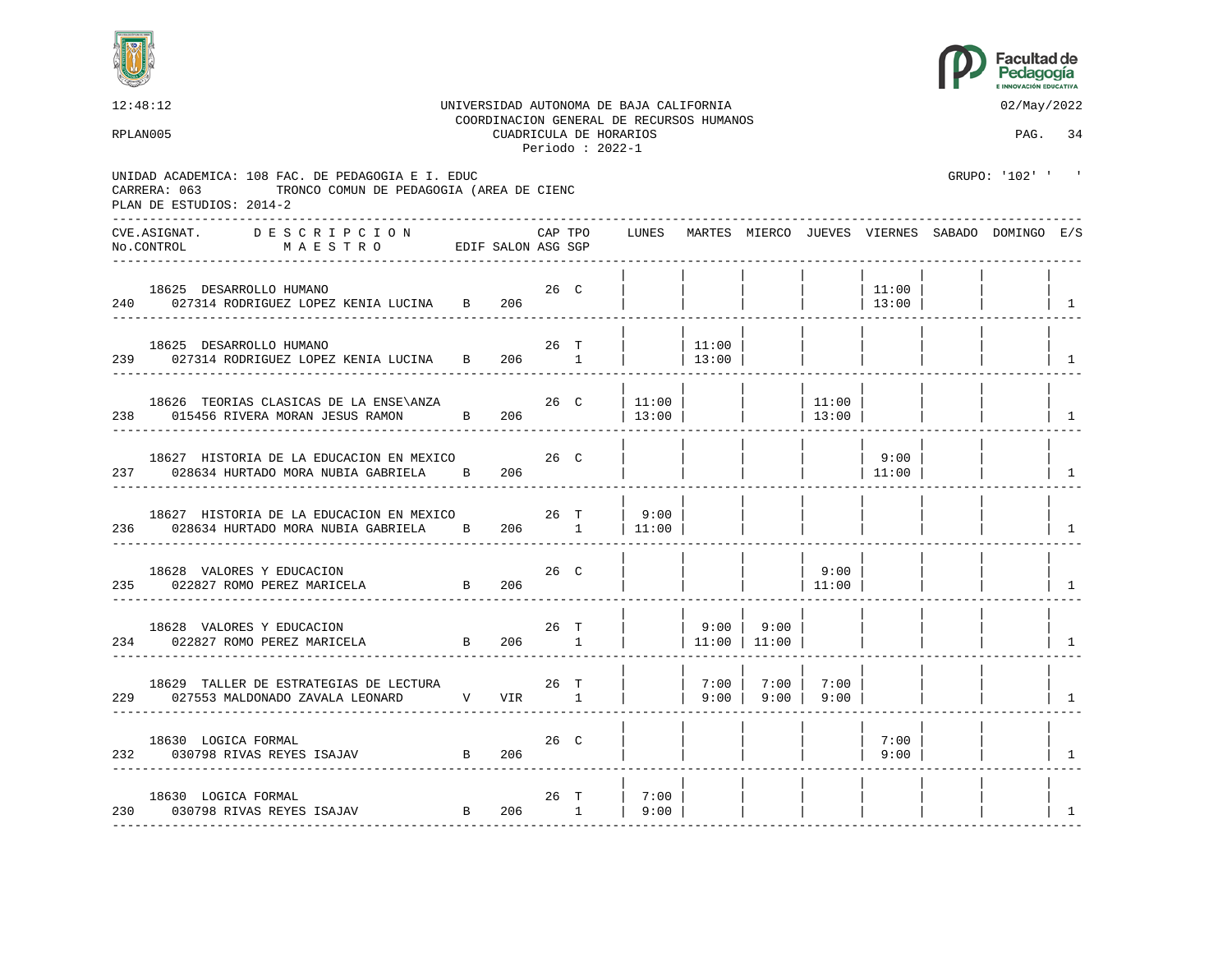



12:48:12 UNIVERSIDAD AUTONOMA DE BAJA CALIFORNIA 02/May/2022 COORDINACION GENERAL DE RECURSOS HUMANOS RPLAN005 CUADRICULA DE HORARIOS PAG. 34 Periodo : 2022-1 UNIDAD ACADEMICA: 108 FAC. DE PEDAGOGIA E I. EDUC GRUPO: '102' ' CARRERA: 063 TRONCO COMUN DE PEDAGOGIA (AREA DE CIENC PLAN DE ESTUDIOS: 2014-2 ---------------------------------------------------------------------------------------------------------------------------------- CVE.ASIGNAT. D E S C R I P C I O N CAP TPO LUNES MARTES MIERCO JUEVES VIERNES SABADO DOMINGO E/S No.CONTROL M A E S T R O EDIF SALON ASG SGP ---------------------------------------------------------------------------------------------------------------------------------- | | | | | | | | 18625 DESARROLLO HUMANO 26 C | | | | | 11:00 | | | 240 027314 RODRIGUEZ LOPEZ KENIA LUCINA B 206 ---------------------------------------------------------------------------------------------------------------------------------- | | | | | | | | 18625 DESARROLLO HUMANO 26 T | | 11:00 | | | | | | 239 027314 RODRIGUEZ LOPEZ KENIA LUCINA B 206 1 | | 13:00 | | | | | | | | | ---------------------------------------------------------------------------------------------------------------------------------- | | | | | | | | 18626 TEORIAS CLASICAS DE LA ENSE\ANZA 26 C | 11:00 | | | | 11:00 | | | | | | | | 238 015456 RIVERA MORAN JESUS RAMON B 206 | 13:00 | | | 13:00 | | | | | | | 1 ---------------------------------------------------------------------------------------------------------------------------------- | | | | | | | | 18627 HISTORIA DE LA EDUCACION EN MEXICO  $26$  C | | | | | | 9:00 237 028634 HURTADO MORA NUBIA GABRIELA B 206 | | | | | | | | 11:00 | | | | ---------------------------------------------------------------------------------------------------------------------------------- | | | | | | | | 18627 HISTORIA DE LA EDUCACION EN MEXICO 26 T | 9:00 | | | | | | | 236 028634 HURTADO MORA NUBIA GABRIELA B 206 1 | 11:00 | | | | | | | | | | | | ---------------------------------------------------------------------------------------------------------------------------------- | | | | | | | | 18628 VALORES Y EDUCACION 26 C | | | | 9:00 | | | | 235 022827 ROMO PEREZ MARICELA B 206 | | | | 11:00 | | | | | ---------------------------------------------------------------------------------------------------------------------------------- | | | | | | | | 18628 VALORES Y EDUCACION 26 T | | 9:00 | 9:00 | | | | | 234 022827 ROMO PEREZ MARICELA B 206 1 | | 11:00 | 11:00 | | | | | 1 ---------------------------------------------------------------------------------------------------------------------------------- | | | | | | | | 18629 TALLER DE ESTRATEGIAS DE LECTURA 26 T | | 7:00 | 7:00 | 7:00 | | | | 229 027553 MALDONADO ZAVALA LEONARD V VIR 1 | | 9:00 | 9:00 | 9:00 | | | | 1 ---------------------------------------------------------------------------------------------------------------------------------- | | | | | | | | 18630 LOGICA FORMAL 26 C | | | | | 7:00 | | | 232 030798 RIVAS REYES ISAJAV B 206 | | | | | 9:00 | | | | ---------------------------------------------------------------------------------------------------------------------------------- | | | | | | | | 18630 LOGICA FORMAL 26 T | 7:00 | | | | | | | 230 030798 RIVAS REYES ISAJAV B 206 1 | 9:00 | | | | | | | 1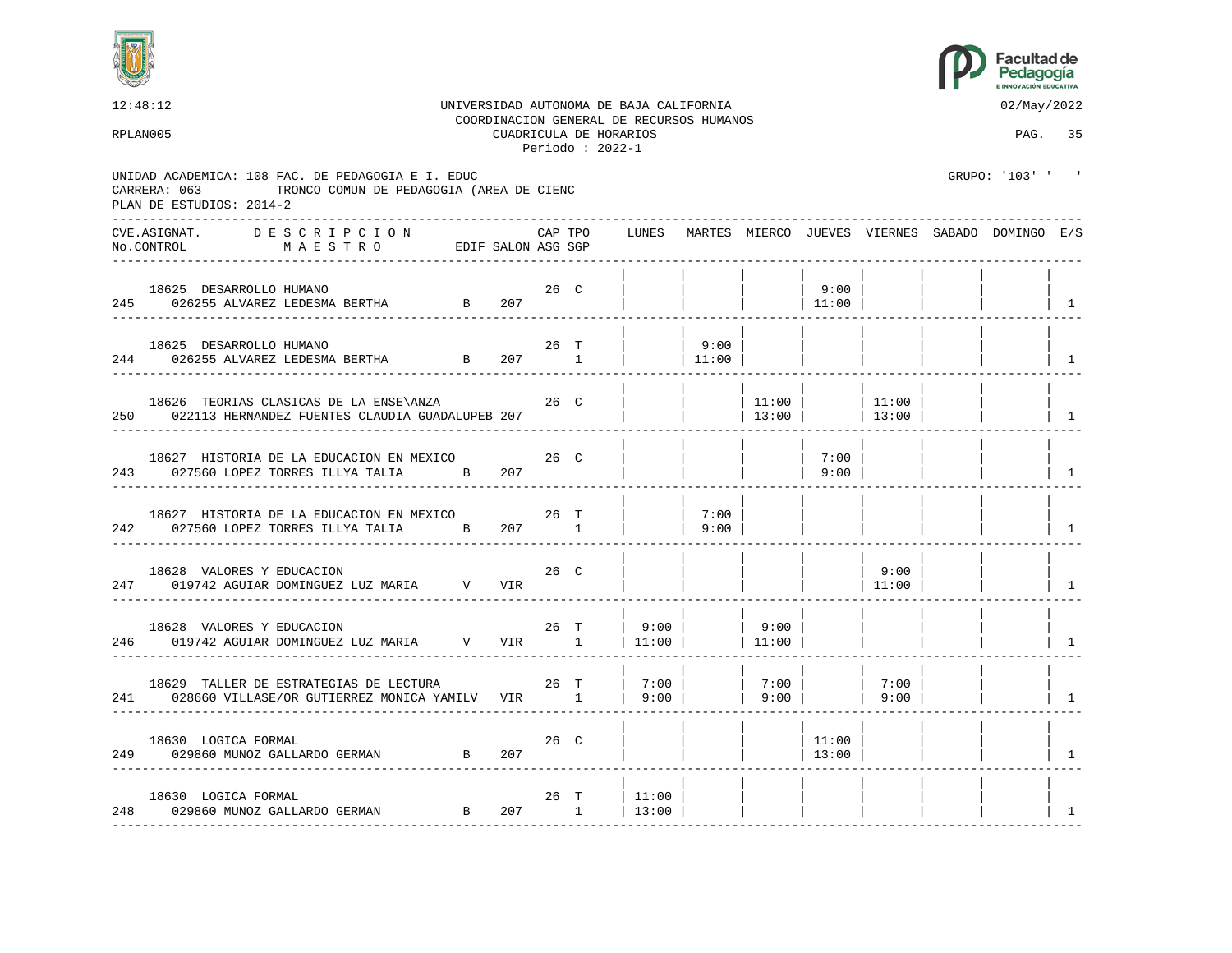



12:48:12 UNIVERSIDAD AUTONOMA DE BAJA CALIFORNIA 02/May/2022 COORDINACION GENERAL DE RECURSOS HUMANOS RPLAN005 CUADRICULA DE HORARIOS PAG. 35 Periodo : 2022-1 UNIDAD ACADEMICA: 108 FAC. DE PEDAGOGIA E I. EDUC GRUPO: '103' ' CARRERA: 063 TRONCO COMUN DE PEDAGOGIA (AREA DE CIENC PLAN DE ESTUDIOS: 2014-2 ---------------------------------------------------------------------------------------------------------------------------------- CVE.ASIGNAT. D E S C R I P C I O N CAP TPO LUNES MARTES MIERCO JUEVES VIERNES SABADO DOMINGO E/S No.CONTROL M A E S T R O EDIF SALON ASG SGP ---------------------------------------------------------------------------------------------------------------------------------- | | | | | | | | 18625 DESARROLLO HUMANO 26 C | | | | 9:00 | | | | 245 026255 ALVAREZ LEDESMA BERTHA B 207 | | | | 11:00 | | | | 1 ---------------------------------------------------------------------------------------------------------------------------------- | | | | | | | | 18625 DESARROLLO HUMANO 26 T | | 9:00 | | | | | | 244 026255 ALVAREZ LEDESMA BERTHA B 207 1 | 11:00 | | | | | | | | | ---------------------------------------------------------------------------------------------------------------------------------- | | | | | | | | 18626 TEORIAS CLASICAS DE LA ENSE\ANZA 26 C | | | | 11:00 | | 11:00 | 11:00 | 13:00 | 022113 HERNANDEZ FUENTES CLAUDIA GUADALUPEB 207 250 022113 HERNANDEZ FUENTES CLAUDIA GUADALUPEB 207 | | | | 13:00 | | 13:00 | | | | ---------------------------------------------------------------------------------------------------------------------------------- | | | | | | | | 18627 HISTORIA DE LA EDUCACION EN MEXICO  $26$  C | | | | | 7:00 243 027560 LOPEZ TORRES ILLYA TALIA B 207 | | | 9:00 | | | | | ---------------------------------------------------------------------------------------------------------------------------------- | | | | | | | | 18627 HISTORIA DE LA EDUCACION EN MEXICO  $26$  T | | 7:00 | 242 027560 LOPEZ TORRES ILLYA TALIA B 207 1 | | 9:00 | | | | | | | | | ---------------------------------------------------------------------------------------------------------------------------------- | | | | | | | | 18628 VALORES Y EDUCACION 26 C | | | | | 9:00 | | | 247 019742 AGUIAR DOMINGUEZ LUZ MARIA V VIR | | | | | | | | | | 11:00 | | | | | ---------------------------------------------------------------------------------------------------------------------------------- | | | | | | | | 18628 VALORES Y EDUCACION 26 T | 9:00 | | 9:00 | 246 019742 AGUIAR DOMINGUEZ LUZ MARIA V VIR 1 | 11:00 | | 11:00 | | | | | | | | | | ---------------------------------------------------------------------------------------------------------------------------------- | | | | | | | | 18629 TALLER DE ESTRATEGIAS DE LECTURA  $26$  T  $|$  7:00 | | 7:00 | | 7:00 241 028660 VILLASE/OR GUTIERREZ MONICA YAMILV VIR 1 | 9:00 | | 9:00 | | 9:00 | | | | 1 ---------------------------------------------------------------------------------------------------------------------------------- | | | | | | | | 18630 LOGICA FORMAL 26 C | | | | 11:00 | | | | 249 029860 MUNOZ GALLARDO GERMAN B 207 | | | | 13:00 | | | | 1 ---------------------------------------------------------------------------------------------------------------------------------- | | | | | | | | 18630 LOGICA FORMAL 26 T | 11:00 | | | | | | | 248 029860 MUNOZ GALLARDO GERMAN B 207 1 | 13:00 | | | | | | | 1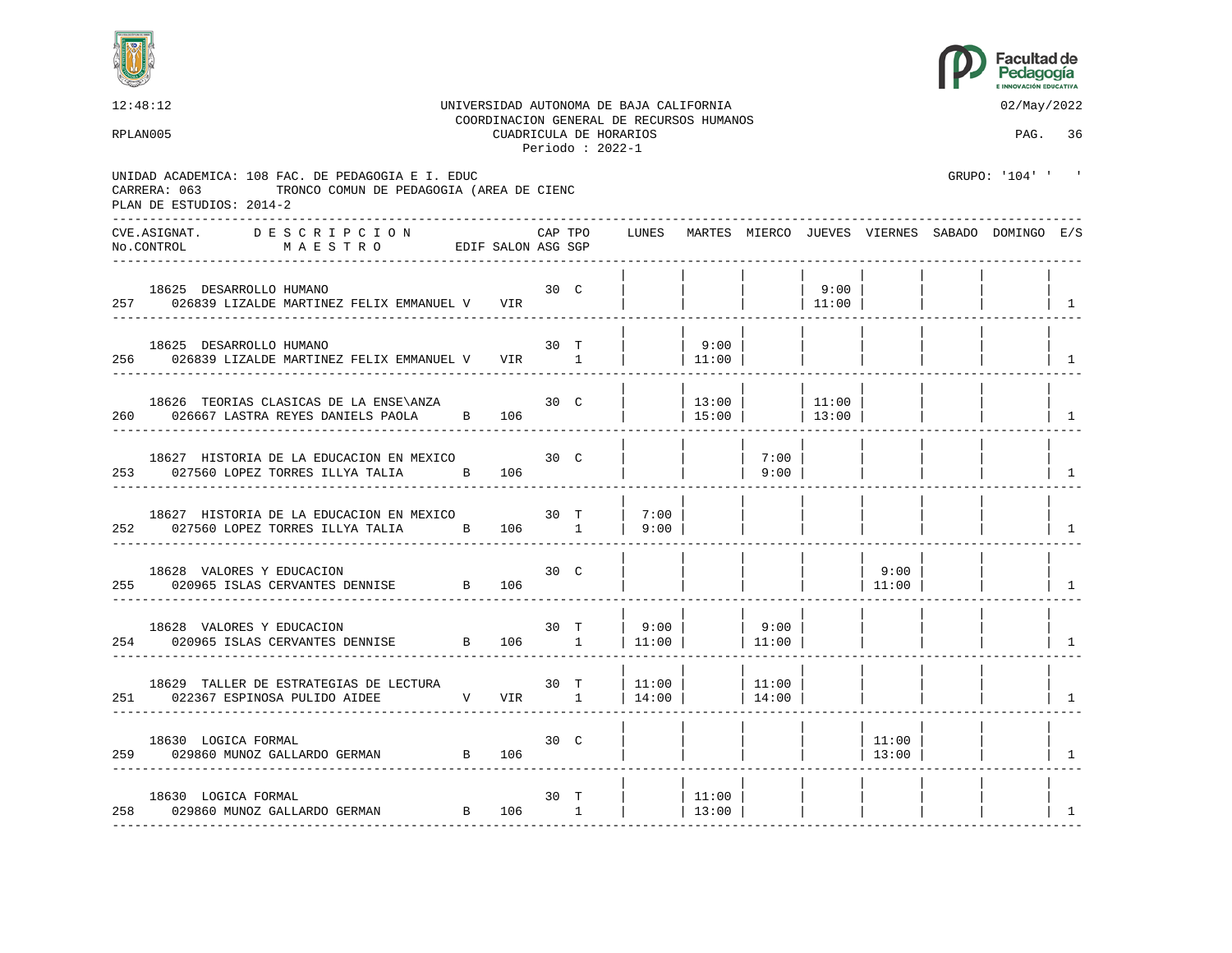



| 12:48:12<br>RPLAN005 |                                                                                                                                           |                   |         | CUADRICULA DE HORARIOS<br>Periodo: $2022-1$ | UNIVERSIDAD AUTONOMA DE BAJA CALIFORNIA<br>COORDINACION GENERAL DE RECURSOS HUMANOS |                 |                |                |                 | 02/May/2022<br>PAG. 36                                |                |
|----------------------|-------------------------------------------------------------------------------------------------------------------------------------------|-------------------|---------|---------------------------------------------|-------------------------------------------------------------------------------------|-----------------|----------------|----------------|-----------------|-------------------------------------------------------|----------------|
|                      | UNIDAD ACADEMICA: 108 FAC. DE PEDAGOGIA E I. EDUC<br>TRONCO COMUN DE PEDAGOGIA (AREA DE CIENC<br>CARRERA: 063<br>PLAN DE ESTUDIOS: 2014-2 |                   |         |                                             |                                                                                     |                 |                |                |                 | GRUPO: '104' '                                        |                |
|                      | DESCRIPCION<br>CVE.ASIGNAT.<br>MAESTRO EDIF SALON ASG SGP<br>No.CONTROL                                                                   |                   | CAP TPO |                                             |                                                                                     |                 |                |                |                 | LUNES MARTES MIERCO JUEVES VIERNES SABADO DOMINGO E/S |                |
|                      | 30 <sub>C</sub><br>18625 DESARROLLO HUMANO<br>257 026839 LIZALDE MARTINEZ FELIX EMMANUEL V VIR                                            |                   |         |                                             |                                                                                     |                 |                | 9:00<br>11:00  |                 |                                                       | $\overline{1}$ |
|                      | 18625 DESARROLLO HUMANO<br>256 026839 LIZALDE MARTINEZ FELIX EMMANUEL V VIR 1                                                             | 30 T              |         |                                             |                                                                                     | 9:00<br> 11:00  |                |                |                 |                                                       | $\overline{1}$ |
|                      | 18626 TEORIAS CLASICAS DE LA ENSE\ANZA<br>260 026667 LASTRA REYES DANIELS PAOLA B 106                                                     |                   | 30 C    |                                             |                                                                                     | 13:00<br> 15:00 |                | 11:00<br>13:00 |                 |                                                       | $\overline{1}$ |
|                      | 18627 HISTORIA DE LA EDUCACION EN MEXICO<br>253 027560 LOPEZ TORRES ILLYA TALIA B 106                                                     |                   | 30 C    |                                             |                                                                                     |                 | 7:00<br> 9:00  |                |                 |                                                       | $\overline{1}$ |
|                      | 18627 HISTORIA DE LA EDUCACION EN MEXICO<br>252 027560 LOPEZ TORRES ILLYA TALIA B 106 1                                                   |                   | 30 T    |                                             | 7:00<br>$\vert$ 9:00                                                                |                 |                |                |                 |                                                       | $\mathbf{1}$   |
|                      | 18628 VALORES Y EDUCACION<br>255 020965 ISLAS CERVANTES DENNISE B                                                                         | 106               | 30 C    |                                             |                                                                                     |                 |                |                | 9:00<br>11:00   |                                                       | $\overline{1}$ |
|                      | 18628 VALORES Y EDUCACION<br>254 020965 ISLAS CERVANTES DENNISE B 106 1                                                                   |                   | 30 T    |                                             | 9:00  <br> 11:00                                                                    |                 | 9:00<br> 11:00 |                |                 |                                                       | $\overline{1}$ |
|                      | 18629 TALLER DE ESTRATEGIAS DE LECTURA<br>251 022367 ESPINOSA PULIDO AIDEE N V VIR 1                                                      | <b>30 T</b>       |         |                                             | 11:00<br>  $14:00$                                                                  |                 | 11:00<br>14:00 |                |                 |                                                       | $\overline{1}$ |
|                      | 18630 LOGICA FORMAL<br>259 029860 MUNOZ GALLARDO GERMAN B 106                                                                             | 30 C              |         |                                             |                                                                                     |                 |                |                | 11:00<br> 13:00 |                                                       | $\overline{1}$ |
|                      | 18630 LOGICA FORMAL<br>B 106 1<br>258 029860 MUNOZ GALLARDO GERMAN                                                                        | 30 T<br>- - - - - |         |                                             |                                                                                     | 11:00<br>13:00  |                |                |                 |                                                       | 1              |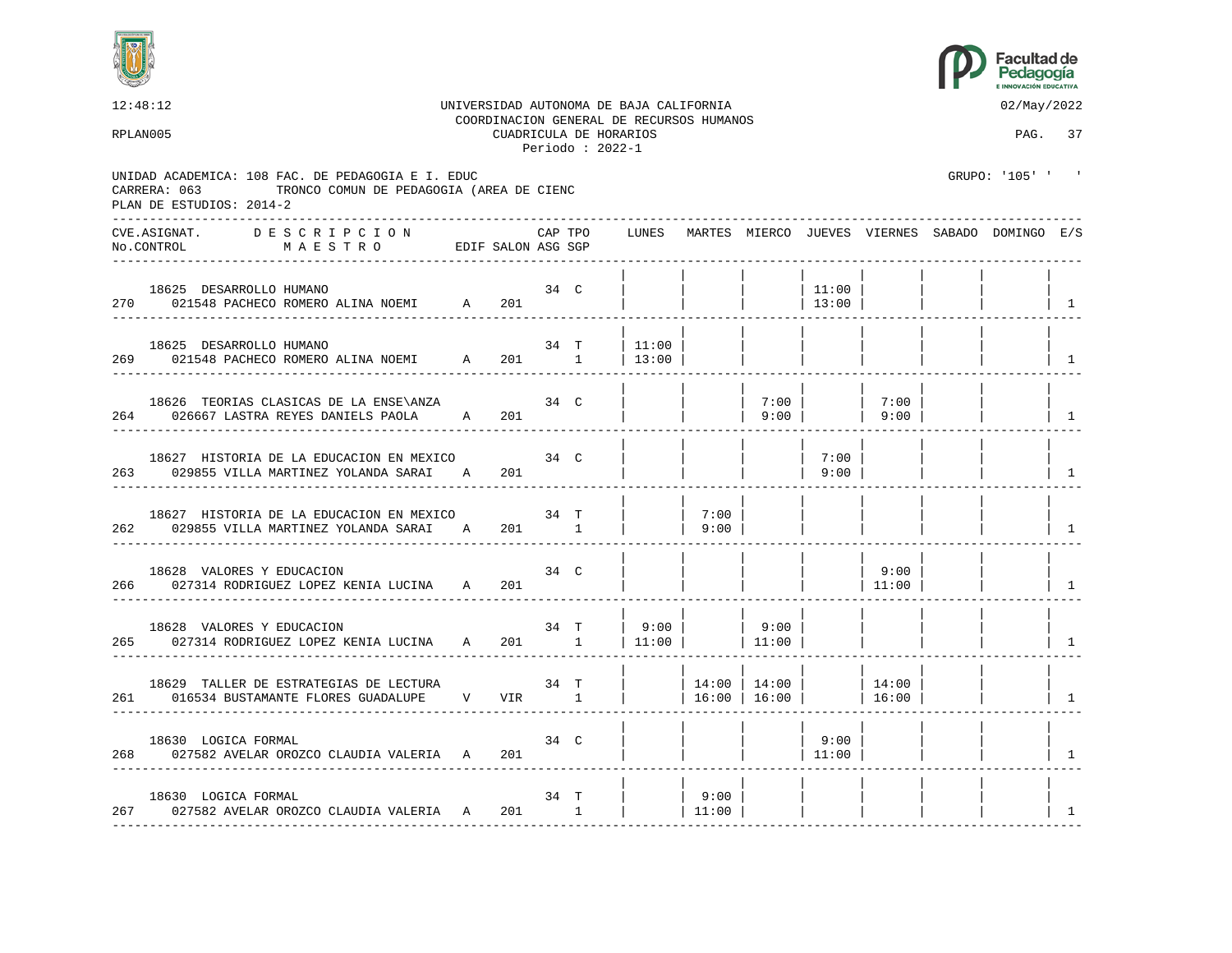



12:48:12 UNIVERSIDAD AUTONOMA DE BAJA CALIFORNIA 02/May/2022 COORDINACION GENERAL DE RECURSOS HUMANOS RPLAN005 CUADRICULA DE HORARIOS PAG. 37 Periodo : 2022-1 UNIDAD ACADEMICA: 108 FAC. DE PEDAGOGIA E I. EDUC GRUPO: '105' ' CARRERA: 063 TRONCO COMUN DE PEDAGOGIA (AREA DE CIENC PLAN DE ESTUDIOS: 2014-2 ---------------------------------------------------------------------------------------------------------------------------------- CVE.ASIGNAT. D E S C R I P C I O N CAP TPO LUNES MARTES MIERCO JUEVES VIERNES SABADO DOMINGO E/S No.CONTROL M A E S T R O EDIF SALON ASG SGP ---------------------------------------------------------------------------------------------------------------------------------- | | | | | | | | 18625 DESARROLLO HUMANO 34 C | | | | 11:00 | | | | 270 021548 PACHECO ROMERO ALINA NOEMI A 201 ---------------------------------------------------------------------------------------------------------------------------------- | | | | | | | | 18625 DESARROLLO HUMANO 34 T | 11:00 | | | | | | | 269 021548 PACHECO ROMERO ALINA NOEMI A 201 1 | 13:00 | | | | | | | | | | | | ---------------------------------------------------------------------------------------------------------------------------------- | | | | | | | | 18626 TEORIAS CLASICAS DE LA ENSE\ANZA 34 C | | | 7:00 | | 7:00 | | | 264 026667 LASTRA REYES DANIELS PAOLA A 201 | | 9:00 | | 9:00 | | | | ---------------------------------------------------------------------------------------------------------------------------------- | | | | | | | | 18627 HISTORIA DE LA EDUCACION EN MEXICO  $\begin{array}{c|c|c|c|c|c} \text{34} & \text{C} & & \text{ } \end{array}$  | | | | 7:00 | 263 029855 VILLA MARTINEZ YOLANDA SARAI A 201 | | | | 9:00 | | | | 1 ---------------------------------------------------------------------------------------------------------------------------------- | | | | | | | | 18627 HISTORIA DE LA EDUCACION EN MEXICO 34 T | | 7:00 | 262 029855 VILLA MARTINEZ YOLANDA SARAI A 201 1 | | 9:00 | | | | | | 1 ---------------------------------------------------------------------------------------------------------------------------------- | | | | | | | | 18628 VALORES Y EDUCACION 34 C | | | | | 9:00 | | | 266 027314 RODRIGUEZ LOPEZ KENIA LUCINA A 201 | | | | | | | | | 11:00 | | | | | 1 ---------------------------------------------------------------------------------------------------------------------------------- | | | | | | | | 18628 VALORES Y EDUCACION 18628 VALORES Y EDUCACION 1990 34 T | 9:00 | | 9:00 | | 9:00 | | 9:00 | | 9:00 | | 9<br>027314 RODRIGUEZ LOPEZ KENIA LUCINA 1990 1 | 11:00 | | 11:00 | | 11:00 | | 11:00 | | 11:00 | | 11:00 | | 11:00 265 027314 RODRIGUEZ LOPEZ KENIA LUCINA A 201 1 | 11:00 | | 11:00 | | | | | 1 | | | | | | | | 18629 TALLER DE ESTRATEGIAS DE LECTURA 34 T | | 14:00 | 14:00 | | 14:00 | | | 261 016534 BUSTAMANTE FLORES GUADALUPE V VIR 1 | 16:00 | 16:00 | ---------------------------------------------------------------------------------------------------------------------------------- | | | | | | | | 18630 LOGICA FORMAL 34 C | | | | 9:00 | | | | 268 027582 AVELAR OROZCO CLAUDIA VALERIA A 201 | | | | 11:00 | | | | 1 ---------------------------------------------------------------------------------------------------------------------------------- | | | | | | | | 18630 LOGICA FORMAL 34 T | | 9:00 | | | | | | 267 027582 AVELAR OROZCO CLAUDIA VALERIA A 201 1 | 11:00 | | | | | | | |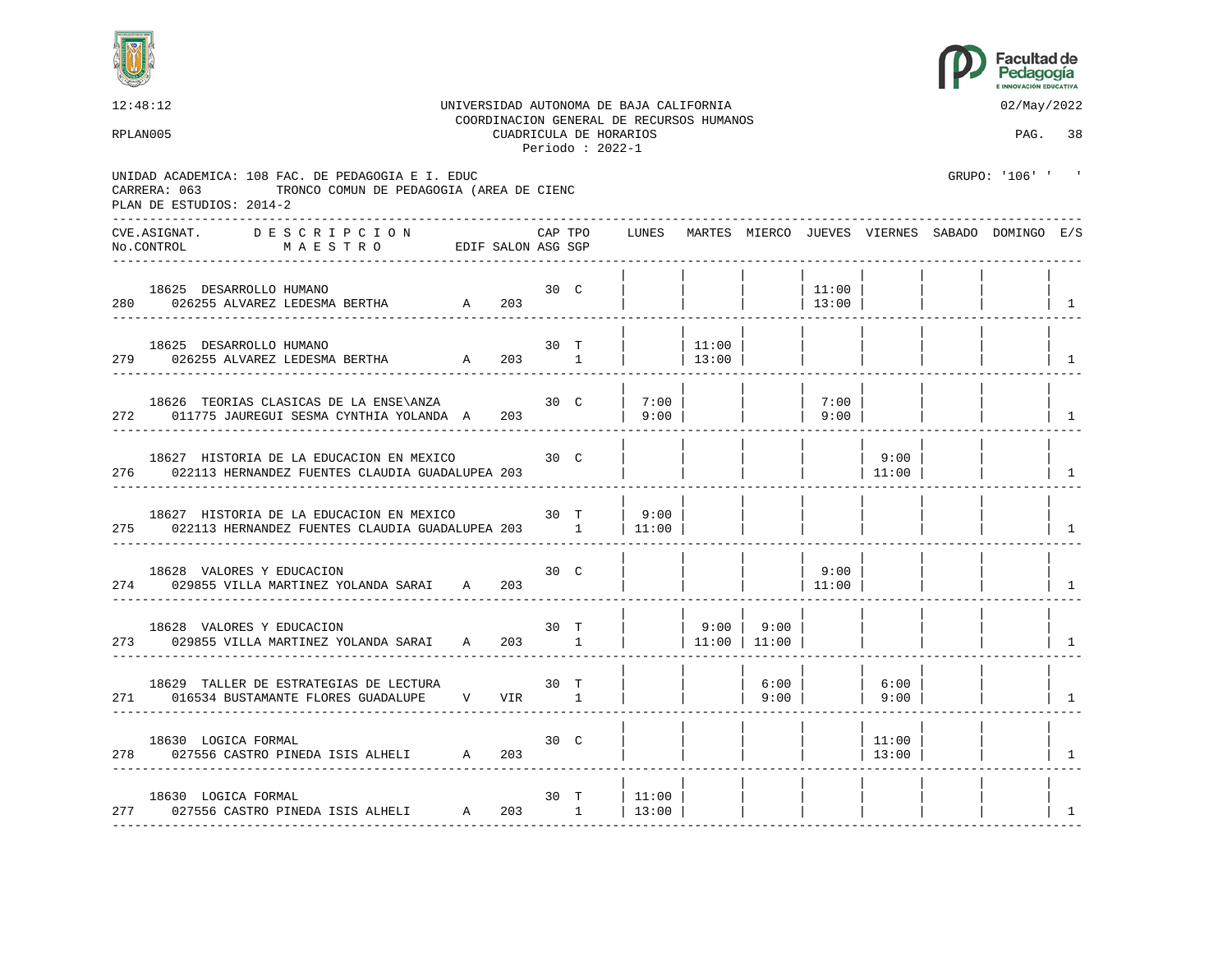



12:48:12 UNIVERSIDAD AUTONOMA DE BAJA CALIFORNIA 02/May/2022 COORDINACION GENERAL DE RECURSOS HUMANOS RPLAN005 CUADRICULA DE HORARIOS PAG. 38 Periodo : 2022-1 UNIDAD ACADEMICA: 108 FAC. DE PEDAGOGIA E I. EDUC GRUPO: '106' ' ' CARRERA: 063 TRONCO COMUN DE PEDAGOGIA (AREA DE CIENC PLAN DE ESTUDIOS: 2014-2 ---------------------------------------------------------------------------------------------------------------------------------- CVE.ASIGNAT. D E S C R I P C I O N CAP TPO LUNES MARTES MIERCO JUEVES VIERNES SABADO DOMINGO E/S No.CONTROL M A E S T R O EDIF SALON ASG SGP ---------------------------------------------------------------------------------------------------------------------------------- | | | | | | | | 18625 DESARROLLO HUMANO 30 C | | | | 11:00 | | | | 280 026255 ALVAREZ LEDESMA BERTHA A 203 | | | | 13:00 | | | | 1 ---------------------------------------------------------------------------------------------------------------------------------- | | | | | | | | 18625 DESARROLLO HUMANO 30 T | | 11:00 | | | | | | 279 026255 ALVAREZ LEDESMA BERTHA A 203 1 | | 13:00 | | | | | | | | | | ---------------------------------------------------------------------------------------------------------------------------------- | | | | | | | | 18626 TEORIAS CLASICAS DE LA ENSE\ANZA 30 C | 7:00 | | | | 7:00 | 272 011775 JAUREGUI SESMA CYNTHIA YOLANDA A 203 | 9:00 | | | 9:00 | | | | | | ---------------------------------------------------------------------------------------------------------------------------------- | | | | | | | | 18627 HISTORIA DE LA EDUCACION EN MEXICO 30 C | | | | | 9:00 276 022113 HERNANDEZ FUENTES CLAUDIA GUADALUPEA 203 | | | | | | | | 11:00 | | | | ---------------------------------------------------------------------------------------------------------------------------------- | | | | | | | | 18627 HISTORIA DE LA EDUCACION EN MEXICO 30 T | 9:00 | | | | | | | 275 022113 HERNANDEZ FUENTES CLAUDIA GUADALUPEA 203 1 | 11:00 | | | | | | | 1 ---------------------------------------------------------------------------------------------------------------------------------- | | | | | | | | 18628 VALORES Y EDUCACION 30 C | | | | 9:00 | | | | 274 029855 VILLA MARTINEZ YOLANDA SARAI A 203 | | | | | 11:00 | | | | | | ---------------------------------------------------------------------------------------------------------------------------------- | | | | | | | | 18628 VALORES Y EDUCACION 18628 19900 | 9:00 | 9:00 | 9:00 | 9:00 | 9:00 | 9:00 | 9:00 | 9:00 | 9:00 | 9:00 | 273 029855 VILLA MARTINEZ YOLANDA SARAI A 203 1 | | 11:00 | 11:00 | | | | | | | | | ---------------------------------------------------------------------------------------------------------------------------------- | | | | | | | | 18629 TALLER DE ESTRATEGIAS DE LECTURA 30 T | | | 6:00 | | 6:00 | | | 271 016534 BUSTAMANTE FLORES GUADALUPE V VIR 1 | | 9:00 | | 9:00 | | | | ---------------------------------------------------------------------------------------------------------------------------------- | | | | | | | | 18630 LOGICA FORMAL 30 C | | | | | 11:00 | | | 278 027556 CASTRO PINEDA ISIS ALHELI A 203 | | | | | 13:00 | | | 1 ---------------------------------------------------------------------------------------------------------------------------------- | | | | | | | | 18630 LOGICA FORMAL 20 20 20 20 30 T | 11:00 | 277 027556 CASTRO PINEDA ISIS ALHELI A 203 1 | 13:00 | | | | | | | | | | |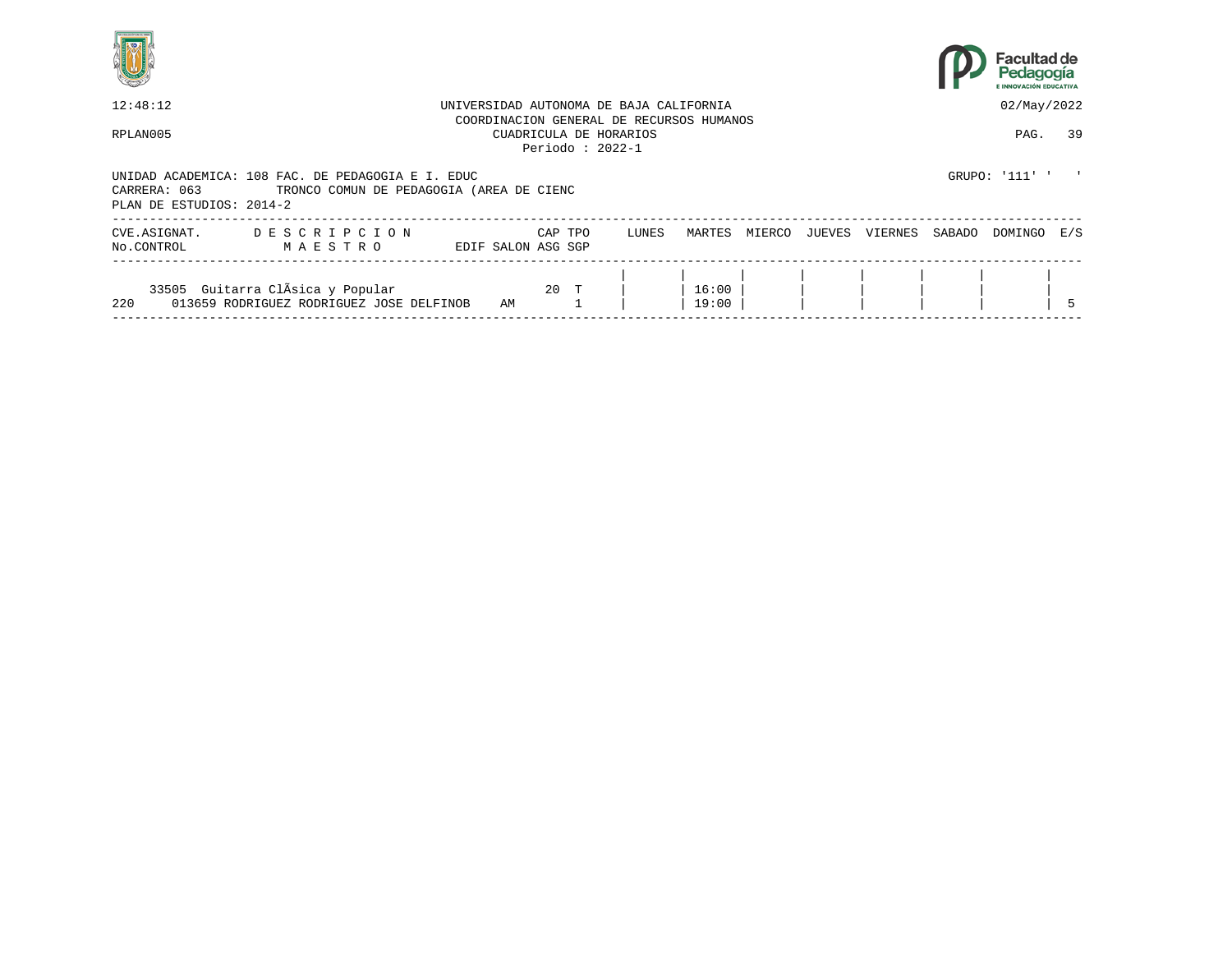



| 12:48:12                                 |                                                                                               |                    |         | UNIVERSIDAD AUTONOMA DE BAJA CALIFORNIA                                                 |                |        |        |         |        | 02/May/2022  |    |
|------------------------------------------|-----------------------------------------------------------------------------------------------|--------------------|---------|-----------------------------------------------------------------------------------------|----------------|--------|--------|---------|--------|--------------|----|
| RPLAN005                                 |                                                                                               |                    |         | COORDINACION GENERAL DE RECURSOS HUMANOS<br>CUADRICULA DE HORARIOS<br>Periodo: $2022-1$ |                |        |        |         |        | PAG.         | 39 |
| CARRERA: 063<br>PLAN DE ESTUDIOS: 2014-2 | UNIDAD ACADEMICA: 108 FAC. DE PEDAGOGIA E I. EDUC<br>TRONCO COMUN DE PEDAGOGIA (AREA DE CIENC |                    |         |                                                                                         |                |        |        |         |        | GRUPO: '111' |    |
| CVE.ASIGNAT.<br>No.CONTROL               | DESCRIPCION<br>MAESTRO                                                                        | EDIF SALON ASG SGP | CAP TPO | LUNES                                                                                   | MARTES         | MIERCO | JUEVES | VIERNES | SABADO | DOMINGO E/S  |    |
| 220                                      | 33505 Guitarra ClÃsica y Popular<br>013659 RODRIGUEZ RODRIGUEZ JOSE DELFINOB                  | AM                 | 20 T    |                                                                                         | 16:00<br>19:00 |        |        |         |        |              |    |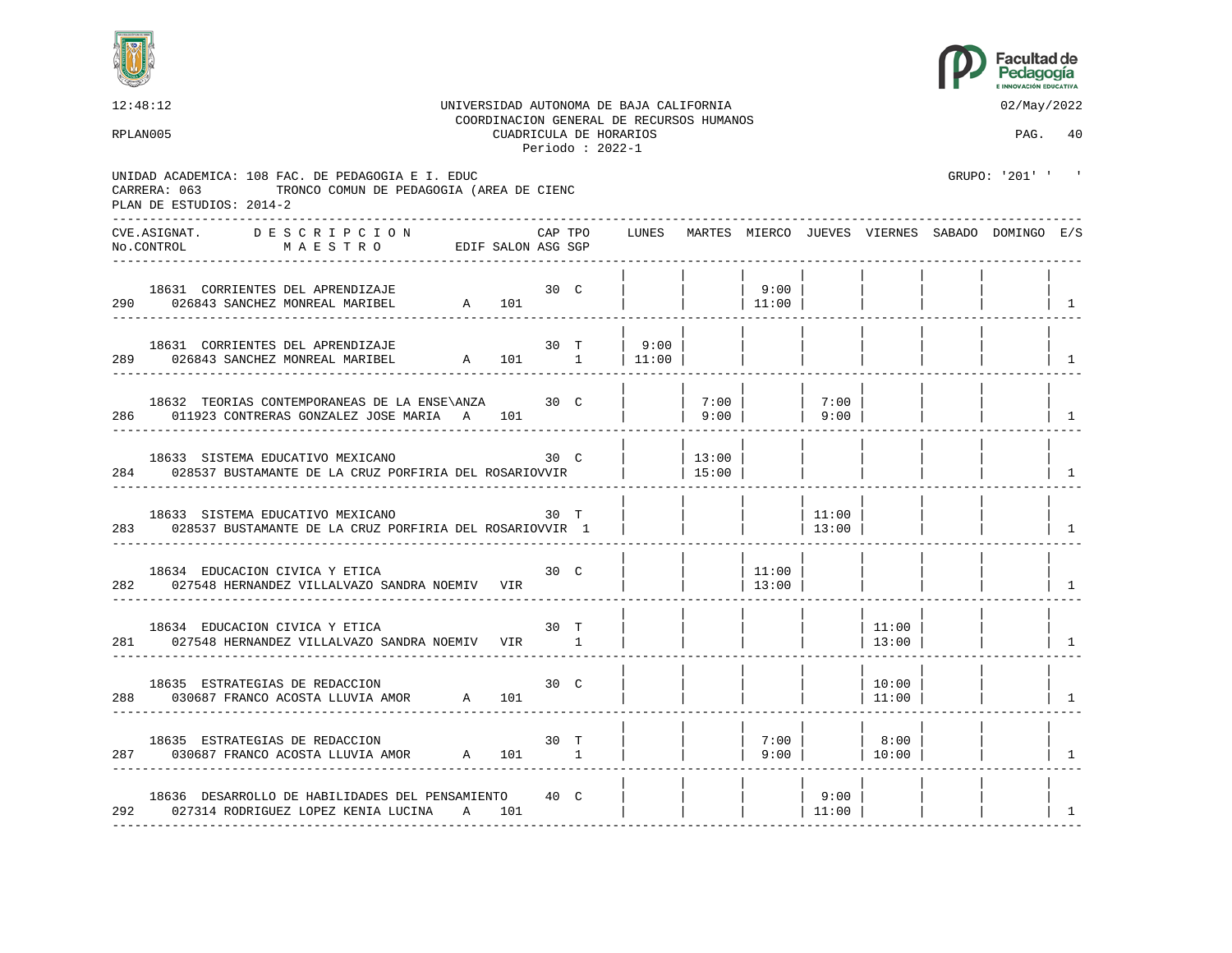



12:48:12 UNIVERSIDAD AUTONOMA DE BAJA CALIFORNIA 02/May/2022 COORDINACION GENERAL DE RECURSOS HUMANOS RPLAN005 CUADRICULA DE HORARIOS PAG. 40 Periodo : 2022-1 UNIDAD ACADEMICA: 108 FAC. DE PEDAGOGIA E I. EDUC GRUPO: '201' ' CARRERA: 063 TRONCO COMUN DE PEDAGOGIA (AREA DE CIENC PLAN DE ESTUDIOS: 2014-2 ---------------------------------------------------------------------------------------------------------------------------------- CVE.ASIGNAT. D E S C R I P C I O N CAP TPO LUNES MARTES MIERCO JUEVES VIERNES SABADO DOMINGO E/S No.CONTROL M A E S T R O EDIF SALON ASG SGP ---------------------------------------------------------------------------------------------------------------------------------- | | | | | | | | 18631 CORRIENTES DEL APRENDIZAJE 30 C | | | 9:00 | | | | | 290 026843 SANCHEZ MONREAL MARIBEL A 101 | | | 11:00 | | | | | 1 ---------------------------------------------------------------------------------------------------------------------------------- | | | | | | | | 18631 CORRIENTES DEL APRENDIZAJE 30 T | 9:00 | | | | | | | 289 026843 SANCHEZ MONREAL MARIBEL A 101 1 | 11:00 | | | | | | | 1 ---------------------------------------------------------------------------------------------------------------------------------- | | | | | | | | 18632 TEORIAS CONTEMPORANEAS DE LA ENSE\ANZA 30 C | | 7:00 | | 7:00 | | | | 286 011923 CONTRERAS GONZALEZ JOSE MARIA A 101 | 9:00 | | 9:00 | | | | | | ---------------------------------------------------------------------------------------------------------------------------------- | | | | | | | | 18633 SISTEMA EDUCATIVO MEXICANO 30 C | | | 13:00 | 284 028537 BUSTAMANTE DE LA CRUZ PORFIRIA DEL ROSARIOVVIR | | 15:00 | | | | | | | | | ---------------------------------------------------------------------------------------------------------------------------------- | | | | | | | | 18633 SISTEMA EDUCATIVO MEXICANO 30 T | | | | 11:00 283 028537 BUSTAMANTE DE LA CRUZ PORFIRIA DEL ROSARIOVVIR 1 | | | | | | | | 13:00 | | | | | | | | | ---------------------------------------------------------------------------------------------------------------------------------- | | | | | | | | 18634 EDUCACION CIVICA Y ETICA 1999 10 10 C | | | | | | 11:00 282 027548 HERNANDEZ VILLALVAZO SANDRA NOEMIV VIR | | | | | 13:00 | | | | | | | | ---------------------------------------------------------------------------------------------------------------------------------- | | | | | | | | 18634 EDUCACION CIVICA Y ETICA 30 T | | | | | 11:00 | | | 281 027548 HERNANDEZ VILLALVAZO SANDRA NOEMIV VIR 1 | | | | | | | | 13:00 | | | | ---------------------------------------------------------------------------------------------------------------------------------- | | | | | | | | 18635 ESTRATEGIAS DE REDACCION 6 30 C | | | | | | 10:00 288 030687 FRANCO ACOSTA LLUVIA AMOR A 101 | | | | | 11:00 | | | 1 ---------------------------------------------------------------------------------------------------------------------------------- | | | | | | | | 18635 ESTRATEGIAS DE REDACCION 30 T | | | 7:00 | | 8:00 | | | 287 030687 FRANCO ACOSTA LLUVIA AMOR A 101 1 | | 9:00 | | 10:00 | | | | ---------------------------------------------------------------------------------------------------------------------------------- | | | | | | | | 18636 DESARROLLO DE HABILIDADES DEL PENSAMIENTO 40 C | | | | 9:00 | | | | 292 027314 RODRIGUEZ LOPEZ KENIA LUCINA A 101 | | | | 11:00 | | | | 1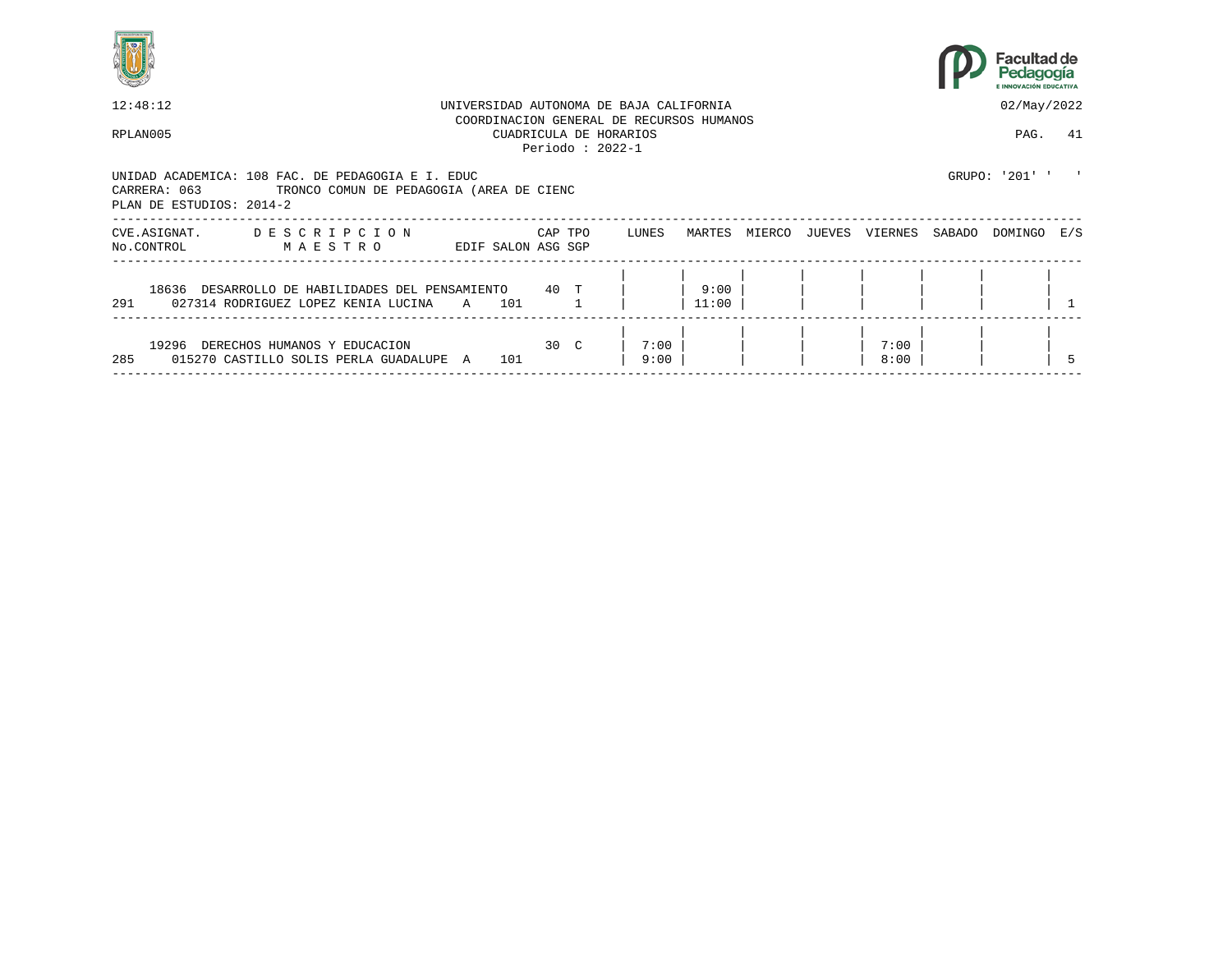



| 12:48:12                                 |                                                                                               |   |                    |         |                                             | UNIVERSIDAD AUTONOMA DE BAJA CALIFORNIA  |               |        |        |              |        | 02/May/2022    |     |
|------------------------------------------|-----------------------------------------------------------------------------------------------|---|--------------------|---------|---------------------------------------------|------------------------------------------|---------------|--------|--------|--------------|--------|----------------|-----|
| RPLAN005                                 |                                                                                               |   |                    |         | CUADRICULA DE HORARIOS<br>Periodo: $2022-1$ | COORDINACION GENERAL DE RECURSOS HUMANOS |               |        |        |              |        | PAG.           | 41  |
| CARRERA: 063<br>PLAN DE ESTUDIOS: 2014-2 | UNIDAD ACADEMICA: 108 FAC. DE PEDAGOGIA E I. EDUC<br>TRONCO COMUN DE PEDAGOGIA (AREA DE CIENC |   |                    |         |                                             |                                          |               |        |        |              |        | GRUPO: '201' ' |     |
| CVE.ASIGNAT.<br>No.CONTROL               | DESCRIPCION<br>MAESTRO                                                                        |   | EDIF SALON ASG SGP | CAP TPO |                                             | LUNES                                    | MARTES        | MIERCO | JUEVES | VIERNES      | SABADO | DOMINGO        | E/S |
| 291                                      | 18636 DESARROLLO DE HABILIDADES DEL PENSAMIENTO 40 T<br>027314 RODRIGUEZ LOPEZ KENIA LUCINA   | A | 101                |         |                                             |                                          | 9:00<br>11:00 |        |        |              |        |                |     |
| 19296<br>285                             | DERECHOS HUMANOS Y EDUCACION<br>015270 CASTILLO SOLIS PERLA GUADALUPE A                       |   | 101                | 30 C    |                                             | 7:00<br>9:00                             |               |        |        | 7:00<br>8:00 |        |                |     |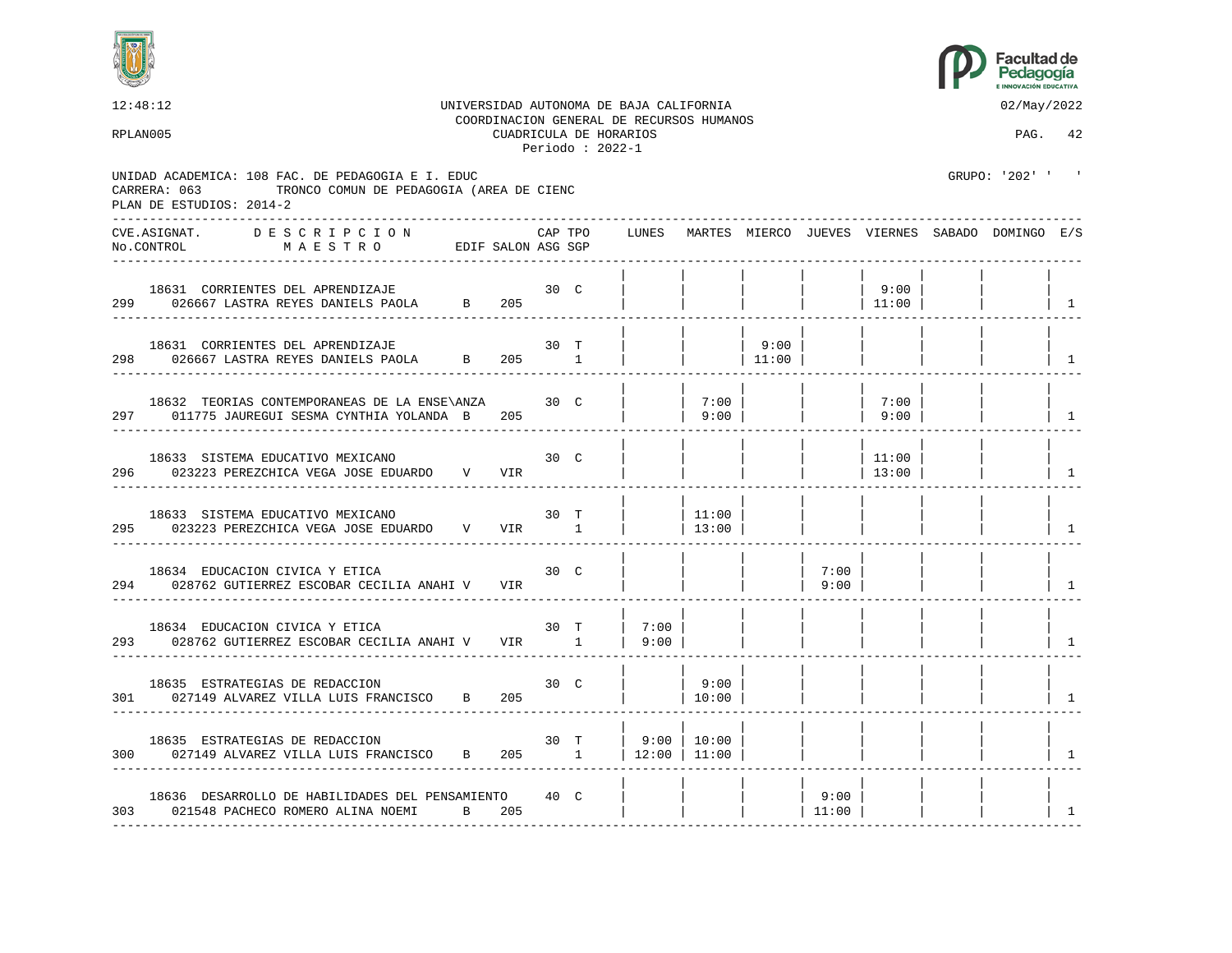



12:48:12 UNIVERSIDAD AUTONOMA DE BAJA CALIFORNIA 02/May/2022 COORDINACION GENERAL DE RECURSOS HUMANOS RPLAN005 CUADRICULA DE HORARIOS PAG. 42 Periodo : 2022-1 UNIDAD ACADEMICA: 108 FAC. DE PEDAGOGIA E I. EDUC GRUPO: '202' ' CARRERA: 063 TRONCO COMUN DE PEDAGOGIA (AREA DE CIENC PLAN DE ESTUDIOS: 2014-2 ---------------------------------------------------------------------------------------------------------------------------------- CVE.ASIGNAT. D E S C R I P C I O N CAP TPO LUNES MARTES MIERCO JUEVES VIERNES SABADO DOMINGO E/S No.CONTROL M A E S T R O EDIF SALON ASG SGP ---------------------------------------------------------------------------------------------------------------------------------- | | | | | | | | 18631 CORRIENTES DEL APRENDIZAJE 30 C | | | | | 9:00 | | | 299 026667 LASTRA REYES DANIELS PAOLA B 205 | | | | | 11:00 | | | 1 ---------------------------------------------------------------------------------------------------------------------------------- | | | | | | | | 18631 CORRIENTES DEL APRENDIZAJE 30 T | | | 9:00 | | | | | 298 026667 LASTRA REYES DANIELS PAOLA B 205 1 | | | 11:00 | | | | | | | ---------------------------------------------------------------------------------------------------------------------------------- | | | | | | | | 18632 TEORIAS CONTEMPORANEAS DE LA ENSE\ANZA 30 C | | 7:00 | | | 7:00 | 7:00 | 7:00 | 7:00 | 7:00 | 7:00 | 7:00 297 011775 JAUREGUI SESMA CYNTHIA YOLANDA B 205 | | 9:00 | | | 9:00 | | | | ---------------------------------------------------------------------------------------------------------------------------------- | | | | | | | | 18633 SISTEMA EDUCATIVO MEXICANO 60 30 C | | | | | | | | 11:00 296 023223 PEREZCHICA VEGA JOSE EDUARDO V VIR | | | | | | | | 13:00 | | | | ---------------------------------------------------------------------------------------------------------------------------------- | | | | | | | | 18633 SISTEMA EDUCATIVO MEXICANO 30 T | | 11:00 | | | | | | 295 023223 PEREZCHICA VEGA JOSE EDUARDO V VIR 1 | 13:00 | | | | | | | | | | ---------------------------------------------------------------------------------------------------------------------------------- | | | | | | | | 18634 EDUCACION CIVICA Y ETICA 1963 (NORTHERRES ESCOBAR CECILIA ANAHI V 1 U NORTHERRES ESCOBAR CECILIA ANAHI V 1 294 028762 GUTIERREZ ESCOBAR CECILIA ANAHI V VIR | | | | | | | | 9:00 | | | | | | | | ---------------------------------------------------------------------------------------------------------------------------------- | | | | | | | | 18634 EDUCACION CIVICA Y ETICA 30 T | 7:00 | | | | | | | 293 028762 GUTIERREZ ESCOBAR CECILIA ANAHI V VIR 1 | 9:00 | | | | | | | | | | | | ---------------------------------------------------------------------------------------------------------------------------------- | | | | | | | | 18635 ESTRATEGIAS DE REDACCION 50 C | 9:00 301 027149 ALVAREZ VILLA LUIS FRANCISCO B 205 | | 10:00 | | | | | | | | | | | ---------------------------------------------------------------------------------------------------------------------------------- | | | | | | | | 18635 ESTRATEGIAS DE REDACCION 30 T | 9:00 | 10:00 | 300 027149 ALVAREZ VILLA LUIS FRANCISCO B 205 1 | 12:00 | 11:00 | | | | | | 1 ---------------------------------------------------------------------------------------------------------------------------------- | | | | | | | | 18636 DESARROLLO DE HABILIDADES DEL PENSAMIENTO 40 C | | | | 9:00 | | | | 303 021548 PACHECO ROMERO ALINA NOEMI B 205 | | | | 11:00 | | | | 1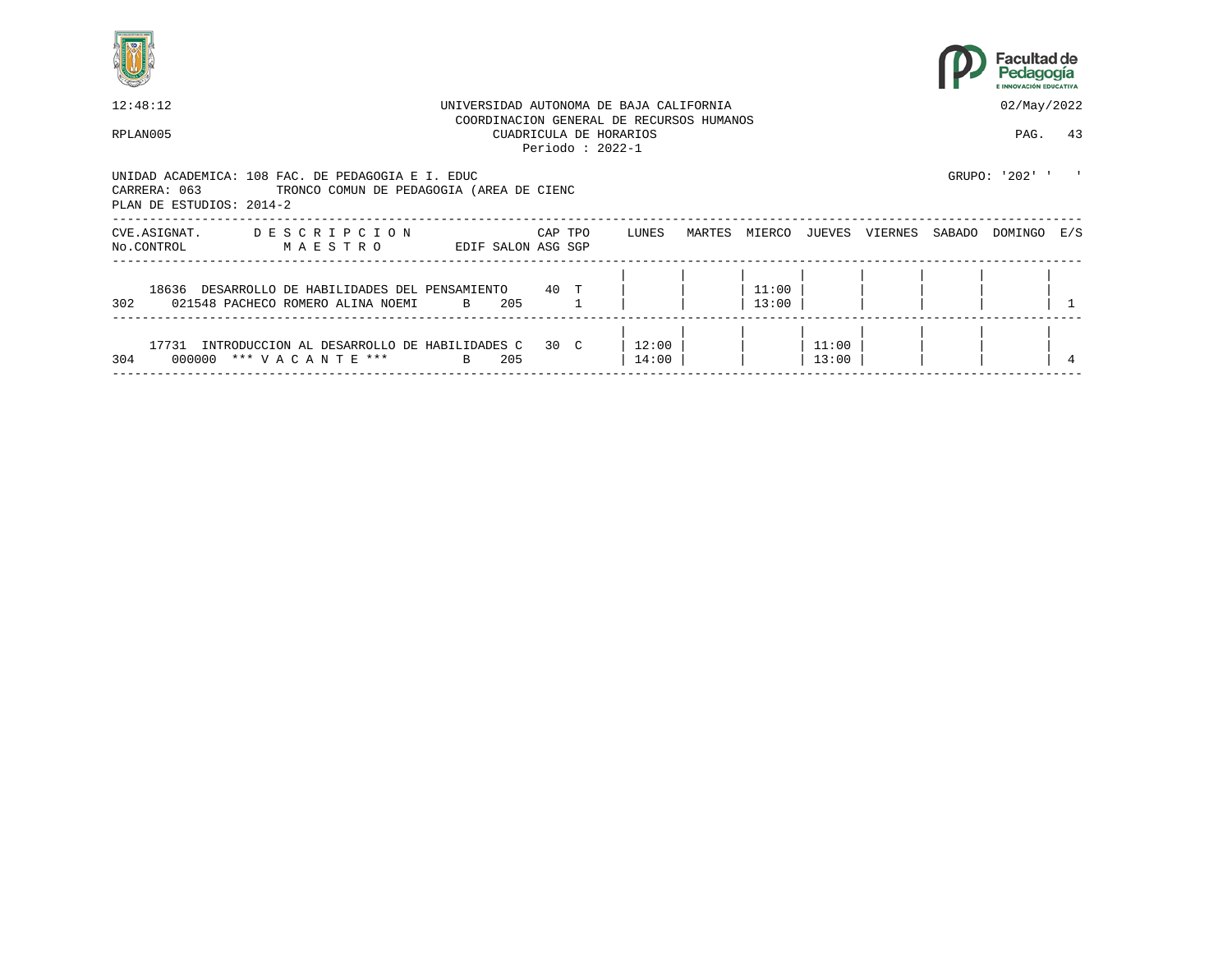



|                                                                                                                                           | 12:48:12<br>UNIVERSIDAD AUTONOMA DE BAJA CALIFORNIA<br>COORDINACION GENERAL DE RECURSOS HUMANOS |         |                                             |                |        |                |                |         |        |                |     |  |  |
|-------------------------------------------------------------------------------------------------------------------------------------------|-------------------------------------------------------------------------------------------------|---------|---------------------------------------------|----------------|--------|----------------|----------------|---------|--------|----------------|-----|--|--|
| RPLAN005                                                                                                                                  |                                                                                                 |         | CUADRICULA DE HORARIOS<br>Periodo: $2022-1$ |                |        |                |                |         |        | PAG.           | 43  |  |  |
| UNIDAD ACADEMICA: 108 FAC. DE PEDAGOGIA E I. EDUC<br>CARRERA: 063<br>TRONCO COMUN DE PEDAGOGIA (AREA DE CIENC<br>PLAN DE ESTUDIOS: 2014-2 |                                                                                                 |         |                                             |                |        |                |                |         |        | GRUPO: '202' ' |     |  |  |
| DESCRIPCION<br>CVE.ASIGNAT.<br>No.CONTROL<br>MAESTRO                                                                                      | EDIF SALON ASG SGP                                                                              | CAP TPO |                                             | LUNES          | MARTES | MIERCO         | JUEVES         | VIERNES | SABADO | DOMINGO        | E/S |  |  |
| 18636<br>DESARROLLO DE HABILIDADES DEL PENSAMIENTO<br>302<br>021548 PACHECO ROMERO ALINA NOEMI                                            | 205<br>$\mathbf{B}$                                                                             | 40 T    |                                             |                |        | 11:00<br>13:00 |                |         |        |                |     |  |  |
| 17731<br>INTRODUCCION AL DESARROLLO DE HABILIDADES C<br>304<br>000000 *** VACANTE ***                                                     | 205<br>B                                                                                        | 30 C    |                                             | 12:00<br>14:00 |        |                | 11:00<br>13:00 |         |        |                |     |  |  |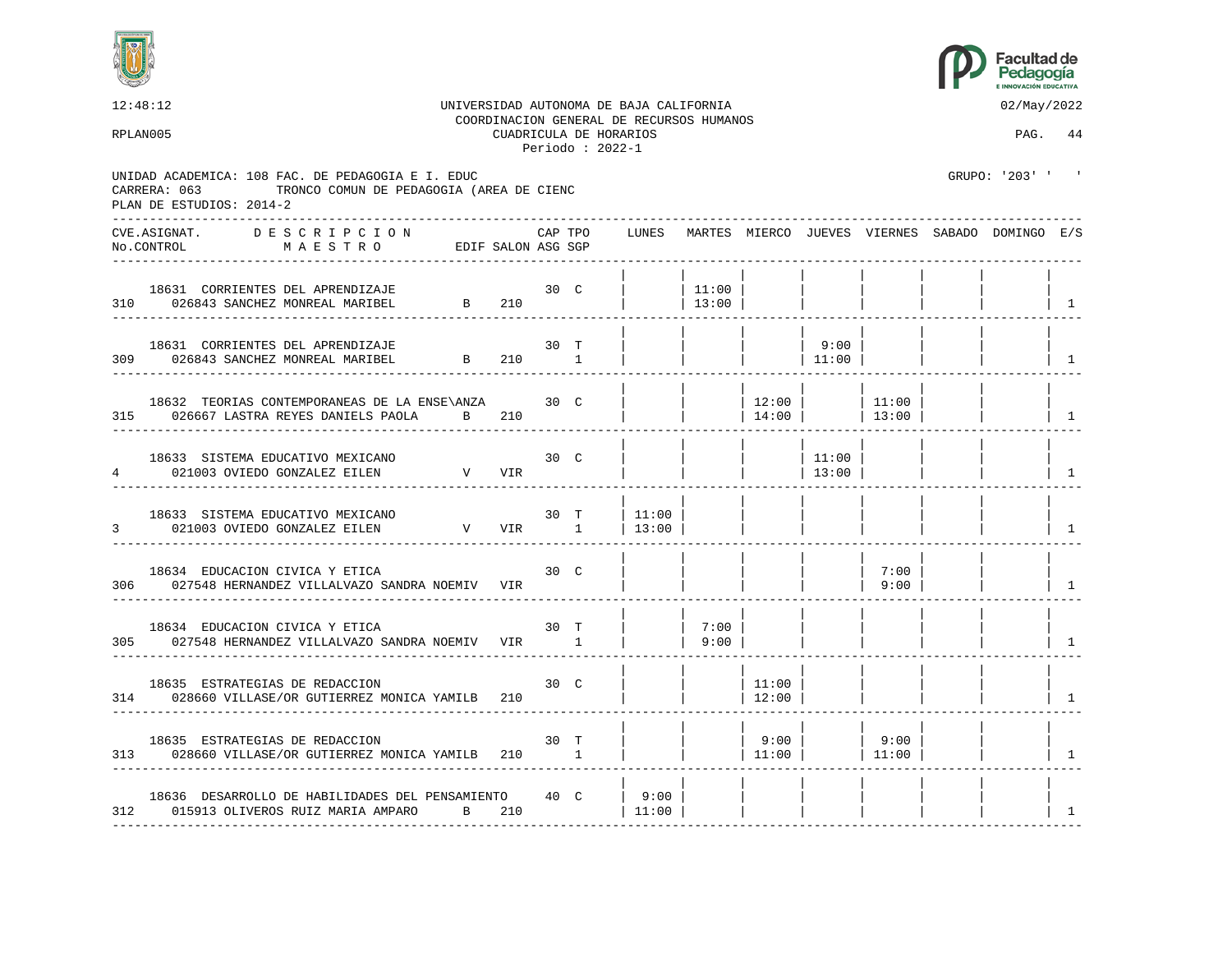



| 12:48:12                                                                                                                                  |                                                                                 |             |         |                                             | UNIVERSIDAD AUTONOMA DE BAJA CALIFORNIA<br>COORDINACION GENERAL DE RECURSOS HUMANOS |                 |                 |                 |                          | 02/May/2022                                           |                |
|-------------------------------------------------------------------------------------------------------------------------------------------|---------------------------------------------------------------------------------|-------------|---------|---------------------------------------------|-------------------------------------------------------------------------------------|-----------------|-----------------|-----------------|--------------------------|-------------------------------------------------------|----------------|
| RPLAN005                                                                                                                                  |                                                                                 |             |         | CUADRICULA DE HORARIOS<br>Periodo: $2022-1$ |                                                                                     |                 |                 |                 |                          | PAG. 44                                               |                |
| UNIDAD ACADEMICA: 108 FAC. DE PEDAGOGIA E I. EDUC<br>TRONCO COMUN DE PEDAGOGIA (AREA DE CIENC<br>CARRERA: 063<br>PLAN DE ESTUDIOS: 2014-2 |                                                                                 |             |         |                                             |                                                                                     |                 |                 |                 |                          | GRUPO: '203' ' '                                      |                |
| CVE.ASIGNAT. DESCRIPCION<br>MAESTRO EDIF SALON ASG SGP<br>No.CONTROL                                                                      |                                                                                 |             | CAP TPO |                                             |                                                                                     |                 |                 |                 |                          | LUNES MARTES MIERCO JUEVES VIERNES SABADO DOMINGO E/S |                |
| 18631 CORRIENTES DEL APRENDIZAJE<br>310 026843 SANCHEZ MONREAL MARIBEL                                                                    | $30\quad C$<br>B 210                                                            |             |         |                                             |                                                                                     | 11:00 <br>13:00 |                 |                 |                          |                                                       | $\overline{1}$ |
| 18631 CORRIENTES DEL APRENDIZAJE<br>309 026843 SANCHEZ MONREAL MARIBEL                                                                    | $\begin{array}{cccc} & & & 30 & \text{T} \\ \text{B} & & 210 & & 1 \end{array}$ |             |         |                                             |                                                                                     |                 |                 | 9:00<br> 11:00  |                          |                                                       | $\overline{1}$ |
| 18632 TEORIAS CONTEMPORANEAS DE LA ENSE\ANZA 30 C<br>315 026667 LASTRA REYES DANIELS PAOLA B 210                                          |                                                                                 |             |         |                                             |                                                                                     |                 | 12:00           |                 | 11:00<br>$14:00$   13:00 |                                                       | $\sim$ 1       |
| _________________                                                                                                                         |                                                                                 | $30\quad C$ |         |                                             |                                                                                     |                 |                 | 11:00<br> 13:00 |                          |                                                       | $\overline{1}$ |
| 18633 SISTEMA EDUCATIVO MEXICANO<br>021003 OVIEDO GONZALEZ EILEN V VIR 1                                                                  | 30 <sub>T</sub>                                                                 |             |         |                                             | 11:00<br> 13:00                                                                     |                 |                 |                 |                          |                                                       | $\overline{1}$ |
| 18634 EDUCACION CIVICA Y ETICA<br>306 027548 HERNANDEZ VILLALVAZO SANDRA NOEMIV VIR                                                       |                                                                                 |             |         | 30 C                                        |                                                                                     |                 |                 |                 | 7:00<br>9:00             |                                                       | $\overline{1}$ |
| 18634 EDUCACION CIVICA Y ETICA<br>305 027548 HERNANDEZ VILLALVAZO SANDRA NOEMIV VIR 1                                                     |                                                                                 |             |         | 30 T                                        |                                                                                     | 7:00<br>9:00    |                 |                 |                          |                                                       | 1              |
| 18635 ESTRATEGIAS DE REDACCION<br>314 028660 VILLASE/OR GUTIERREZ MONICA YAMILB 210                                                       |                                                                                 |             | 30 C    |                                             |                                                                                     |                 | 11:00<br> 12:00 |                 |                          |                                                       | $\overline{1}$ |
| 18635 ESTRATEGIAS DE REDACCION<br>313 028660 VILLASE/OR GUTIERREZ MONICA YAMILB 210 1                                                     |                                                                                 |             | 30 T    |                                             |                                                                                     |                 | $9:00$          |                 | 9:00                     |                                                       | $\mathbf{1}$   |
| 18636 DESARROLLO DE HABILIDADES DEL PENSAMIENTO 40 C<br>312 015913 OLIVEROS RUIZ MARIA AMPARO B 210                                       |                                                                                 |             |         |                                             | 9:00<br>11:00                                                                       |                 |                 |                 |                          |                                                       | <sup>1</sup>   |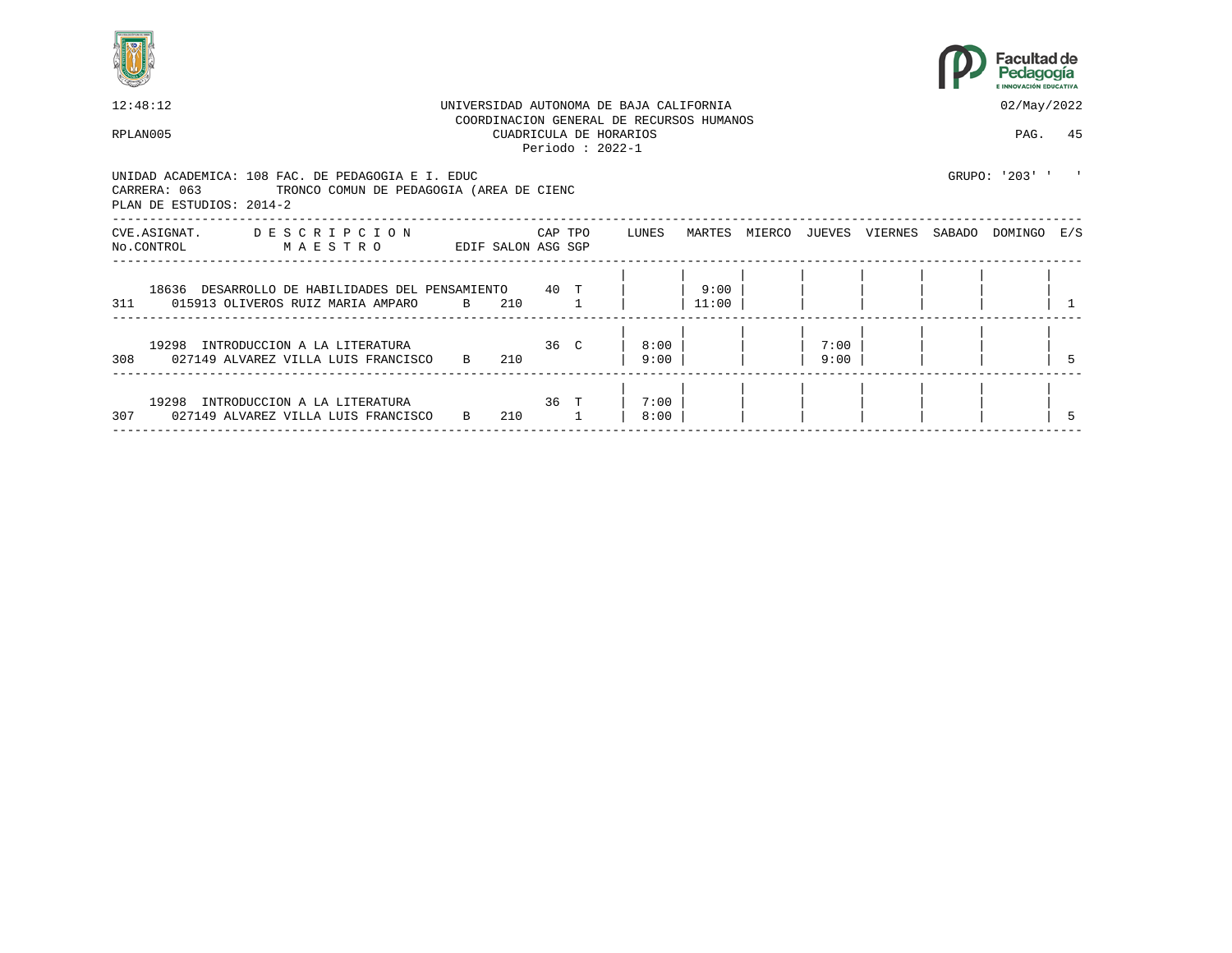



| 12:48:12                                                                                                                                  |                    |                 |                   | UNIVERSIDAD AUTONOMA DE BAJA CALIFORNIA                            |               |               |              |         |        | 02/May/2022    |  |
|-------------------------------------------------------------------------------------------------------------------------------------------|--------------------|-----------------|-------------------|--------------------------------------------------------------------|---------------|---------------|--------------|---------|--------|----------------|--|
| RPLAN005                                                                                                                                  |                    |                 | Periodo: $2022-1$ | COORDINACION GENERAL DE RECURSOS HUMANOS<br>CUADRICULA DE HORARIOS |               |               |              |         |        | PAG. 45        |  |
| UNIDAD ACADEMICA: 108 FAC. DE PEDAGOGIA E I. EDUC<br>CARRERA: 063<br>TRONCO COMUN DE PEDAGOGIA (AREA DE CIENC<br>PLAN DE ESTUDIOS: 2014-2 |                    |                 |                   |                                                                    |               |               |              |         |        | GRUPO: '203' ' |  |
| CVE.ASIGNAT. DESCRIPCION<br>No.CONTROL MAESTRO                                                                                            | EDIF SALON ASG SGP |                 | CAP TPO           | LUNES                                                              |               | MARTES MIERCO | JUEVES       | VIERNES | SABADO | DOMINGO E/S    |  |
| 18636 DESARROLLO DE HABILIDADES DEL PENSAMIENTO 40 T<br>311 015913 OLIVEROS RUIZ MARIA AMPARO B                                           |                    | 210             |                   |                                                                    | 9:00<br>11:00 |               |              |         |        |                |  |
| 19298 INTRODUCCION A LA LITERATURA<br>308 027149 ALVAREZ VILLA LUIS FRANCISCO B 210                                                       |                    | 36 <sup>°</sup> |                   | 8:00<br>9:00                                                       |               |               | 7:00<br>9:00 |         |        |                |  |
| 19298 INTRODUCCION A LA LITERATURA<br>307 027149 ALVAREZ VILLA LUIS FRANCISCO                                                             | B 210              | $36$ T          |                   | 7:00<br>8:00                                                       |               |               |              |         |        |                |  |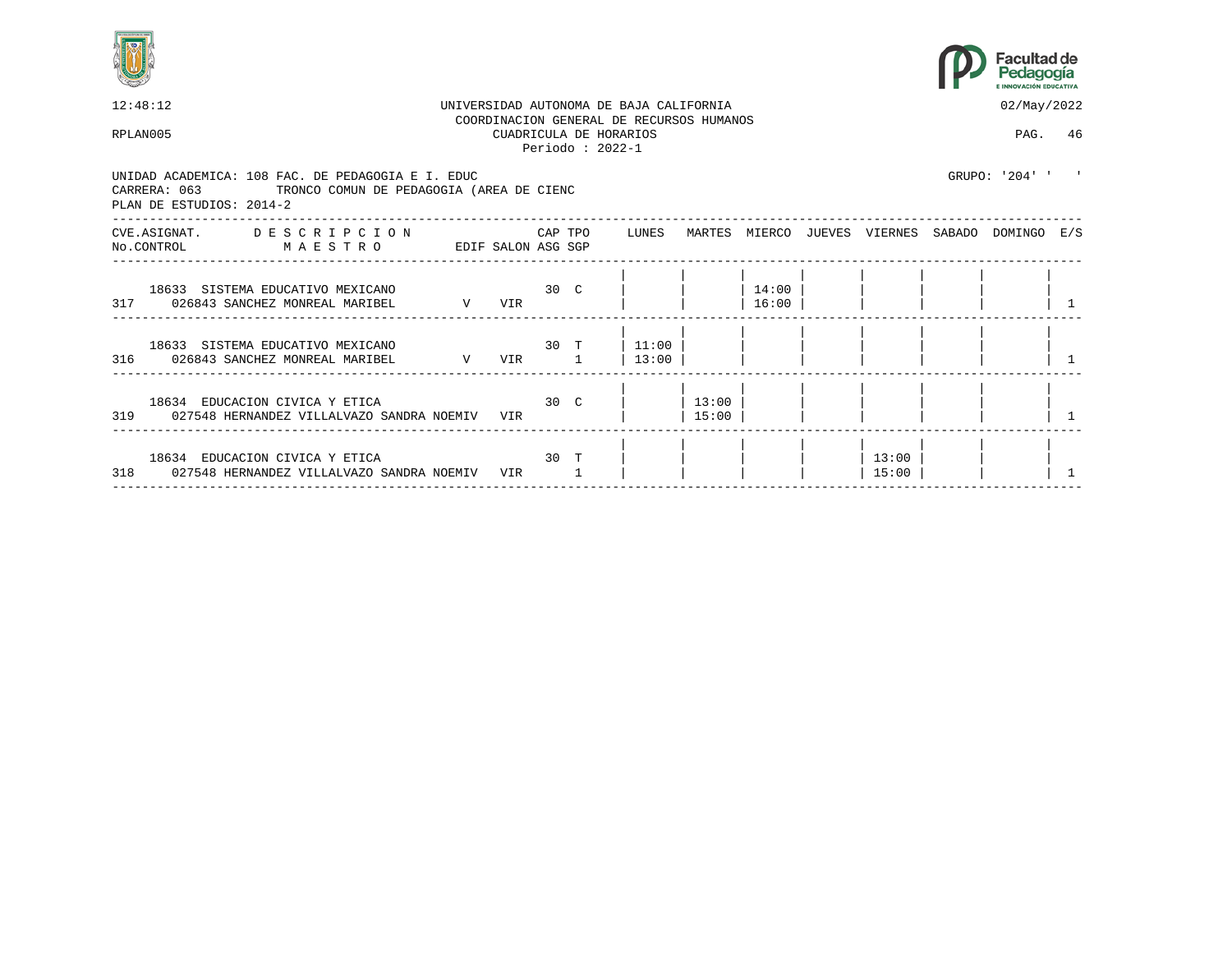



| 12:48:12                                                               |                                                   |                                                                                                                   |                                                                                                                                    |                                                                                                      |                                         |                                                   |                | 02/May/2022 |                                                                    |
|------------------------------------------------------------------------|---------------------------------------------------|-------------------------------------------------------------------------------------------------------------------|------------------------------------------------------------------------------------------------------------------------------------|------------------------------------------------------------------------------------------------------|-----------------------------------------|---------------------------------------------------|----------------|-------------|--------------------------------------------------------------------|
| RPLAN005                                                               |                                                   |                                                                                                                   |                                                                                                                                    |                                                                                                      |                                         |                                                   |                | PAG. 46     |                                                                    |
| PLAN DE ESTUDIOS: 2014-2                                               |                                                   |                                                                                                                   |                                                                                                                                    |                                                                                                      |                                         |                                                   |                |             |                                                                    |
| NO.CONTROL MAESTRO                                                     |                                                   |                                                                                                                   |                                                                                                                                    |                                                                                                      |                                         |                                                   |                |             |                                                                    |
| 18633 SISTEMA EDUCATIVO MEXICANO<br>317 026843 SANCHEZ MONREAL MARIBEL | VIR                                               |                                                                                                                   |                                                                                                                                    |                                                                                                      | 14:00<br>16:00                          |                                                   |                |             |                                                                    |
| 18633 SISTEMA EDUCATIVO MEXICANO<br>316 026843 SANCHEZ MONREAL MARIBEL |                                                   |                                                                                                                   | 13:00                                                                                                                              |                                                                                                      |                                         |                                                   |                |             |                                                                    |
| 18634 EDUCACION CIVICA Y ETICA                                         |                                                   |                                                                                                                   |                                                                                                                                    | 15:00                                                                                                |                                         |                                                   |                |             |                                                                    |
| 18634 EDUCACION CIVICA Y ETICA                                         | VIR                                               |                                                                                                                   |                                                                                                                                    |                                                                                                      |                                         |                                                   | 13:00<br>15:00 |             |                                                                    |
|                                                                        | UNIDAD ACADEMICA: 108 FAC. DE PEDAGOGIA E I. EDUC | $\mathbf V$<br>319 027548 HERNANDEZ VILLALVAZO SANDRA NOEMIV VIR<br>318 027548 HERNANDEZ VILLALVAZO SANDRA NOEMIV | CARRERA: 063 TRONCO COMUN DE PEDAGOGIA (AREA DE CIENC<br>EDIF SALON ASG SGP<br>$30\degree$ C<br>V VIR 1<br>30 <sup>o</sup><br>30 T | CUADRICULA DE HORARIOS<br>Periodo: $2022-1$<br>CVE.ASIGNAT. DESCRIPCION CAPTPO LUNES<br>$30 T$ 11:00 | UNIVERSIDAD AUTONOMA DE BAJA CALIFORNIA | COORDINACION GENERAL DE RECURSOS HUMANOS<br>13:00 |                |             | GRIJPO: '204' '<br>MARTES MIERCO JUEVES VIERNES SABADO DOMINGO E/S |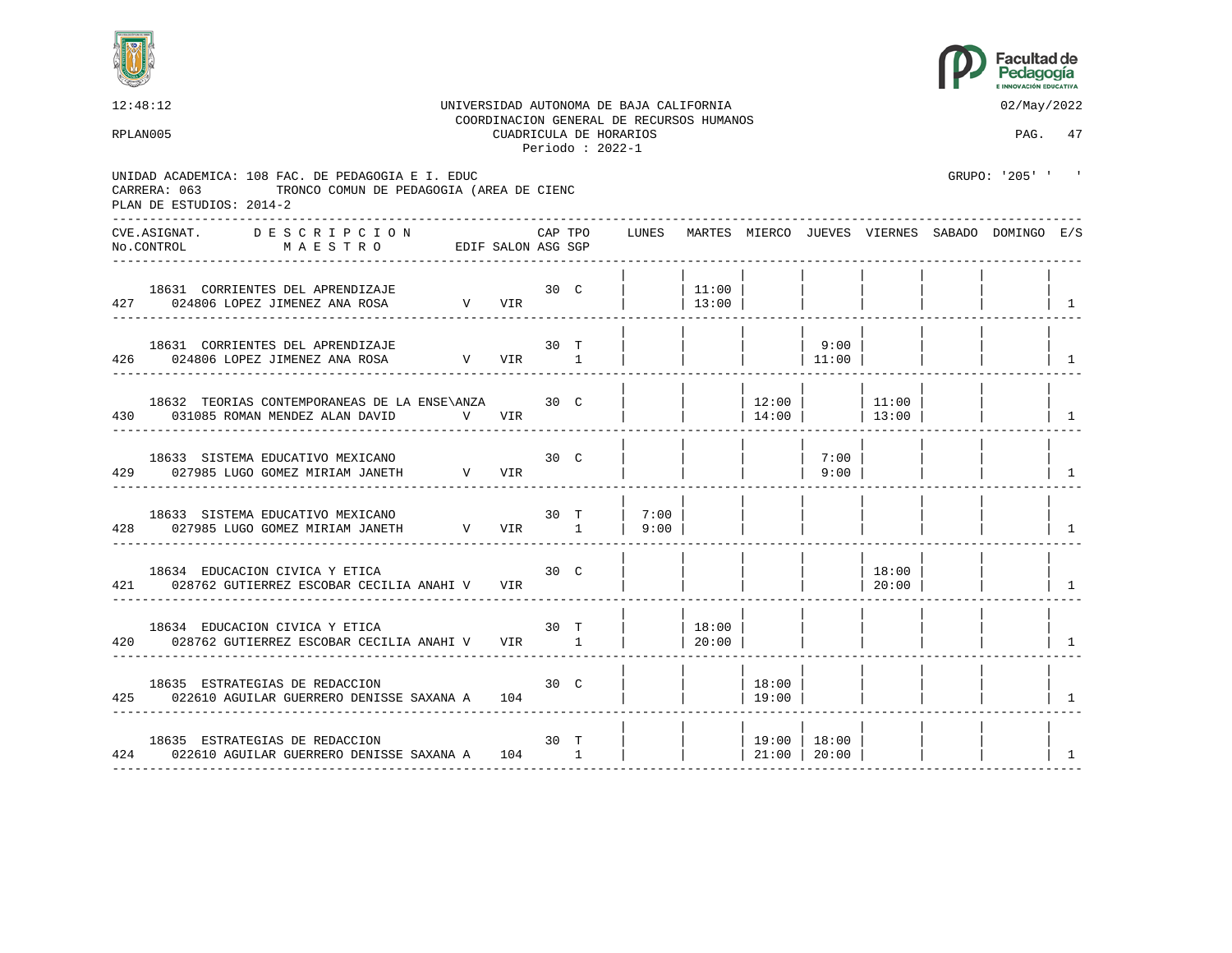



12:48:12 UNIVERSIDAD AUTONOMA DE BAJA CALIFORNIA 02/May/2022 COORDINACION GENERAL DE RECURSOS HUMANOS RPLAN005 CUADRICULA DE HORARIOS PAG. 47 Periodo : 2022-1 UNIDAD ACADEMICA: 108 FAC. DE PEDAGOGIA E I. EDUC GRUPO: '205' ' CARRERA: 063 TRONCO COMUN DE PEDAGOGIA (AREA DE CIENC PLAN DE ESTUDIOS: 2014-2 ---------------------------------------------------------------------------------------------------------------------------------- CVE.ASIGNAT. D E S C R I P C I O N CAP TPO LUNES MARTES MIERCO JUEVES VIERNES SABADO DOMINGO E/S No.CONTROL M A E S T R O EDIF SALON ASG SGP ---------------------------------------------------------------------------------------------------------------------------------- | | | | | | | | 18631 CORRIENTES DEL APRENDIZAJE 30 C | | 11:00 | | | | | | 427 024806 LOPEZ JIMENEZ ANA ROSA V VIR | | 13:00 | | | | | | 1 ---------------------------------------------------------------------------------------------------------------------------------- | | | | | | | | 18631 CORRIENTES DEL APRENDIZAJE 30 T | | | | 9:00 | | | | 426 024806 LOPEZ JIMENEZ ANA ROSA V VIR 1 | | | | | | 11:00 | | | | | | ---------------------------------------------------------------------------------------------------------------------------------- | | | | | | | | 18632 TEORIAS CONTEMPORANEAS DE LA ENSE\ANZA 30 C | | | 12:00 | | 11:00 | | | 430 031085 ROMAN MENDEZ ALAN DAVID V VIR | | | | | 14:00 | | | 13:00 | | | | | ---------------------------------------------------------------------------------------------------------------------------------- | | | | | | | | 18633 SISTEMA EDUCATIVO MEXICANO 30 C | | | | | 7:00 | 429 027985 LUGO GOMEZ MIRIAM JANETH V VIR | | | | | | 9:00 | | | | | | ---------------------------------------------------------------------------------------------------------------------------------- | | | | | | | | 18633 SISTEMA EDUCATIVO MEXICANO 30 T | 7:00 | | | | | | | 428 027985 LUGO GOMEZ MIRIAM JANETH V VIR 1 | 9:00 | | | | | | | 1 ---------------------------------------------------------------------------------------------------------------------------------- | | | | | | | | 18634 EDUCACION CIVICA Y ETICA 30 C | | | | | 18:00 | | | 421 028762 GUTIERREZ ESCOBAR CECILIA ANAHI V VIR | | | | | | | | | | 20:00 | | | | | ---------------------------------------------------------------------------------------------------------------------------------- | | | | | | | | 18634 EDUCACION CIVICA Y ETICA  $\begin{array}{c|ccccc}\n 18634 & \text{EDUCACION CIVICA Y ETICA & & & & \n 30 & T & & | & 18:00 \\
028762 & \text{GUTIERREZ ESCOBAR CECILIA ANAHI V & VIR & & & 1 & | & 20:00\n\end{array}$ 420 028762 GUTIERREZ ESCOBAR CECILIA ANAHI V VIR 1 | 1 | 20:00 | | | | | | | | | | ---------------------------------------------------------------------------------------------------------------------------------- | | | | | | | | 18635 ESTRATEGIAS DE REDACCION 30 C | | | 18:00 | | | | | 425 022610 AGUILAR GUERRERO DENISSE SAXANA A 104 | | | 19:00 | | | | | 1 ---------------------------------------------------------------------------------------------------------------------------------- | | | | | | | | 18635 ESTRATEGIAS DE REDACCION 30 T | | | 19:00 | 18:00 | | | | 424 022610 AGUILAR GUERRERO DENISSE SAXANA A 104 1 ----------------------------------------------------------------------------------------------------------------------------------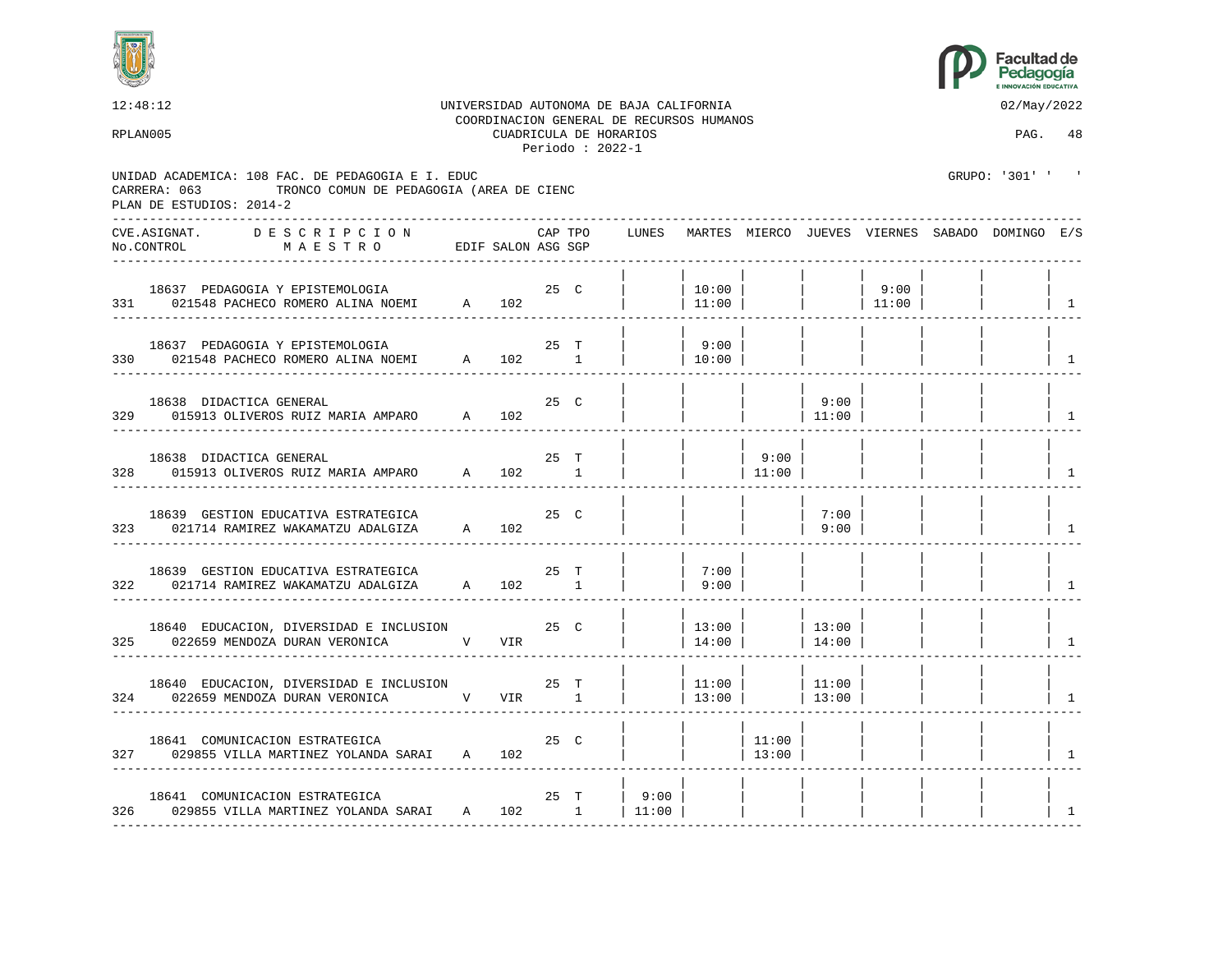



12:48:12 UNIVERSIDAD AUTONOMA DE BAJA CALIFORNIA 02/May/2022 COORDINACION GENERAL DE RECURSOS HUMANOS RPLAN005 CUADRICULA DE HORARIOS PAG. 48 Periodo : 2022-1 UNIDAD ACADEMICA: 108 FAC. DE PEDAGOGIA E I. EDUC GRUPO: '301' ' ' CARRERA: 063 TRONCO COMUN DE PEDAGOGIA (AREA DE CIENC PLAN DE ESTUDIOS: 2014-2 ---------------------------------------------------------------------------------------------------------------------------------- CVE.ASIGNAT. D E S C R I P C I O N CAP TPO LUNES MARTES MIERCO JUEVES VIERNES SABADO DOMINGO E/S No.CONTROL M A E S T R O EDIF SALON ASG SGP ---------------------------------------------------------------------------------------------------------------------------------- | | | | | | | | 18637 PEDAGOGIA Y EPISTEMOLOGIA 25 C | | 10:00 | | | 9:00 | | |  $331$  021548 PACHECO ROMERO ALINA NOEMI A 102 | | ---------------------------------------------------------------------------------------------------------------------------------- | | | | | | | | 18637 PEDAGOGIA Y EPISTEMOLOGIA 1990 125 T | 19:00 | 330 021548 PACHECO ROMERO ALINA NOEMI A 102 1 | 10:00 | | | | | | | | ---------------------------------------------------------------------------------------------------------------------------------- | | | | | | | | 18638 DIDACTICA GENERAL 25 C | | | | 9:00 | | | | 329 015913 OLIVEROS RUIZ MARIA AMPARO A 102 | | | | | | 11:00 | | | | | | | ---------------------------------------------------------------------------------------------------------------------------------- | | | | | | | | 18638 DIDACTICA GENERAL 25 T | | | 9:00 | | | | | 328 015913 OLIVEROS RUIZ MARIA AMPARO A 102 1 | | | 11:00 | | | | | 1 ---------------------------------------------------------------------------------------------------------------------------------- | | | | | | | | 18639 GESTION EDUCATIVA ESTRATEGICA  $25$  C | | | | 7:00 323 021714 RAMIREZ WAKAMATZU ADALGIZA A 102 | | | | 9:00 | | | | 1 ---------------------------------------------------------------------------------------------------------------------------------- | | | | | | | | 18639 GESTION EDUCATIVA ESTRATEGICA 25 T | | 7:00 | | | | | | 322 021714 RAMIREZ WAKAMATZU ADALGIZA A 102 1 | | 9:00 | | | | | | 1 ---------------------------------------------------------------------------------------------------------------------------------- | | | | | | | | 18640 EDUCACION, DIVERSIDAD E INCLUSION 25 C  $\vert$  13:00 | | 13:00 325 022659 MENDOZA DURAN VERONICA V VIR | 14:00 | | 14:00 | | | | | | | | | | ---------------------------------------------------------------------------------------------------------------------------------- | | | | | | | | 18640 EDUCACION, DIVERSIDAD E INCLUSION 25 T | | | 11:00 | | 11:00<br>022659 MENDOZA DURAN VERONICA V VIR 1 | | | 13:00 | | 13:00 324 022659 MENDOZA DURAN VERONICA V VIR 1 | 13:00 | 13:00 | | | | | ---------------------------------------------------------------------------------------------------------------------------------- | | | | | | | | 18641 COMUNICACION ESTRATEGICA 25 C | | | 11:00 | | | | | 327 029855 VILLA MARTINEZ YOLANDA SARAI A 102 | | | 13:00 | | | | | 1 ---------------------------------------------------------------------------------------------------------------------------------- | | | | | | | | 18641 COMUNICACION ESTRATEGICA  $25$  T | 9:00 | 326 029855 VILLA MARTINEZ YOLANDA SARAI A 102 1 | 11:00 | | | | | | | 1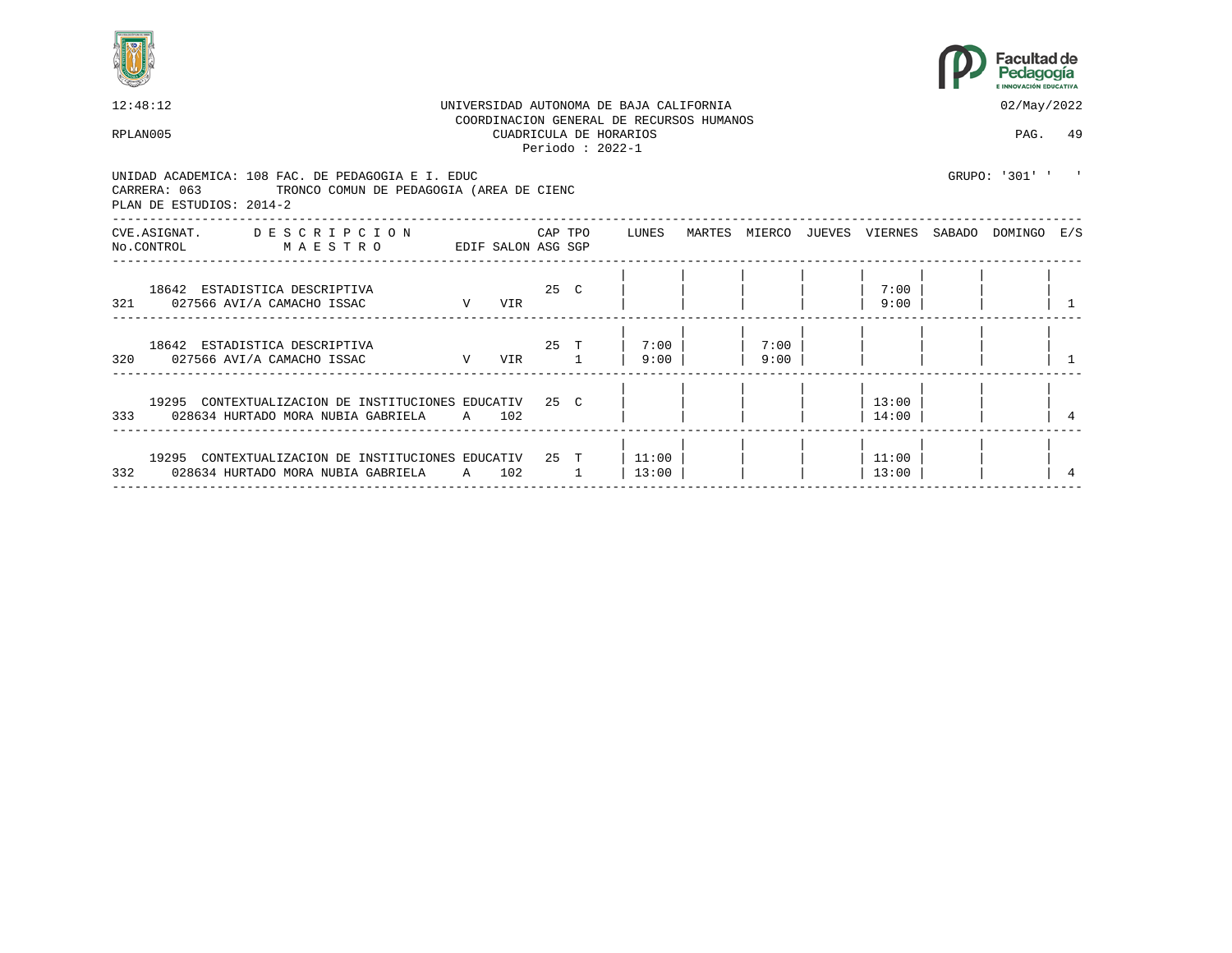



| 12:48:12                                                                                                                                  |                 |     |          |         | UNIVERSIDAD AUTONOMA DE BAJA CALIFORNIA                                                 |              |                | 02/May/2022                                     |  |
|-------------------------------------------------------------------------------------------------------------------------------------------|-----------------|-----|----------|---------|-----------------------------------------------------------------------------------------|--------------|----------------|-------------------------------------------------|--|
| RPLAN005                                                                                                                                  |                 |     |          |         | COORDINACION GENERAL DE RECURSOS HUMANOS<br>CUADRICULA DE HORARIOS<br>Periodo: $2022-1$ |              |                | PAG. 49                                         |  |
| UNIDAD ACADEMICA: 108 FAC. DE PEDAGOGIA E I. EDUC<br>TRONCO COMUN DE PEDAGOGIA (AREA DE CIENC<br>CARRERA: 063<br>PLAN DE ESTUDIOS: 2014-2 |                 |     |          |         |                                                                                         |              |                | GRUPO: '301' ' '                                |  |
| CVE.ASIGNAT. DESCRIPCION<br>No.CONTROL<br>MAESTRO<br>EDIF SALON ASG SGP                                                                   |                 |     |          | CAP TPO | LUNES                                                                                   |              |                | MARTES MIERCO JUEVES VIERNES SABADO DOMINGO E/S |  |
| 18642 ESTADISTICA DESCRIPTIVA<br>$\mathbf V$<br>321 027566 AVI/A CAMACHO ISSAC                                                            | 25 <sub>C</sub> | VIR |          |         |                                                                                         |              | 7:00<br>9:00   |                                                 |  |
| 18642 ESTADISTICA DESCRIPTIVA<br>320 027566 AVI/A CAMACHO ISSAC N VIR 1                                                                   |                 |     |          |         | 25 T 7:00<br>$9:00$                                                                     | 7:00<br>9:00 |                |                                                 |  |
| 19295 CONTEXTUALIZACION DE INSTITUCIONES EDUCATIV 25 C<br>333 028634 HURTADO MORA NUBIA GABRIELA A 102                                    |                 |     |          |         |                                                                                         |              | 13:00<br>14:00 |                                                 |  |
| 19295 CONTEXTUALIZACION DE INSTITUCIONES EDUCATIV 25 T<br>332 028634 HURTADO MORA NUBIA GABRIELA A 102                                    |                 |     | $\sim$ 1 |         | 11:00<br>13:00                                                                          |              | 11:00<br>13:00 |                                                 |  |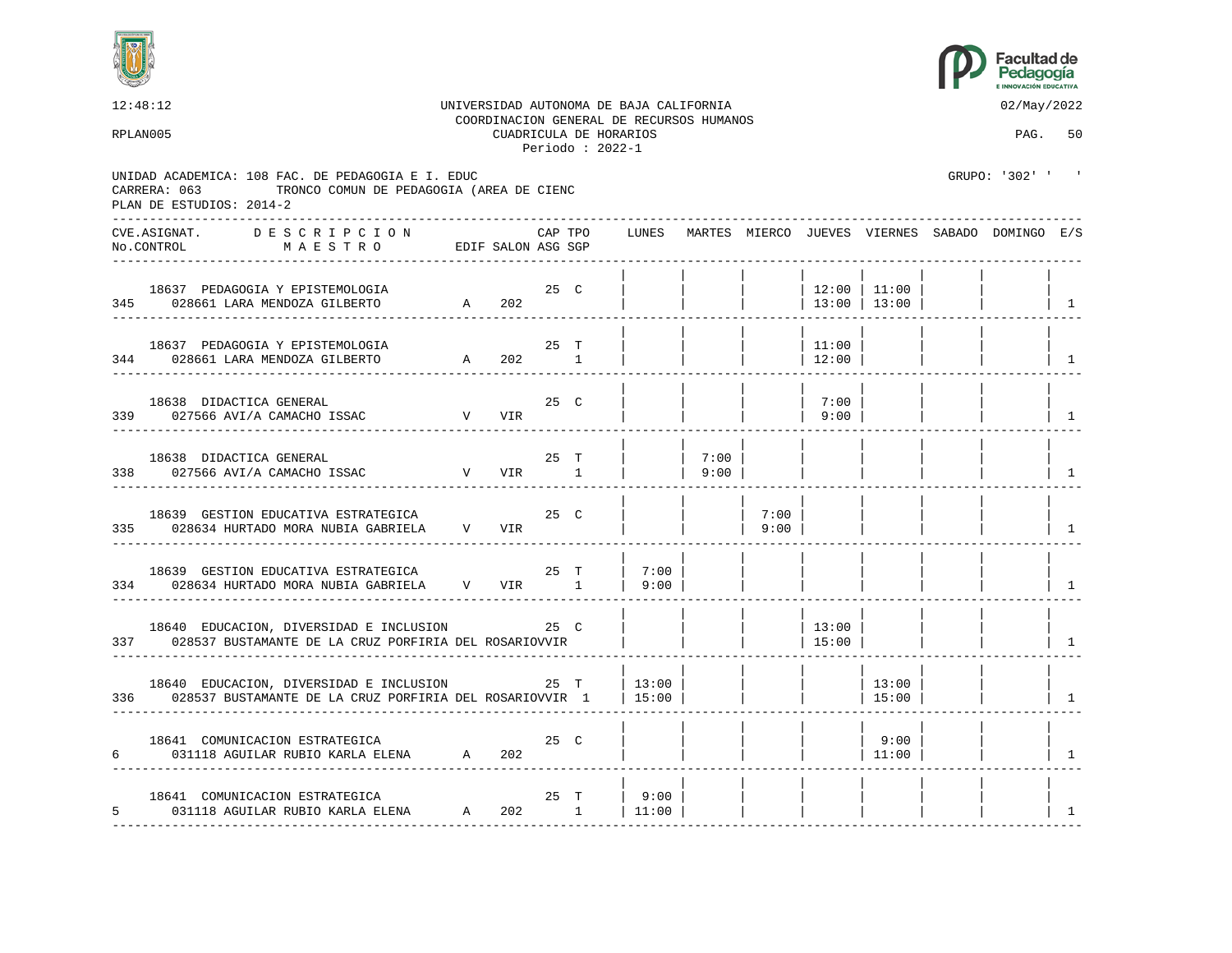



|   | 12:48:12                                                                                                                                  |                    |                 |         |                                             | UNIVERSIDAD AUTONOMA DE BAJA CALIFORNIA<br>COORDINACION GENERAL DE RECURSOS HUMANOS |              |              |                  |                 | 02/May/2022                                           |                                 |
|---|-------------------------------------------------------------------------------------------------------------------------------------------|--------------------|-----------------|---------|---------------------------------------------|-------------------------------------------------------------------------------------|--------------|--------------|------------------|-----------------|-------------------------------------------------------|---------------------------------|
|   | RPLAN005                                                                                                                                  |                    |                 |         | CUADRICULA DE HORARIOS<br>Periodo: $2022-1$ |                                                                                     |              |              |                  |                 | PAG. 50                                               |                                 |
|   | UNIDAD ACADEMICA: 108 FAC. DE PEDAGOGIA E I. EDUC<br>TRONCO COMUN DE PEDAGOGIA (AREA DE CIENC<br>CARRERA: 063<br>PLAN DE ESTUDIOS: 2014-2 |                    |                 |         |                                             |                                                                                     |              |              |                  |                 | GRUPO: '302' ' '                                      |                                 |
|   | CVE.ASIGNAT.<br>D E S C R I P C I O N<br>No.CONTROL<br>MAESTRO                                                                            | EDIF SALON ASG SGP |                 | CAP TPO |                                             |                                                                                     |              |              |                  |                 | LUNES MARTES MIERCO JUEVES VIERNES SABADO DOMINGO E/S |                                 |
|   | 18637 PEDAGOGIA Y EPISTEMOLOGIA<br>345 028661 LARA MENDOZA GILBERTO                                                                       | 25 C<br>A 202      |                 |         |                                             |                                                                                     |              |              | 12:00   11:00    | 13:00   13:00   |                                                       | $\begin{array}{cc} \end{array}$ |
|   | 18637 PEDAGOGIA Y EPISTEMOLOGIA<br>344 028661 LARA MENDOZA GILBERTO                                                                       | A 202 1            |                 | 25 T    |                                             |                                                                                     |              |              | 11:00<br>$12:00$ |                 |                                                       | $\begin{array}{cc} \end{array}$ |
|   | 18638 DIDACTICA GENERAL<br>339 027566 AVI/A CAMACHO ISSAC V VIR                                                                           |                    |                 | 25 C    |                                             |                                                                                     |              |              | 7:00<br>9:00     |                 |                                                       | $\mathbf{1}$                    |
|   | 18638 DIDACTICA GENERAL<br>V VIR 1<br>338 027566 AVI/A CAMACHO ISSAC                                                                      |                    |                 | 25 T    |                                             |                                                                                     | 7:00<br>9:00 |              |                  |                 |                                                       | 1                               |
|   | 18639 GESTION EDUCATIVA ESTRATEGICA<br>335 028634 HURTADO MORA NUBIA GABRIELA V VIR                                                       |                    |                 | 25 C    |                                             |                                                                                     |              | 7:00<br>9:00 |                  |                 |                                                       | $\overline{1}$                  |
|   | 18639 GESTION EDUCATIVA ESTRATEGICA<br>334 028634 HURTADO MORA NUBIA GABRIELA V VIR 1                                                     |                    |                 | 25 T    |                                             | 7:00<br> 9:00                                                                       |              |              |                  |                 |                                                       | $\overline{1}$                  |
|   | 18640 EDUCACION, DIVERSIDAD E INCLUSION<br>337 028537 BUSTAMANTE DE LA CRUZ PORFIRIA DEL ROSARIOVVIR                                      |                    |                 | 25 C    |                                             |                                                                                     |              |              | 13:00<br> 15:00  |                 |                                                       | $\overline{1}$                  |
|   | 18640 EDUCACION, DIVERSIDAD E INCLUSION 25 T<br>336 028537 BUSTAMANTE DE LA CRUZ PORFIRIA DEL ROSARIOVVIR 1                               |                    |                 |         |                                             | 13:00<br> 15:00                                                                     |              |              |                  | 13:00<br> 15:00 |                                                       | $\overline{1}$                  |
| 6 | 18641 COMUNICACION ESTRATEGICA 18641 COMUNICACION ESTRATEGICA 1992 25 C                                                                   |                    |                 |         |                                             |                                                                                     |              |              |                  | 9:00<br> 11:00  |                                                       | $\overline{1}$                  |
|   | 18641 COMUNICACION ESTRATEGICA<br>5 031118 AGUILAR RUBIO KARLA ELENA A 202 1 $\vert$ 11:00                                                |                    | $25$ T<br>----- |         | -------                                     | 9:00                                                                                |              |              |                  |                 |                                                       | 1                               |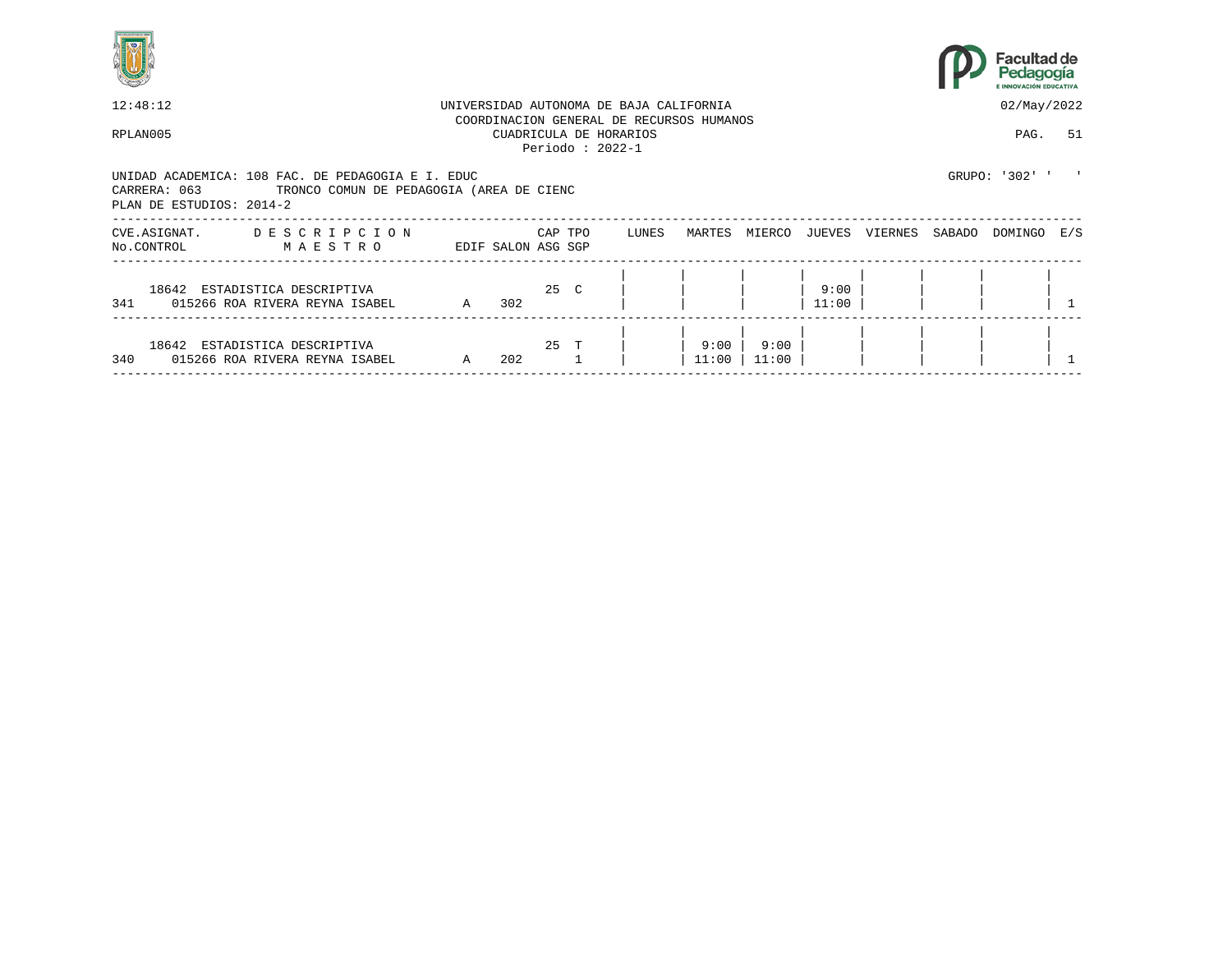



| 12:48:12                                 |                                                                                               |             |                    |         |                                             | UNIVERSIDAD AUTONOMA DE BAJA CALIFORNIA |                                          |               |               |         |        | 02/May/2022    |     |
|------------------------------------------|-----------------------------------------------------------------------------------------------|-------------|--------------------|---------|---------------------------------------------|-----------------------------------------|------------------------------------------|---------------|---------------|---------|--------|----------------|-----|
| RPLAN005                                 |                                                                                               |             |                    |         | CUADRICULA DE HORARIOS<br>Periodo: $2022-1$ |                                         | COORDINACION GENERAL DE RECURSOS HUMANOS |               |               |         |        | PAG.           | 51  |
| CARRERA: 063<br>PLAN DE ESTUDIOS: 2014-2 | UNIDAD ACADEMICA: 108 FAC. DE PEDAGOGIA E I. EDUC<br>TRONCO COMUN DE PEDAGOGIA (AREA DE CIENC |             |                    |         |                                             |                                         |                                          |               |               |         |        | GRUPO: '302' ' |     |
| CVE.ASIGNAT.<br>No.CONTROL               | DESCRIPCION<br>M A E S T R O                                                                  |             | EDIF SALON ASG SGP | CAP TPO |                                             | LUNES                                   | MARTES                                   | MIERCO        | JUEVES        | VIERNES | SABADO | DOMINGO        | E/S |
| 341                                      | 18642 ESTADISTICA DESCRIPTIVA<br>015266 ROA RIVERA REYNA ISABEL                               | A 302       |                    | 25 C    |                                             |                                         |                                          |               | 9:00<br>11:00 |         |        |                |     |
| 340                                      | 18642 ESTADISTICA DESCRIPTIVA<br>015266 ROA RIVERA REYNA ISABEL                               | $\mathbb A$ | 202                | 25 T    |                                             |                                         | 9:00<br>11:00                            | 9:00<br>11:00 |               |         |        |                |     |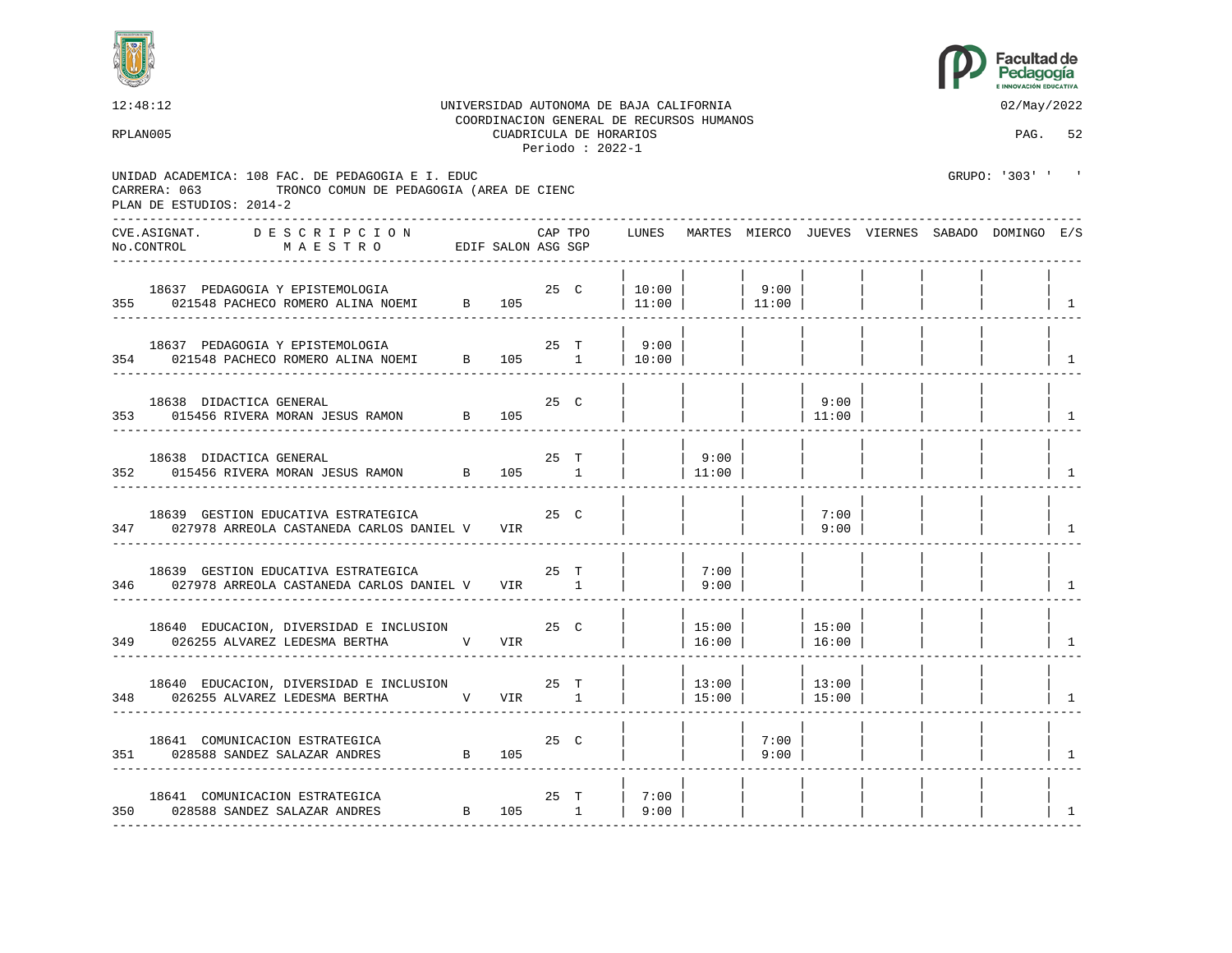



12:48:12 UNIVERSIDAD AUTONOMA DE BAJA CALIFORNIA 02/May/2022 COORDINACION GENERAL DE RECURSOS HUMANOS RPLAN005 CUADRICULA DE HORARIOS PAG. 52 Periodo : 2022-1 UNIDAD ACADEMICA: 108 FAC. DE PEDAGOGIA E I. EDUC GRUPO: '303' ' ' CARRERA: 063 TRONCO COMUN DE PEDAGOGIA (AREA DE CIENC PLAN DE ESTUDIOS: 2014-2 ---------------------------------------------------------------------------------------------------------------------------------- CVE.ASIGNAT. D E S C R I P C I O N CAP TPO LUNES MARTES MIERCO JUEVES VIERNES SABADO DOMINGO E/S No.CONTROL M A E S T R O EDIF SALON ASG SGP ---------------------------------------------------------------------------------------------------------------------------------- | | | | | | | | 18637 PEDAGOGIA Y EPISTEMOLOGIA 25 C | 10:00 | | 9:00 | | | | | 355 021548 PACHECO ROMERO ALINA NOEMI B 105 | 11:00 | | 11:00 | | | | | | | | 1 ---------------------------------------------------------------------------------------------------------------------------------- | | | | | | | | 18637 PEDAGOGIA Y EPISTEMOLOGIA 1990 | 25 T | 9:00 | 354 021548 PACHECO ROMERO ALINA NOEMI B 105 1 | 10:00 | | | | | | | 1 ---------------------------------------------------------------------------------------------------------------------------------- | | | | | | | | 18638 DIDACTICA GENERAL 25 C | | | | 9:00 | | | | 353 015456 RIVERA MORAN JESUS RAMON B 105 | | | | 11:00 | | | | 1 ---------------------------------------------------------------------------------------------------------------------------------- | | | | | | | | 18638 DIDACTICA GENERAL 25 T | | 9:00 | | | | | | 352 015456 RIVERA MORAN JESUS RAMON B 105 1 | | 11:00 | | | | | | | | | ---------------------------------------------------------------------------------------------------------------------------------- | | | | | | | | 18639 GESTION EDUCATIVA ESTRATEGICA  $25$  C | | | | | 7:00 347 027978 ARREOLA CASTANEDA CARLOS DANIEL V VIR | | | | | | | 9:00 | | | | | | | ---------------------------------------------------------------------------------------------------------------------------------- | | | | | | | | 18639 GESTION EDUCATIVA ESTRATEGICA  $25$  T | | 7:00 | 027978 ARREOLA CASTANEDA CARLOS DANIEL V VIR 1 | | 9:00 | 346 027978 ARREOLA CASTANEDA CARLOS DANIEL V VIR 1 | | 9:00 | | | | | | | | | ---------------------------------------------------------------------------------------------------------------------------------- | | | | | | | | 18640 EDUCACION, DIVERSIDAD E INCLUSION 25 C | | 15:00 | | 15:00 | | | | 349 026255 ALVAREZ LEDESMA BERTHA V VIR | 16:00 | | 16:00 | | | | | | | | | | 1 ---------------------------------------------------------------------------------------------------------------------------------- | | | | | | | | 18640 EDUCACION, DIVERSIDAD E INCLUSION 25 T | | 13:00 | | 13:00 348 026255 ALVAREZ LEDESMA BERTHA V VIR 1 | 15:00 | 15:00 | | | | | ---------------------------------------------------------------------------------------------------------------------------------- | | | | | | | | 18641 COMUNICACION ESTRATEGICA  $25$  C | | | 7:00 | 028588 SANDEZ SALAZAR ANDRES B 105 351 028588 SANDEZ SALAZAR ANDRES B 105 | | | 9:00 | | | | | 1 ---------------------------------------------------------------------------------------------------------------------------------- | | | | | | | | 18641 COMUNICACION ESTRATEGICA 25 T | 7:00 | | | | | | | 350 028588 SANDEZ SALAZAR ANDRES B 105 1 | 9:00 | | | | | | | 1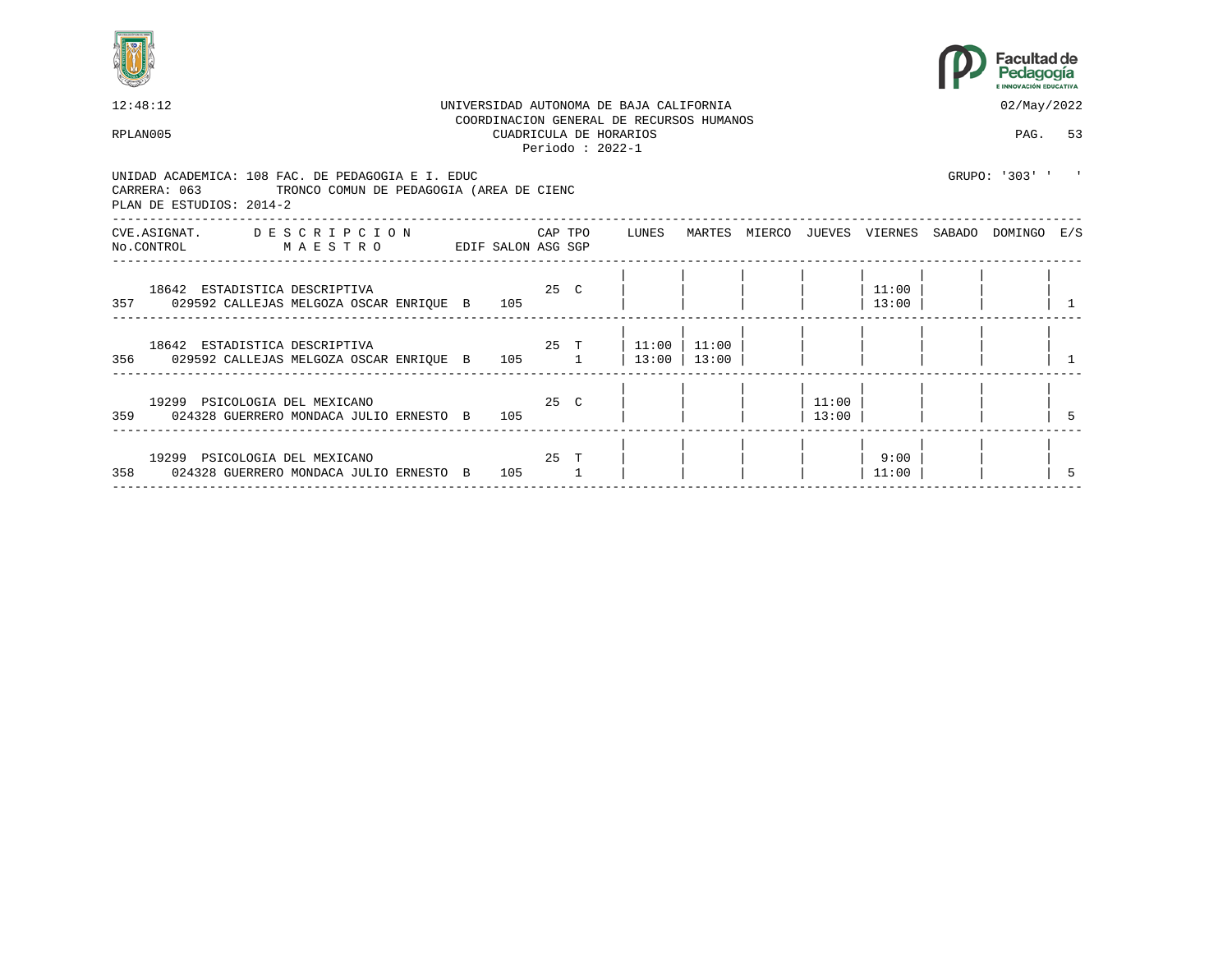



| 12:48:12 |                                                                                                                                           | UNIVERSIDAD AUTONOMA DE BAJA CALIFORNIA<br>COORDINACION GENERAL DE RECURSOS HUMANOS |  |                                             |  |         |               |  |  |                |                |  | 02/May/2022                                     |  |  |
|----------|-------------------------------------------------------------------------------------------------------------------------------------------|-------------------------------------------------------------------------------------|--|---------------------------------------------|--|---------|---------------|--|--|----------------|----------------|--|-------------------------------------------------|--|--|
|          | RPLAN005                                                                                                                                  |                                                                                     |  | CUADRICULA DE HORARIOS<br>Periodo: $2022-1$ |  | PAG. 53 |               |  |  |                |                |  |                                                 |  |  |
|          | UNIDAD ACADEMICA: 108 FAC. DE PEDAGOGIA E I. EDUC<br>CARRERA: 063<br>TRONCO COMUN DE PEDAGOGIA (AREA DE CIENC<br>PLAN DE ESTUDIOS: 2014-2 |                                                                                     |  |                                             |  |         |               |  |  |                |                |  | GRUPO: '303' ' '                                |  |  |
|          | CVE.ASIGNAT. DESCRIPCION CAPTPO LUNES<br>No.CONTROL MAESTRO                                                                               |                                                                                     |  | EDIF SALON ASG SGP                          |  |         |               |  |  |                |                |  | MARTES MIERCO JUEVES VIERNES SABADO DOMINGO E/S |  |  |
|          | 18642 ESTADISTICA DESCRIPTIVA<br>357 029592 CALLEJAS MELGOZA OSCAR ENRIOUE B 105                                                          |                                                                                     |  | 25 <sub>C</sub>                             |  |         |               |  |  |                | 11:00<br>13:00 |  |                                                 |  |  |
|          | 18642 ESTADISTICA DESCRIPTIVA $25$ T   11:00   11:00  <br>356 029592 CALLEJAS MELGOZA OSCAR ENRIQUE B 105 1                               |                                                                                     |  |                                             |  |         | 13:00   13:00 |  |  |                |                |  |                                                 |  |  |
|          | 19299 PSICOLOGIA DEL MEXICANO<br>359 024328 GUERRERO MONDACA JULIO ERNESTO B 105                                                          |                                                                                     |  | $25$ C                                      |  |         |               |  |  | 11:00<br>13:00 |                |  |                                                 |  |  |
|          | 19299 PSICOLOGIA DEL MEXICANO<br>358 024328 GUERRERO MONDACA JULIO ERNESTO B                                                              |                                                                                     |  | 25 T<br>105                                 |  |         |               |  |  |                | 9:00<br>11:00  |  |                                                 |  |  |
|          |                                                                                                                                           |                                                                                     |  |                                             |  |         |               |  |  |                |                |  |                                                 |  |  |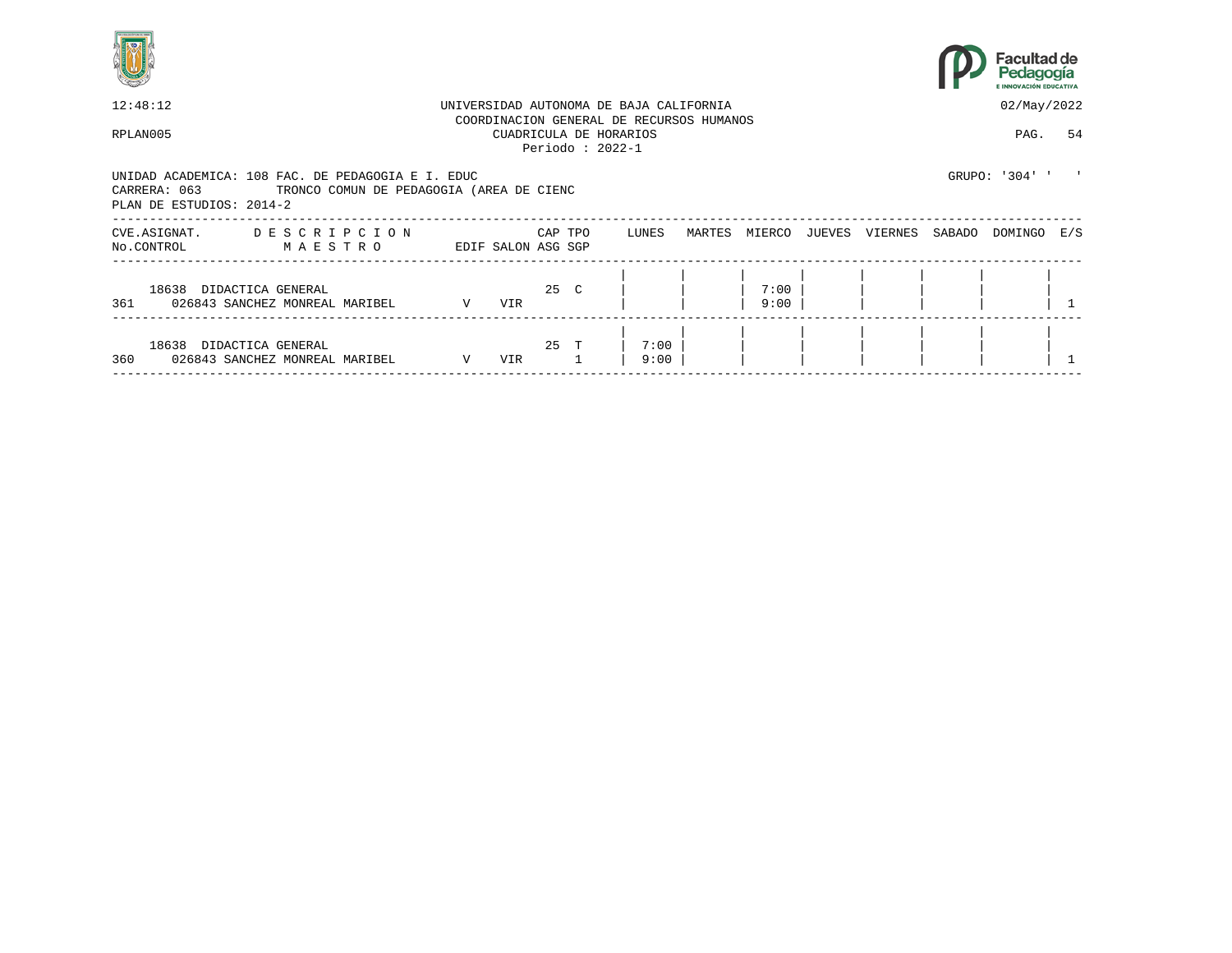



| 12:48:12                                                                                            |                                          | UNIVERSIDAD AUTONOMA DE BAJA CALIFORNIA |     | 02/May/2022                   |  |              |        |              |        |         |        |                |    |
|-----------------------------------------------------------------------------------------------------|------------------------------------------|-----------------------------------------|-----|-------------------------------|--|--------------|--------|--------------|--------|---------|--------|----------------|----|
| COORDINACION GENERAL DE RECURSOS HUMANOS<br>RPLAN005<br>CUADRICULA DE HORARIOS<br>Periodo: $2022-1$ |                                          |                                         |     |                               |  |              |        |              |        |         |        | PAG.           | 54 |
| UNIDAD ACADEMICA: 108 FAC. DE PEDAGOGIA E I. EDUC<br>CARRERA: 063<br>PLAN DE ESTUDIOS: 2014-2       | TRONCO COMUN DE PEDAGOGIA (AREA DE CIENC |                                         |     |                               |  |              |        |              |        |         |        | GRUPO: '304' ' |    |
| CVE.ASIGNAT.<br>No.CONTROL                                                                          | DESCRIPCION<br>MAESTRO                   |                                         |     | CAP TPO<br>EDIF SALON ASG SGP |  | LUNES        | MARTES | MIERCO       | JUEVES | VIERNES | SABADO | DOMINGO E/S    |    |
| 18638 DIDACTICA GENERAL<br>361 026843 SANCHEZ MONREAL MARIBEL                                       |                                          | $\mathbf V$                             | VIR | 25 C                          |  |              |        | 7:00<br>9:00 |        |         |        |                |    |
| 18638 DIDACTICA GENERAL<br>360                                                                      | 026843 SANCHEZ MONREAL MARIBEL           | $\mathbf{V}$                            | VIR | 25 T                          |  | 7:00<br>9:00 |        |              |        |         |        |                |    |